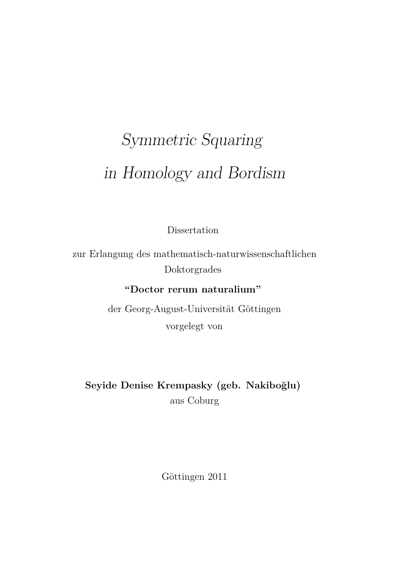# Symmetric Squaring in Homology and Bordism

Dissertation

zur Erlangung des mathematisch-naturwissenschaftlichen Doktorgrades

**"Doctor rerum naturalium"**

der Georg-August-Universität Göttingen vorgelegt von

**Seyide Denise Krempasky (geb. Nakiboğlu)** aus Coburg

Göttingen 2011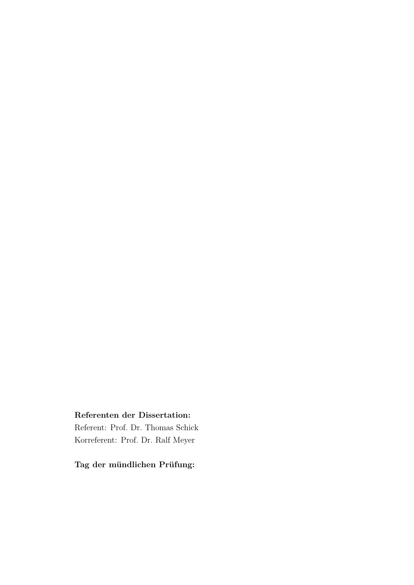#### **Referenten der Dissertation:**

Referent: Prof. Dr. Thomas Schick Korreferent: Prof. Dr. Ralf Meyer

**Tag der mündlichen Prüfung:**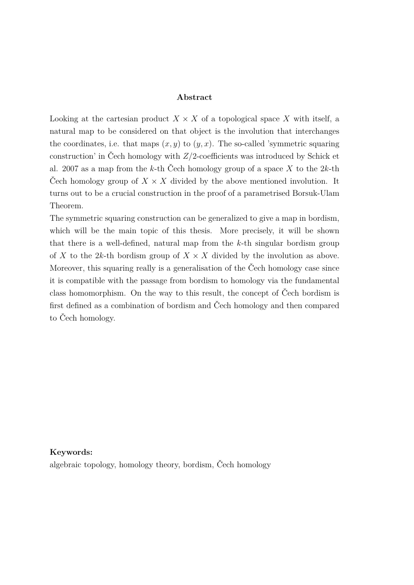#### **Abstract**

Looking at the cartesian product  $X \times X$  of a topological space X with itself, a natural map to be considered on that object is the involution that interchanges the coordinates, i.e. that maps  $(x, y)$  to  $(y, x)$ . The so-called 'symmetric squaring construction' in Čech homology with *Z/*2-coefficients was introduced by Schick et al. 2007 as a map from the *k*-th Čech homology group of a space *X* to the 2*k*-th Cech homology group of  $X \times X$  divided by the above mentioned involution. It turns out to be a crucial construction in the proof of a parametrised Borsuk-Ulam Theorem.

The symmetric squaring construction can be generalized to give a map in bordism, which will be the main topic of this thesis. More precisely, it will be shown that there is a well-defined, natural map from the *k*-th singular bordism group of X to the 2k-th bordism group of  $X \times X$  divided by the involution as above. Moreover, this squaring really is a generalisation of the Čech homology case since it is compatible with the passage from bordism to homology via the fundamental class homomorphism. On the way to this result, the concept of Čech bordism is first defined as a combination of bordism and Čech homology and then compared to Čech homology.

#### **Keywords:** algebraic topology, homology theory, bordism, Čech homology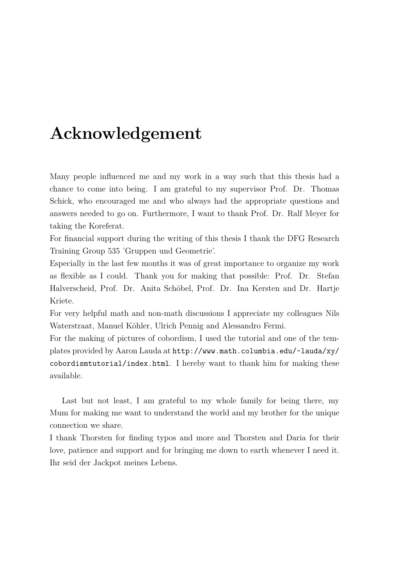# **Acknowledgement**

Many people influenced me and my work in a way such that this thesis had a chance to come into being. I am grateful to my supervisor Prof. Dr. Thomas Schick, who encouraged me and who always had the appropriate questions and answers needed to go on. Furthermore, I want to thank Prof. Dr. Ralf Meyer for taking the Koreferat.

For financial support during the writing of this thesis I thank the DFG Research Training Group 535 'Gruppen und Geometrie'.

Especially in the last few months it was of great importance to organize my work as flexible as I could. Thank you for making that possible: Prof. Dr. Stefan Halverscheid, Prof. Dr. Anita Schöbel, Prof. Dr. Ina Kersten and Dr. Hartje Kriete.

For very helpful math and non-math discussions I appreciate my colleagues Nils Waterstraat, Manuel Köhler, Ulrich Pennig and Alessandro Fermi.

For the making of pictures of cobordism, I used the tutorial and one of the templates provided by Aaron Lauda at [http://www.math.columbia.edu/~lauda/xy/](http://www.math.columbia.edu/~lauda/xy/cobordismtutorial/index.html) [cobordismtutorial/index.html](http://www.math.columbia.edu/~lauda/xy/cobordismtutorial/index.html). I hereby want to thank him for making these available.

Last but not least, I am grateful to my whole family for being there, my Mum for making me want to understand the world and my brother for the unique connection we share.

I thank Thorsten for finding typos and more and Thorsten and Daria for their love, patience and support and for bringing me down to earth whenever I need it. Ihr seid der Jackpot meines Lebens.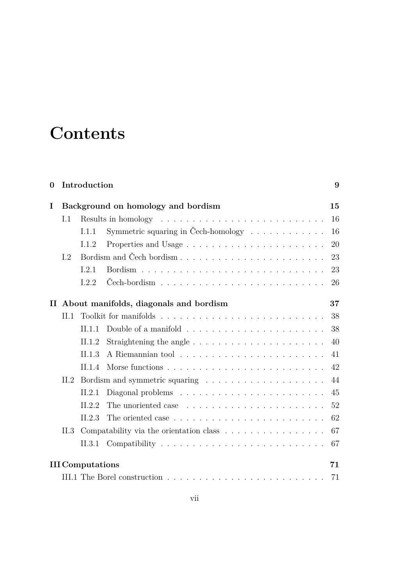# **Contents**

| $\bf{0}$ |      | Introduction                       |                                                                         | 9  |  |  |  |  |  |  |  |  |  |  |  |  |
|----------|------|------------------------------------|-------------------------------------------------------------------------|----|--|--|--|--|--|--|--|--|--|--|--|--|
| I        |      | Background on homology and bordism |                                                                         |    |  |  |  |  |  |  |  |  |  |  |  |  |
|          | I.1  |                                    |                                                                         | 16 |  |  |  |  |  |  |  |  |  |  |  |  |
|          |      | I.1.1                              | Symmetric squaring in Čech-homology $\dots \dots \dots \dots$           | 16 |  |  |  |  |  |  |  |  |  |  |  |  |
|          |      | I.1.2                              |                                                                         | 20 |  |  |  |  |  |  |  |  |  |  |  |  |
|          | I.2  |                                    | Bordism and Čech bordism                                                | 23 |  |  |  |  |  |  |  |  |  |  |  |  |
|          |      | I.2.1                              |                                                                         | 23 |  |  |  |  |  |  |  |  |  |  |  |  |
|          |      | 1.2.2                              |                                                                         | 26 |  |  |  |  |  |  |  |  |  |  |  |  |
|          |      |                                    | II About manifolds, diagonals and bordism                               | 37 |  |  |  |  |  |  |  |  |  |  |  |  |
|          | II.1 |                                    |                                                                         | 38 |  |  |  |  |  |  |  |  |  |  |  |  |
|          |      | II.1.1                             | Double of a manifold $\ldots \ldots \ldots \ldots \ldots \ldots \ldots$ | 38 |  |  |  |  |  |  |  |  |  |  |  |  |
|          |      | II.1.2                             |                                                                         | 40 |  |  |  |  |  |  |  |  |  |  |  |  |
|          |      | II.1.3                             |                                                                         | 41 |  |  |  |  |  |  |  |  |  |  |  |  |
|          |      | II.1.4                             |                                                                         | 42 |  |  |  |  |  |  |  |  |  |  |  |  |
|          | II.2 |                                    |                                                                         |    |  |  |  |  |  |  |  |  |  |  |  |  |
|          |      | II.2.1                             | Diagonal problems $\ldots \ldots \ldots \ldots \ldots \ldots \ldots$    | 45 |  |  |  |  |  |  |  |  |  |  |  |  |
|          |      | II.2.2                             |                                                                         | 52 |  |  |  |  |  |  |  |  |  |  |  |  |
|          |      | II.2.3                             |                                                                         | 62 |  |  |  |  |  |  |  |  |  |  |  |  |
|          | II.3 |                                    | Compatability via the orientation class                                 | 67 |  |  |  |  |  |  |  |  |  |  |  |  |
|          |      | II.3.1                             |                                                                         | 67 |  |  |  |  |  |  |  |  |  |  |  |  |
|          |      | <b>III</b> Computations            |                                                                         | 71 |  |  |  |  |  |  |  |  |  |  |  |  |
|          |      |                                    |                                                                         | 71 |  |  |  |  |  |  |  |  |  |  |  |  |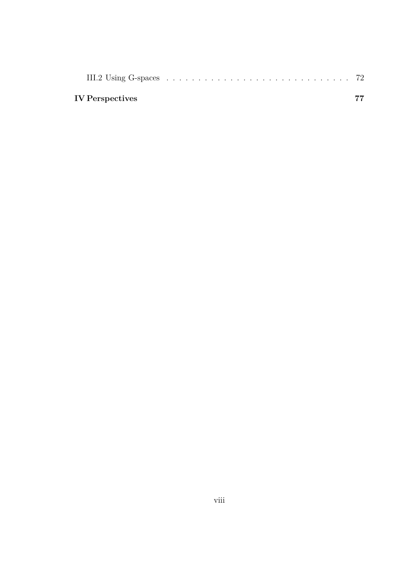| III.2 Using G-spaces $\dots \dots \dots \dots \dots \dots \dots \dots \dots \dots \dots \dots \dots \dots \dots$ 72 |  |  |  |  |  |  |  |  |  |  |  |  |  |  |
|---------------------------------------------------------------------------------------------------------------------|--|--|--|--|--|--|--|--|--|--|--|--|--|--|
| IV Perspectives                                                                                                     |  |  |  |  |  |  |  |  |  |  |  |  |  |  |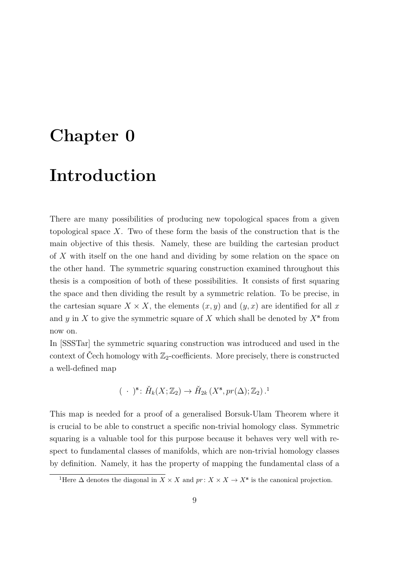# <span id="page-8-0"></span>**Chapter 0**

# **Introduction**

There are many possibilities of producing new topological spaces from a given topological space *X*. Two of these form the basis of the construction that is the main objective of this thesis. Namely, these are building the cartesian product of *X* with itself on the one hand and dividing by some relation on the space on the other hand. The symmetric squaring construction examined throughout this thesis is a composition of both of these possibilities. It consists of first squaring the space and then dividing the result by a symmetric relation. To be precise, in the cartesian square  $X \times X$ , the elements  $(x, y)$  and  $(y, x)$  are identified for all x and *y* in *X* to give the symmetric square of *X* which shall be denoted by *X***<sup>s</sup>** from now on.

In [\[SSSTar\]](#page-82-0) the symmetric squaring construction was introduced and used in the context of Čech homology with  $\mathbb{Z}_2$ -coefficients. More precisely, there is constructed a well-defined map

$$
(\ \cdot\ )^{\mathbf{s}}\colon \check{H}_k(X;\mathbb{Z}_2)\to \check{H}_{2k}(X^{\mathbf{s}},pr(\Delta);\mathbb{Z}_2).
$$

This map is needed for a proof of a generalised Borsuk-Ulam Theorem where it is crucial to be able to construct a specific non-trivial homology class. Symmetric squaring is a valuable tool for this purpose because it behaves very well with respect to fundamental classes of manifolds, which are non-trivial homology classes by definition. Namely, it has the property of mapping the fundamental class of a

<span id="page-8-1"></span><sup>&</sup>lt;sup>1</sup>Here  $\Delta$  denotes the diagonal in *X* × *X* and *pr* : *X* × *X*  $\rightarrow$  *X*<sup>s</sup> is the canonical projection.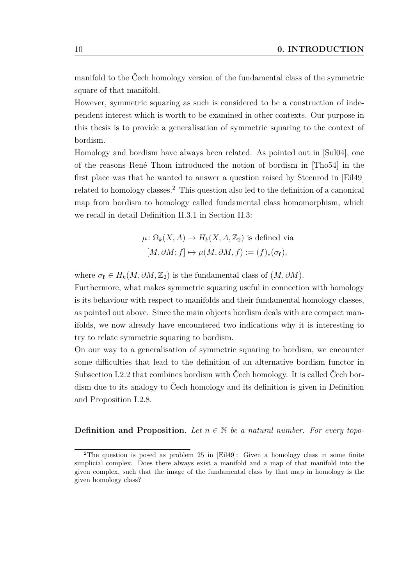manifold to the Čech homology version of the fundamental class of the symmetric square of that manifold.

However, symmetric squaring as such is considered to be a construction of independent interest which is worth to be examined in other contexts. Our purpose in this thesis is to provide a generalisation of symmetric squaring to the context of bordism.

Homology and bordism have always been related. As pointed out in [\[Sul04\]](#page-82-1), one of the reasons René Thom introduced the notion of bordism in [\[Tho54\]](#page-82-2) in the first place was that he wanted to answer a question raised by Steenrod in [\[Eil49\]](#page-80-0) related to homology classes.[2](#page-9-0) This question also led to the definition of a canonical map from bordism to homology called fundamental class homomorphism, which we recall in detail [Definition II.3.1](#page-66-2) in [Section II.3:](#page-66-0)

$$
\mu: \Omega_k(X, A) \to H_k(X, A, \mathbb{Z}_2) \text{ is defined via}
$$

$$
[M, \partial M; f] \mapsto \mu(M, \partial M, f) := (f)_*(\sigma_f),
$$

where  $\sigma_f \in H_k(M, \partial M, \mathbb{Z}_2)$  is the fundamental class of  $(M, \partial M)$ .

Furthermore, what makes symmetric squaring useful in connection with homology is its behaviour with respect to manifolds and their fundamental homology classes, as pointed out above. Since the main objects bordism deals with are compact manifolds, we now already have encountered two indications why it is interesting to try to relate symmetric squaring to bordism.

On our way to a generalisation of symmetric squaring to bordism, we encounter some difficulties that lead to the definition of an alternative bordism functor in [Subsection I.2.2](#page-25-0) that combines bordism with Čech homology. It is called Čech bordism due to its analogy to Čech homology and its definition is given in [Definition](#page-27-0) [and Proposition I.2.8.](#page-27-0)

#### **Definition and Proposition.** Let  $n \in \mathbb{N}$  be a natural number. For every topo-

<span id="page-9-0"></span><sup>&</sup>lt;sup>2</sup>The question is posed as problem 25 in [\[Eil49\]](#page-80-0): Given a homology class in some finite simplicial complex. Does there always exist a manifold and a map of that manifold into the given complex, such that the image of the fundamental class by that map in homology is the given homology class?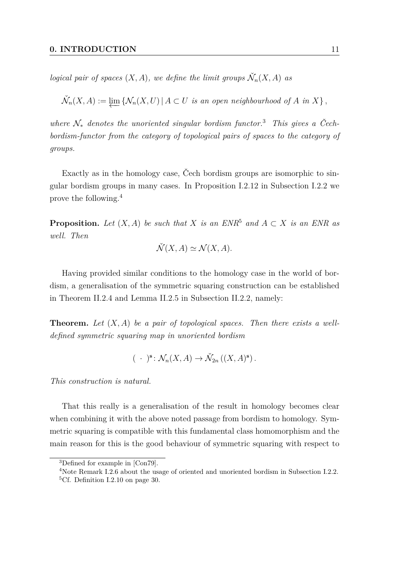*logical pair of spaces*  $(X, A)$ *, we define the limit groups*  $\check{N}_n(X, A)$  *as* 

$$
\check{\mathcal{N}}_n(X, A) := \varprojlim \left\{ \mathcal{N}_n(X, U) \mid A \subset U \text{ is an open neighborhood of } A \text{ in } X \right\},\
$$

*where* N<sup>∗</sup> *denotes the unoriented singular bordism functor.*[3](#page-10-0) *This gives a Čechbordism-functor from the category of topological pairs of spaces to the category of groups.*

Exactly as in the homology case, Čech bordism groups are isomorphic to singular bordism groups in many cases. In [Proposition I.2.12](#page-31-0) in [Subsection I.2.2](#page-25-0) we prove the following.[4](#page-10-1)

**Proposition.** *Let*  $(X, A)$  *be such that*  $X$  *is an ENR*<sup>[5](#page-10-2)</sup> *and*  $A \subset X$  *is an ENR as well. Then*

$$
\check{\mathcal{N}}(X, A) \simeq \mathcal{N}(X, A).
$$

Having provided similar conditions to the homology case in the world of bordism, a generalisation of the symmetric squaring construction can be established in [Theorem II.2.4](#page-51-1) and [Lemma II.2.5](#page-59-0) in [Subsection II.2.2,](#page-51-0) namely:

**Theorem.** *Let* (*X, A*) *be a pair of topological spaces. Then there exists a welldefined symmetric squaring map in unoriented bordism*

$$
(\ \cdot\ )^{\mathbf{s}}\colon \mathcal{N}_n(X,A)\to \check{\mathcal{N}}_{2n}\left((X,A)^{\mathbf{s}}\right).
$$

*This construction is natural.*

That this really is a generalisation of the result in homology becomes clear when combining it with the above noted passage from bordism to homology. Symmetric squaring is compatible with this fundamental class homomorphism and the main reason for this is the good behaviour of symmetric squaring with respect to

<span id="page-10-0"></span><sup>3</sup>Defined for example in [\[Con79\]](#page-80-1).

<span id="page-10-2"></span><span id="page-10-1"></span><sup>4</sup>Note [Remark I.2.6](#page-26-0) about the usage of oriented and unoriented bordism in [Subsection I.2.2.](#page-25-0) <sup>5</sup>Cf. [Definition I.2.10](#page-29-0) on page [30.](#page-29-0)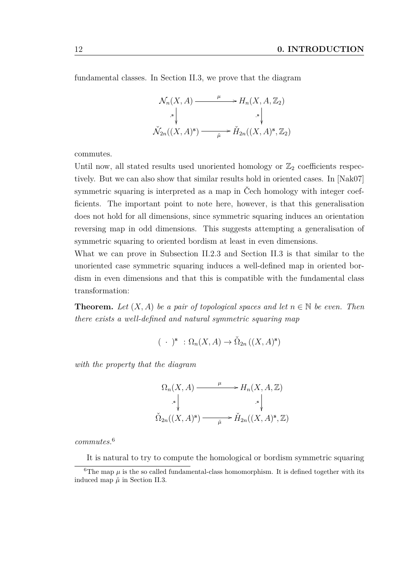fundamental classes. In [Section II.3,](#page-66-0) we prove that the diagram

$$
\mathcal{N}_n(X, A) \xrightarrow{\mu} H_n(X, A, \mathbb{Z}_2)
$$
\n
$$
\begin{array}{c}\n\downarrow \downarrow \\
\downarrow \downarrow \downarrow \\
\check{\mathcal{N}}_{2n}((X, A)^s) \xrightarrow{\mu} \check{H}_{2n}((X, A)^s, \mathbb{Z}_2)\n\end{array}
$$

commutes.

Until now, all stated results used unoriented homology or  $\mathbb{Z}_2$  coefficients respectively. But we can also show that similar results hold in oriented cases. In [\[Nak07\]](#page-81-0) symmetric squaring is interpreted as a map in Čech homology with integer coefficients. The important point to note here, however, is that this generalisation does not hold for all dimensions, since symmetric squaring induces an orientation reversing map in odd dimensions. This suggests attempting a generalisation of symmetric squaring to oriented bordism at least in even dimensions.

What we can prove in [Subsection II.2.3](#page-61-0) and [Section II.3](#page-66-0) is that similar to the unoriented case symmetric squaring induces a well-defined map in oriented bordism in even dimensions and that this is compatible with the fundamental class transformation:

**Theorem.** Let  $(X, A)$  be a pair of topological spaces and let  $n \in \mathbb{N}$  be even. Then *there exists a well-defined and natural symmetric squaring map*

$$
(\ \cdot\ )^{\mathbf{s}}\ : \Omega_n(X, A) \to \check{\Omega}_{2n}\left((X, A)^{\mathbf{s}}\right)
$$

*with the property that the diagram*

$$
\Omega_n(X, A) \xrightarrow{\mu} H_n(X, A, \mathbb{Z})
$$
  
\n
$$
\downarrow s \downarrow \qquad \qquad s \downarrow
$$
  
\n
$$
\check{\Omega}_{2n}((X, A)^s) \xrightarrow{\tilde{\mu}} \check{H}_{2n}((X, A)^s, \mathbb{Z})
$$

*commutes.*[6](#page-11-0)

<span id="page-11-0"></span>It is natural to try to compute the homological or bordism symmetric squaring

<sup>&</sup>lt;sup>6</sup>The map  $\mu$  is the so called fundamental-class homomorphism. It is defined together with its induced map  $\check{\mu}$  in [Section II.3.](#page-66-0)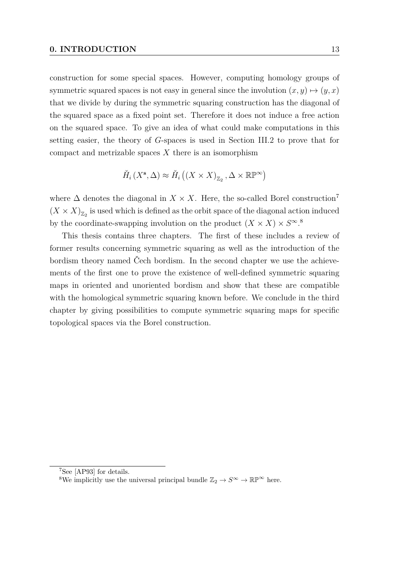construction for some special spaces. However, computing homology groups of symmetric squared spaces is not easy in general since the involution  $(x, y) \mapsto (y, x)$ that we divide by during the symmetric squaring construction has the diagonal of the squared space as a fixed point set. Therefore it does not induce a free action on the squared space. To give an idea of what could make computations in this setting easier, the theory of *G*-spaces is used in [Section III.2](#page-71-0) to prove that for compact and metrizable spaces *X* there is an isomorphism

$$
\check{H}_i\left(X^{\mathbf{s}},\Delta\right)\approx\check{H}_i\left(\left(X\times X\right)_{\mathbb{Z}_2},\Delta\times\mathbb{RP}^\infty\right)
$$

where  $\Delta$  denotes the diagonal in  $X \times X$ . Here, the so-called Borel construction<sup>[7](#page-12-0)</sup>  $(X \times X)_{\mathbb{Z}_2}$  is used which is defined as the orbit space of the diagonal action induced by the coordinate-swapping involution on the product  $(X \times X) \times S^{\infty}$ .<sup>[8](#page-12-1)</sup>

This thesis contains three chapters. The first of these includes a review of former results concerning symmetric squaring as well as the introduction of the bordism theory named Čech bordism. In the second chapter we use the achievements of the first one to prove the existence of well-defined symmetric squaring maps in oriented and unoriented bordism and show that these are compatible with the homological symmetric squaring known before. We conclude in the third chapter by giving possibilities to compute symmetric squaring maps for specific topological spaces via the Borel construction.

<span id="page-12-0"></span><sup>7</sup>See [\[AP93\]](#page-79-0) for details.

<span id="page-12-1"></span><sup>&</sup>lt;sup>8</sup>We implicitly use the universal principal bundle  $\mathbb{Z}_2 \to S^{\infty} \to \mathbb{RP}^{\infty}$  here.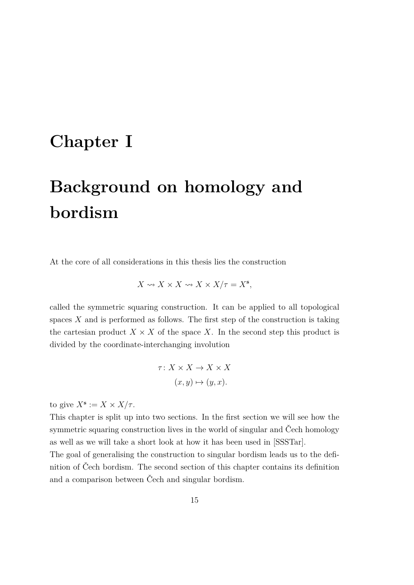# <span id="page-14-0"></span>**Chapter I**

# **Background on homology and bordism**

At the core of all considerations in this thesis lies the construction

$$
X \rightsquigarrow X \times X \rightsquigarrow X \times X/\tau = X^{\mathbf{s}},
$$

called the symmetric squaring construction. It can be applied to all topological spaces *X* and is performed as follows. The first step of the construction is taking the cartesian product  $X \times X$  of the space X. In the second step this product is divided by the coordinate-interchanging involution

$$
\tau: X \times X \to X \times X
$$

$$
(x, y) \mapsto (y, x).
$$

to give  $X^{\mathbf{s}} := X \times X/\tau$ .

This chapter is split up into two sections. In the first section we will see how the symmetric squaring construction lives in the world of singular and Čech homology as well as we will take a short look at how it has been used in [\[SSSTar\]](#page-82-0).

The goal of generalising the construction to singular bordism leads us to the definition of Čech bordism. The second section of this chapter contains its definition and a comparison between Čech and singular bordism.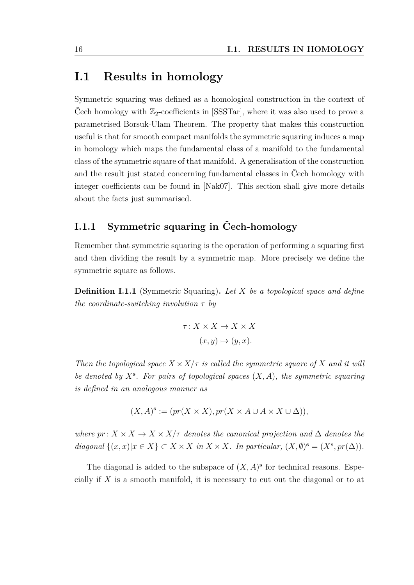### <span id="page-15-0"></span>**I.1 Results in homology**

Symmetric squaring was defined as a homological construction in the context of Čech homology with  $\mathbb{Z}_2$ -coefficients in [\[SSSTar\]](#page-82-0), where it was also used to prove a parametrised Borsuk-Ulam Theorem. The property that makes this construction useful is that for smooth compact manifolds the symmetric squaring induces a map in homology which maps the fundamental class of a manifold to the fundamental class of the symmetric square of that manifold. A generalisation of the construction and the result just stated concerning fundamental classes in Čech homology with integer coefficients can be found in [\[Nak07\]](#page-81-0). This section shall give more details about the facts just summarised.

### <span id="page-15-1"></span>**I.1.1 Symmetric squaring in Čech-homology**

Remember that symmetric squaring is the operation of performing a squaring first and then dividing the result by a symmetric map. More precisely we define the symmetric square as follows.

<span id="page-15-2"></span>**Definition I.1.1** (Symmetric Squaring)**.** *Let X be a topological space and define the coordinate-switching involution τ by*

$$
\tau: X \times X \to X \times X
$$

$$
(x, y) \mapsto (y, x).
$$

*Then the topological space*  $X \times X/\tau$  *is called the symmetric square of* X *and it will be denoted by X***<sup>s</sup>** *. For pairs of topological spaces* (*X, A*)*, the symmetric squaring is defined in an analogous manner as*

$$
(X, A)^{\mathbf{s}} := (pr(X \times X), pr(X \times A \cup A \times X \cup \Delta)),
$$

*where*  $pr: X \times X \rightarrow X \times X/\tau$  *denotes the canonical projection and*  $\Delta$  *denotes the diagonal*  $\{(x, x) | x \in X\} \subset X \times X$  *in*  $X \times X$ *. In particular,*  $(X, \emptyset)^s = (X^s, pr(\Delta))$ *.* 

The diagonal is added to the subspace of  $(X, A)$ <sup>s</sup> for technical reasons. Especially if *X* is a smooth manifold, it is necessary to cut out the diagonal or to at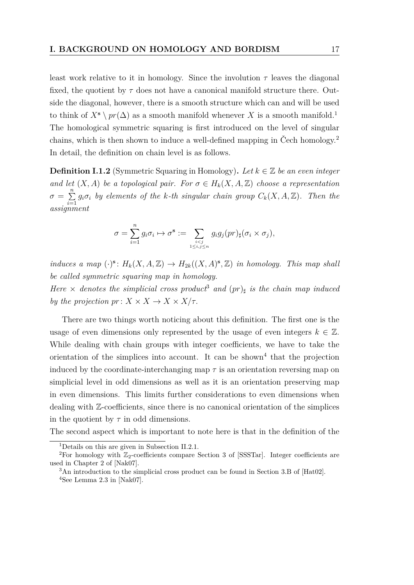least work relative to it in homology. Since the involution  $\tau$  leaves the diagonal fixed, the quotient by  $\tau$  does not have a canonical manifold structure there. Outside the diagonal, however, there is a smooth structure which can and will be used to think of  $X^s \setminus pr(\Delta)$  as a smooth manifold whenever X is a smooth manifold.<sup>[1](#page-16-0)</sup> The homological symmetric squaring is first introduced on the level of singular chains, which is then shown to induce a well-defined mapping in Čech homology.[2](#page-16-1) In detail, the definition on chain level is as follows.

<span id="page-16-4"></span>**Definition I.1.2** (Symmetric Squaring in Homology). Let  $k \in \mathbb{Z}$  be an even integer *and let*  $(X, A)$  *be a topological pair. For*  $\sigma \in H_k(X, A, \mathbb{Z})$  *choose a representation*  $\sigma = \sum^{n}$  $\sum_{i=1}^{n} g_i \sigma_i$  by elements of the *k*-th singular chain group  $C_k(X, A, \mathbb{Z})$ . Then the *assignment*

$$
\sigma = \sum_{i=1}^n g_i \sigma_i \mapsto \sigma^{\mathbf{s}} := \sum_{\substack{i < j \\ 1 \le i, j \le n}} g_i g_j(pr)_{\sharp}(\sigma_i \times \sigma_j),
$$

*induces a map*  $(\cdot)$ <sup>s</sup>:  $H_k(X, A, \mathbb{Z}) \to H_{2k}((X, A)^s, \mathbb{Z})$  *in homology. This map shall be called symmetric squaring map in homology.*

*Here*  $\times$  *denotes the simplicial cross product*<sup>[3](#page-16-2)</sup> *and*  $(pr)$ <sub>*j*</sub> *is the chain map induced by the projection*  $pr: X \times X \rightarrow X \times X/\tau$ .

There are two things worth noticing about this definition. The first one is the usage of even dimensions only represented by the usage of even integers  $k \in \mathbb{Z}$ . While dealing with chain groups with integer coefficients, we have to take the orientation of the simplices into account. It can be shown<sup>[4](#page-16-3)</sup> that the projection induced by the coordinate-interchanging map  $\tau$  is an orientation reversing map on simplicial level in odd dimensions as well as it is an orientation preserving map in even dimensions. This limits further considerations to even dimensions when dealing with Z-coefficients, since there is no canonical orientation of the simplices in the quotient by  $\tau$  in odd dimensions.

The second aspect which is important to note here is that in the definition of the

<span id="page-16-1"></span><span id="page-16-0"></span><sup>1</sup>Details on this are given in [Subsection II.2.1.](#page-44-0)

<sup>&</sup>lt;sup>2</sup>For homology with  $\mathbb{Z}_2$ -coefficients compare Section 3 of [\[SSSTar\]](#page-82-0). Integer coefficients are used in Chapter 2 of [\[Nak07\]](#page-81-0).

<span id="page-16-3"></span><span id="page-16-2"></span> $3\text{An introduction to the simplicial cross product can be found in Section 3.B of }[\text{Hat}02].$  $4$ See Lemma 2.3 in [\[Nak07\]](#page-81-0).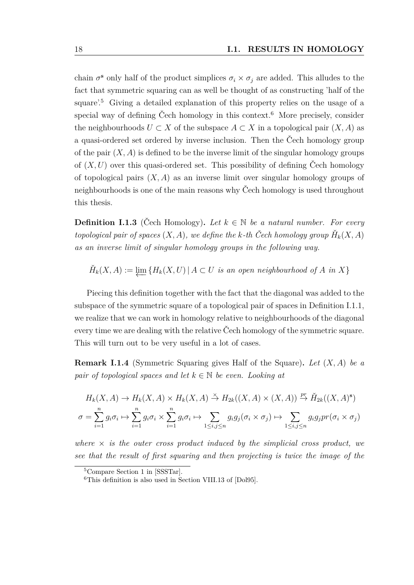chain  $\sigma^s$  only half of the product simplices  $\sigma_i \times \sigma_j$  are added. This alludes to the fact that symmetric squaring can as well be thought of as constructing 'half of the square'.[5](#page-17-0) Giving a detailed explanation of this property relies on the usage of a special way of defining Čech homology in this context.<sup>[6](#page-17-1)</sup> More precisely, consider the neighbourhoods  $U \subset X$  of the subspace  $A \subset X$  in a topological pair  $(X, A)$  as a quasi-ordered set ordered by inverse inclusion. Then the Čech homology group of the pair  $(X, A)$  is defined to be the inverse limit of the singular homology groups of  $(X, U)$  over this quasi-ordered set. This possibility of defining Čech homology of topological pairs  $(X, A)$  as an inverse limit over singular homology groups of neighbourhoods is one of the main reasons why Čech homology is used throughout this thesis.

<span id="page-17-2"></span>**Definition I.1.3** (Čech Homology). Let  $k \in \mathbb{N}$  be a natural number. For every *topological pair of spaces*  $(X, A)$ , we define the k-th Čech homology group  $\check{H}_k(X, A)$ *as an inverse limit of singular homology groups in the following way.*

$$
\check{H}_k(X, A) := \varprojlim \{ H_k(X, U) \mid A \subset U \text{ is an open neighborhood of } A \text{ in } X \}
$$

Piecing this definition together with the fact that the diagonal was added to the subspace of the symmetric square of a topological pair of spaces in [Definition I.1.1,](#page-15-2) we realize that we can work in homology relative to neighbourhoods of the diagonal every time we are dealing with the relative Čech homology of the symmetric square. This will turn out to be very useful in a lot of cases.

**Remark I.1.4** (Symmetric Squaring gives Half of the Square)**.** *Let* (*X, A*) *be a pair of topological spaces and let*  $k \in \mathbb{N}$  *be even. Looking at* 

$$
H_k(X, A) \to H_k(X, A) \times H_k(X, A) \stackrel{\times}{\to} H_{2k}((X, A) \times (X, A)) \stackrel{pr}{\to} \check{H}_{2k}((X, A)^s)
$$
  

$$
\sigma = \sum_{i=1}^n g_i \sigma_i \mapsto \sum_{i=1}^n g_i \sigma_i \times \sum_{i=1}^n g_i \sigma_i \mapsto \sum_{1 \le i, j \le n} g_i g_j(\sigma_i \times \sigma_j) \mapsto \sum_{1 \le i, j \le n} g_i g_j pr(\sigma_i \times \sigma_j)
$$

where  $\times$  *is the outer cross product induced by the simplicial cross product, we see that the result of first squaring and then projecting is twice the image of the*

<span id="page-17-0"></span><sup>5</sup>Compare Section 1 in [\[SSSTar\]](#page-82-0).

<span id="page-17-1"></span><sup>6</sup>This definition is also used in Section VIII.13 of [\[Dol95\]](#page-80-2).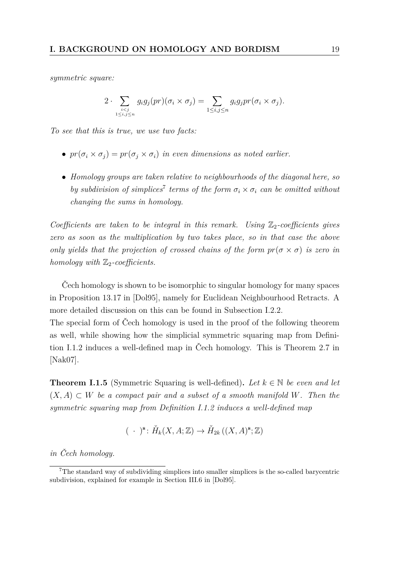*symmetric square:*

$$
2 \cdot \sum_{\substack{i < j \\ 1 \le i, j \le n}} g_i g_j(pr) (\sigma_i \times \sigma_j) = \sum_{1 \le i, j \le n} g_i g_j pr (\sigma_i \times \sigma_j).
$$

*To see that this is true, we use two facts:*

- $pr(\sigma_i \times \sigma_j) = pr(\sigma_j \times \sigma_i)$  *in even dimensions as noted earlier.*
- *Homology groups are taken relative to neighbourhoods of the diagonal here, so by subdivision of simplices*<sup>[7](#page-18-0)</sup> *terms of the form*  $\sigma_i \times \sigma_i$  *can be omitted without changing the sums in homology.*

*Coefficients are taken to be integral in this remark. Using*  $\mathbb{Z}_2$ -coefficients gives *zero as soon as the multiplication by two takes place, so in that case the above only yields that the projection of crossed chains of the form*  $pr(\sigma \times \sigma)$  *is zero in homology with*  $\mathbb{Z}_2$ -coefficients.

Čech homology is shown to be isomorphic to singular homology for many spaces in Proposition 13.17 in [\[Dol95\]](#page-80-2), namely for Euclidean Neighbourhood Retracts. A more detailed discussion on this can be found in [Subsection I.2.2.](#page-25-0)

The special form of Čech homology is used in the proof of the following theorem as well, while showing how the simplicial symmetric squaring map from [Defini](#page-16-4)[tion I.1.2](#page-16-4) induces a well-defined map in Čech homology. This is Theorem 2.7 in [\[Nak07\]](#page-81-0).

<span id="page-18-1"></span>**Theorem I.1.5** (Symmetric Squaring is well-defined). Let  $k \in \mathbb{N}$  be even and let  $(X, A) \subset W$  *be a compact pair and a subset of a smooth manifold W. Then the symmetric squaring map from [Definition I.1.2](#page-16-4) induces a well-defined map*

$$
(\ \cdot\ )^{\mathbf{s}}\colon \check{H}_k(X,A;\mathbb{Z})\to \check{H}_{2k}\left((X,A)^{\mathbf{s}};\mathbb{Z}\right)
$$

*in Čech homology.*

<span id="page-18-0"></span><sup>7</sup>The standard way of subdividing simplices into smaller simplices is the so-called barycentric subdivision, explained for example in Section III.6 in [\[Dol95\]](#page-80-2).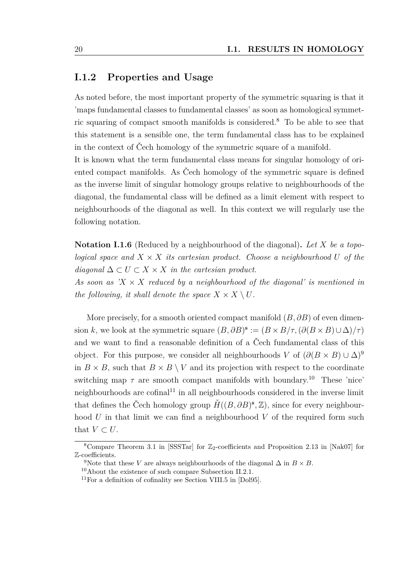#### <span id="page-19-0"></span>**I.1.2 Properties and Usage**

As noted before, the most important property of the symmetric squaring is that it 'maps fundamental classes to fundamental classes' as soon as homological symmetric squaring of compact smooth manifolds is considered.[8](#page-19-1) To be able to see that this statement is a sensible one, the term fundamental class has to be explained in the context of Čech homology of the symmetric square of a manifold.

It is known what the term fundamental class means for singular homology of oriented compact manifolds. As Čech homology of the symmetric square is defined as the inverse limit of singular homology groups relative to neighbourhoods of the diagonal, the fundamental class will be defined as a limit element with respect to neighbourhoods of the diagonal as well. In this context we will regularly use the following notation.

**Notation I.1.6** (Reduced by a neighbourhood of the diagonal)**.** *Let X be a topological space and*  $X \times X$  *its cartesian product. Choose a neighbourhood* U *of the*  $diagonal \Delta ⊂ U ⊂ X × X$  *in the cartesian product.* As soon as  $X \times X$  *reduced by a neighbourhood of the diagonal' is mentioned in the following, it shall denote the space*  $X \times X \setminus U$ .

More precisely, for a smooth oriented compact manifold (*B, ∂B*) of even dimension *k*, we look at the symmetric square  $(B, \partial B)^s := (B \times B/\tau, (\partial (B \times B) \cup \Delta)/\tau)$ and we want to find a reasonable definition of a Čech fundamental class of this object. For this purpose, we consider all neighbourhoods *V* of  $(\partial(B \times B) \cup \Delta)^9$  $(\partial(B \times B) \cup \Delta)^9$ in  $B \times B$ , such that  $B \times B \setminus V$  and its projection with respect to the coordinate switching map  $\tau$  are smooth compact manifolds with boundary.<sup>[10](#page-19-3)</sup> These 'nice' neighbourhoods are cofinal<sup>[11](#page-19-4)</sup> in all neighbourhoods considered in the inverse limit that defines the Čech homology group  $\check{H}((B, \partial B)^s, \mathbb{Z})$ , since for every neighbourhood *U* in that limit we can find a neighbourhood *V* of the required form such that  $V \subset U$ .

<span id="page-19-1"></span><sup>&</sup>lt;sup>8</sup>Compare Theorem 3.1 in [\[SSSTar\]](#page-82-0) for  $\mathbb{Z}_2$ -coefficients and Proposition 2.13 in [\[Nak07\]](#page-81-0) for Z-coefficients.

<span id="page-19-2"></span><sup>&</sup>lt;sup>9</sup>Note that these *V* are always neighbourhoods of the diagonal  $\Delta$  in  $B \times B$ .

<span id="page-19-3"></span><sup>10</sup>About the existence of such compare [Subsection II.2.1.](#page-44-0)

<span id="page-19-4"></span> $11$  For a definition of cofinality see Section VIII.5 in [\[Dol95\]](#page-80-2).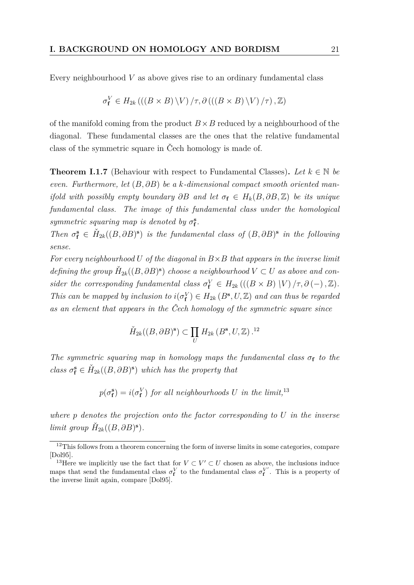Every neighbourhood *V* as above gives rise to an ordinary fundamental class

$$
\sigma_{\mathbf{f}}^V \in H_{2k} \left( \left( \left( B \times B \right) \backslash V \right) / \tau, \partial \left( \left( \left( B \times B \right) \backslash V \right) / \tau \right), \mathbb{Z} \right)
$$

of the manifold coming from the product  $B \times B$  reduced by a neighbourhood of the diagonal. These fundamental classes are the ones that the relative fundamental class of the symmetric square in Čech homology is made of.

<span id="page-20-2"></span>**Theorem I.1.7** (Behaviour with respect to Fundamental Classes). Let  $k \in \mathbb{N}$  be *even. Furthermore, let* (*B, ∂B*) *be a k-dimensional compact smooth oriented manifold with possibly empty boundary*  $\partial B$  *and let*  $\sigma_f \in H_k(B, \partial B, \mathbb{Z})$  *be its unique fundamental class. The image of this fundamental class under the homological symmetric squaring map is denoted by*  $\sigma_f^s$ .

*Then*  $\sigma_f^s \in H_{2k}((B, \partial B)^s)$  *is the fundamental class of*  $(B, \partial B)^s$  *in the following sense.*

*For every neighbourhood U of the diagonal in B*×*B that appears in the inverse limit defining the group*  $\check{H}_{2k}((B, \partial B)^s)$  *choose a neighbourhood*  $V \subset U$  *as above and consider the corresponding fundamental class*  $\sigma_f^V \in H_{2k}(((B \times B) \mid V) / \tau, \partial(-), \mathbb{Z})$ *. This can be mapped by inclusion to*  $i(\sigma_f^V) \in H_{2k}(B^s, U, \mathbb{Z})$  *and can thus be regarded as an element that appears in the Čech homology of the symmetric square since*

$$
\check{H}_{2k}((B,\partial B)^s) \subset \prod_U H_{2k}(B^s,U,\mathbb{Z})^{12}
$$

*The symmetric squaring map in homology maps the fundamental class*  $\sigma_f$  *to the class*  $\sigma_f^s \in H_{2k}((B, \partial B)^s)$  *which has the property that* 

 $p(\sigma_{\mathbf{f}}^{\mathbf{s}}) = i(\sigma_{\mathbf{f}}^V)$  *for all neighbourhoods U in the limit*,<sup>[13](#page-20-1)</sup>

*where p denotes the projection onto the factor corresponding to U in the inverse limit group*  $\check{H}_{2k}((B, \partial B)^s)$ *.* 

<span id="page-20-0"></span> $12$ This follows from a theorem concerning the form of inverse limits in some categories, compare [\[Dol95\]](#page-80-2).

<span id="page-20-1"></span><sup>&</sup>lt;sup>13</sup>Here we implicitly use the fact that for  $V \subset V' \subset U$  chosen as above, the inclusions induce maps that send the fundamental class  $\sigma_f^V$  to the fundamental class  $\sigma_f^{V'}$ . This is a property of the inverse limit again, compare [\[Dol95\]](#page-80-2).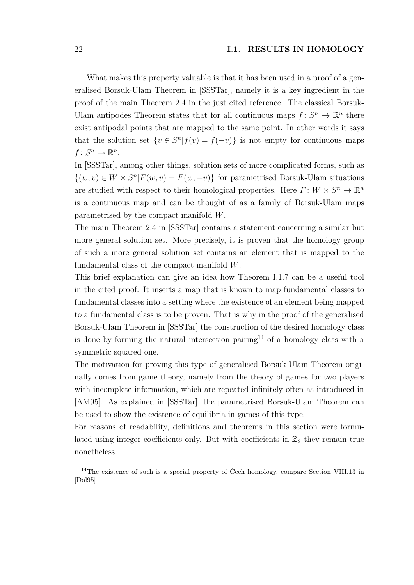What makes this property valuable is that it has been used in a proof of a generalised Borsuk-Ulam Theorem in [\[SSSTar\]](#page-82-0), namely it is a key ingredient in the proof of the main Theorem 2.4 in the just cited reference. The classical Borsuk-Ulam antipodes Theorem states that for all continuous maps  $f: S^n \to \mathbb{R}^n$  there exist antipodal points that are mapped to the same point. In other words it says that the solution set  $\{v \in S^n | f(v) = f(-v)\}$  is not empty for continuous maps  $f: S^n \to \mathbb{R}^n$ .

In [\[SSSTar\]](#page-82-0), among other things, solution sets of more complicated forms, such as  $\{(w, v) \in W \times S^n | F(w, v) = F(w, -v)\}\$ for parametrised Borsuk-Ulam situations are studied with respect to their homological properties. Here  $F: W \times S^n \to \mathbb{R}^n$ is a continuous map and can be thought of as a family of Borsuk-Ulam maps parametrised by the compact manifold *W*.

The main Theorem 2.4 in [\[SSSTar\]](#page-82-0) contains a statement concerning a similar but more general solution set. More precisely, it is proven that the homology group of such a more general solution set contains an element that is mapped to the fundamental class of the compact manifold *W*.

This brief explanation can give an idea how [Theorem I.1.7](#page-20-2) can be a useful tool in the cited proof. It inserts a map that is known to map fundamental classes to fundamental classes into a setting where the existence of an element being mapped to a fundamental class is to be proven. That is why in the proof of the generalised Borsuk-Ulam Theorem in [\[SSSTar\]](#page-82-0) the construction of the desired homology class is done by forming the natural intersection pairing<sup>[14](#page-21-0)</sup> of a homology class with a symmetric squared one.

The motivation for proving this type of generalised Borsuk-Ulam Theorem originally comes from game theory, namely from the theory of games for two players with incomplete information, which are repeated infinitely often as introduced in [\[AM95\]](#page-79-1). As explained in [\[SSSTar\]](#page-82-0), the parametrised Borsuk-Ulam Theorem can be used to show the existence of equilibria in games of this type.

For reasons of readability, definitions and theorems in this section were formulated using integer coefficients only. But with coefficients in  $\mathbb{Z}_2$  they remain true nonetheless.

<span id="page-21-0"></span><sup>&</sup>lt;sup>14</sup>The existence of such is a special property of Čech homology, compare Section VIII.13 in [\[Dol95\]](#page-80-2)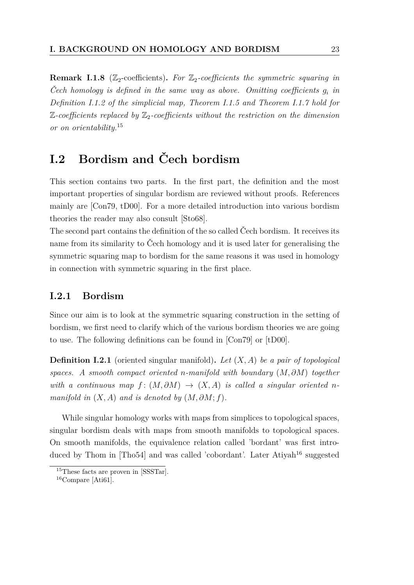**Remark I.1.8** ( $\mathbb{Z}_2$ -coefficients). For  $\mathbb{Z}_2$ -coefficients the symmetric squaring in *Čech homology is defined in the same way as above. Omitting coefficients g<sup>i</sup> in [Definition I.1.2](#page-16-4) of the simplicial map, [Theorem I.1.5](#page-18-1) and [Theorem I.1.7](#page-20-2) hold for*  $\mathbb{Z}\text{-coefficients replaced by }\mathbb{Z}_2\text{-coefficients without the restriction on the dimension.}$ *or on orientability.*[15](#page-22-2)

## <span id="page-22-0"></span>**I.2 Bordism and Čech bordism**

This section contains two parts. In the first part, the definition and the most important properties of singular bordism are reviewed without proofs. References mainly are [\[Con79,](#page-80-1) [tD00\]](#page-82-3). For a more detailed introduction into various bordism theories the reader may also consult [\[Sto68\]](#page-82-4).

The second part contains the definition of the so called Čech bordism. It receives its name from its similarity to Čech homology and it is used later for generalising the symmetric squaring map to bordism for the same reasons it was used in homology in connection with symmetric squaring in the first place.

#### <span id="page-22-1"></span>**I.2.1 Bordism**

Since our aim is to look at the symmetric squaring construction in the setting of bordism, we first need to clarify which of the various bordism theories we are going to use. The following definitions can be found in [\[Con79\]](#page-80-1) or [\[tD00\]](#page-82-3).

**Definition I.2.1** (oriented singular manifold)**.** *Let* (*X, A*) *be a pair of topological spaces. A smooth compact oriented n-manifold with boundary* (*M, ∂M*) *together with a continuous map*  $f : (M, \partial M) \rightarrow (X, A)$  *is called a singular oriented n manifold in*  $(X, A)$  *and is denoted by*  $(M, \partial M; f)$ *.* 

While singular homology works with maps from simplices to topological spaces, singular bordism deals with maps from smooth manifolds to topological spaces. On smooth manifolds, the equivalence relation called 'bordant' was first intro-duced by Thom in [\[Tho54\]](#page-82-2) and was called 'cobordant'. Later Atiyah<sup>[16](#page-22-3)</sup> suggested

<span id="page-22-2"></span><sup>15</sup>These facts are proven in [\[SSSTar\]](#page-82-0).

<span id="page-22-3"></span><sup>16</sup>Compare [\[Ati61\]](#page-79-2).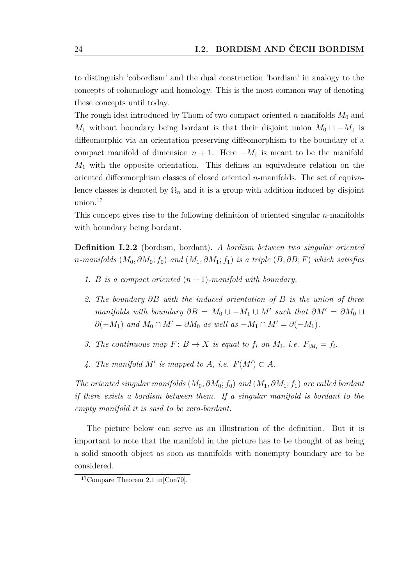to distinguish 'cobordism' and the dual construction 'bordism' in analogy to the concepts of cohomology and homology. This is the most common way of denoting these concepts until today.

The rough idea introduced by Thom of two compact oriented *n*-manifolds  $M_0$  and *M*<sub>1</sub> without boundary being bordant is that their disjoint union  $M_0 \sqcup -M_1$  is diffeomorphic via an orientation preserving diffeomorphism to the boundary of a compact manifold of dimension  $n + 1$ . Here  $-M_1$  is meant to be the manifold *M*<sup>1</sup> with the opposite orientation. This defines an equivalence relation on the oriented diffeomorphism classes of closed oriented *n*-manifolds. The set of equivalence classes is denoted by  $\Omega_n$  and it is a group with addition induced by disjoint union.[17](#page-23-0)

This concept gives rise to the following definition of oriented singular *n*-manifolds with boundary being bordant.

<span id="page-23-1"></span>**Definition I.2.2** (bordism, bordant)**.** *A bordism between two singular oriented n-manifolds* (*M*0*, ∂M*0; *f*0) *and* (*M*1*, ∂M*1; *f*1) *is a triple* (*B, ∂B*; *F*) *which satisfies*

- *1. B is a compact oriented* (*n* + 1)*-manifold with boundary.*
- *2. The boundary ∂B with the induced orientation of B is the union of three manifolds with boundary*  $\partial B = M_0 \cup -M_1 \cup M'$  such that  $\partial M' = \partial M_0 \cup$ *∂*(−*M*<sub>1</sub>) *and*  $M_0 \cap M' = \partial M_0$  *as well as* −*M*<sub>1</sub> ∩  $M' = \partial (-M_1)$ *.*
- *3. The continuous map*  $F: B \to X$  *is equal to*  $f_i$  *on*  $M_i$ *, i.e.*  $F_{|M_i} = f_i$ *.*
- 4. The manifold  $M'$  is mapped to  $A$ , i.e.  $F(M') \subset A$ .

*The oriented singular manifolds* (*M*0*, ∂M*0; *f*0) *and* (*M*1*, ∂M*1; *f*1) *are called bordant if there exists a bordism between them. If a singular manifold is bordant to the empty manifold it is said to be zero-bordant.*

The picture below can serve as an illustration of the definition. But it is important to note that the manifold in the picture has to be thought of as being a solid smooth object as soon as manifolds with nonempty boundary are to be considered.

<span id="page-23-0"></span><sup>17</sup>Compare Theorem 2.1 in[\[Con79\]](#page-80-1).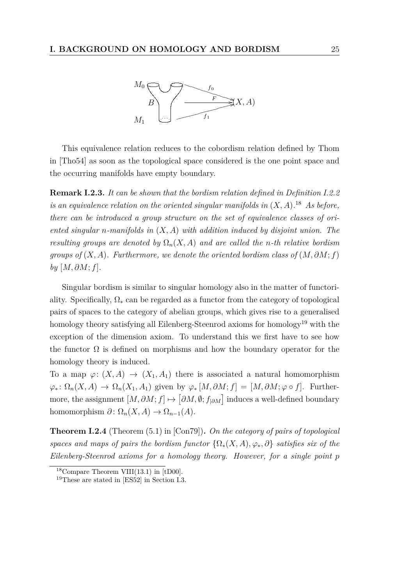

This equivalence relation reduces to the cobordism relation defined by Thom in [\[Tho54\]](#page-82-2) as soon as the topological space considered is the one point space and the occurring manifolds have empty boundary.

**Remark I.2.3.** *It can be shown that the bordism relation defined in [Definition I.2.2](#page-23-1) is an equivalence relation on the oriented singular manifolds in* (*X, A*)*.* [18](#page-24-0) *As before, there can be introduced a group structure on the set of equivalence classes of oriented singular n-manifolds in* (*X, A*) *with addition induced by disjoint union. The resulting groups are denoted by*  $\Omega_n(X, A)$  *and are called the n-th relative bordism groups of*  $(X, A)$ *. Furthermore, we denote the oriented bordism class of*  $(M, \partial M; f)$  $by [M, \partial M; f].$ 

Singular bordism is similar to singular homology also in the matter of functoriality. Specifically,  $\Omega_*$  can be regarded as a functor from the category of topological pairs of spaces to the category of abelian groups, which gives rise to a generalised homology theory satisfying all Eilenberg-Steenrod axioms for homology<sup>[19](#page-24-1)</sup> with the exception of the dimension axiom. To understand this we first have to see how the functor  $\Omega$  is defined on morphisms and how the boundary operator for the homology theory is induced.

To a map  $\varphi: (X, A) \to (X_1, A_1)$  there is associated a natural homomorphism  $\varphi_* \colon \Omega_n(X, A) \to \Omega_n(X_1, A_1)$  given by  $\varphi_*[M, \partial M; f] = [M, \partial M; \varphi \circ f]$ . Furthermore, the assignment  $[M, \partial M; f] \mapsto [\partial M, \emptyset; f_{|\partial M}]$  induces a well-defined boundary homomorphism  $\partial$ :  $\Omega_n(X, A) \to \Omega_{n-1}(A)$ .

**Theorem I.2.4** (Theorem (5.1) in [\[Con79\]](#page-80-1))**.** *On the category of pairs of topological spaces and maps of pairs the bordism functor*  $\{\Omega_*(X,A), \varphi_*, \partial\}$  *satisfies six of the Eilenberg-Steenrod axioms for a homology theory. However, for a single point p*

<span id="page-24-0"></span> $18$ Compare Theorem VIII(13.1) in [\[tD00\]](#page-82-3).

<span id="page-24-1"></span><sup>19</sup>These are stated in [\[ES52\]](#page-80-3) in Section I.3.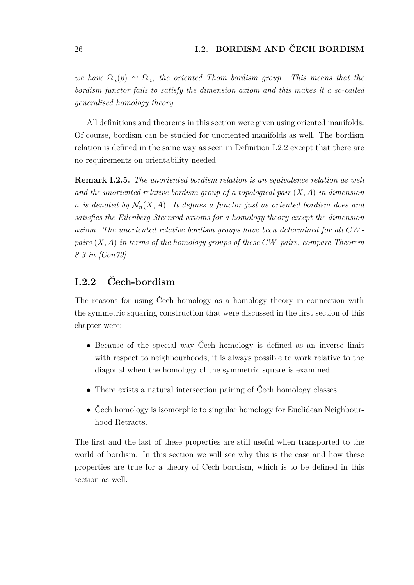*we have*  $\Omega_n(p) \simeq \Omega_n$ , the oriented Thom bordism group. This means that the *bordism functor fails to satisfy the dimension axiom and this makes it a so-called generalised homology theory.*

All definitions and theorems in this section were given using oriented manifolds. Of course, bordism can be studied for unoriented manifolds as well. The bordism relation is defined in the same way as seen in [Definition I.2.2](#page-23-1) except that there are no requirements on orientability needed.

**Remark I.2.5.** *The unoriented bordism relation is an equivalence relation as well and the unoriented relative bordism group of a topological pair* (*X, A*) *in dimension n* is denoted by  $\mathcal{N}_n(X, A)$ . It defines a functor just as oriented bordism does and *satisfies the Eilenberg-Steenrod axioms for a homology theory except the dimension axiom. The unoriented relative bordism groups have been determined for all CWpairs* (*X, A*) *in terms of the homology groups of these CW-pairs, compare Theorem 8.3 in [\[Con79\]](#page-80-1).*

### <span id="page-25-0"></span>**I.2.2 Čech-bordism**

The reasons for using Čech homology as a homology theory in connection with the symmetric squaring construction that were discussed in the first section of this chapter were:

- Because of the special way Čech homology is defined as an inverse limit with respect to neighbourhoods, it is always possible to work relative to the diagonal when the homology of the symmetric square is examined.
- There exists a natural intersection pairing of Čech homology classes.
- Čech homology is isomorphic to singular homology for Euclidean Neighbourhood Retracts.

The first and the last of these properties are still useful when transported to the world of bordism. In this section we will see why this is the case and how these properties are true for a theory of Čech bordism, which is to be defined in this section as well.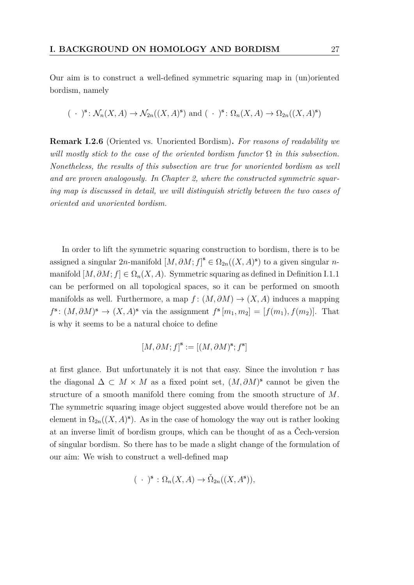Our aim is to construct a well-defined symmetric squaring map in (un)oriented bordism, namely

$$
(\cdot)^{\mathbf{s}}: \mathcal{N}_n(X, A) \to \mathcal{N}_{2n}((X, A)^{\mathbf{s}})
$$
 and  $(\cdot)^{\mathbf{s}}: \Omega_n(X, A) \to \Omega_{2n}((X, A)^{\mathbf{s}})$ 

<span id="page-26-0"></span>**Remark I.2.6** (Oriented vs. Unoriented Bordism)**.** *For reasons of readability we will mostly stick to the case of the oriented bordism functor*  $\Omega$  *in this subsection. Nonetheless, the results of this subsection are true for unoriented bordism as well and are proven analogously. In Chapter 2, where the constructed symmetric squaring map is discussed in detail, we will distinguish strictly between the two cases of oriented and unoriented bordism.*

In order to lift the symmetric squaring construction to bordism, there is to be assigned a singular 2*n*-manifold  $[M, \partial M; f]^s \in \Omega_{2n}((X, A)^s)$  to a given singular *n*manifold  $[M, \partial M; f] \in \Omega_n(X, A)$ . Symmetric squaring as defined in [Definition I.1.1](#page-15-2) can be performed on all topological spaces, so it can be performed on smooth manifolds as well. Furthermore, a map  $f : (M, \partial M) \to (X, A)$  induces a mapping  $f^{\mathbf{s}}$ :  $(M, \partial M)^{\mathbf{s}} \to (X, A)^{\mathbf{s}}$  via the assignment  $f^{\mathbf{s}}[m_1, m_2] = [f(m_1), f(m_2)]$ . That is why it seems to be a natural choice to define

$$
[M, \partial M; f]^\mathbf{s} := [(M, \partial M)^\mathbf{s}; f^\mathbf{s}]
$$

at first glance. But unfortunately it is not that easy. Since the involution  $\tau$  has the diagonal  $\Delta \subset M \times M$  as a fixed point set,  $(M, \partial M)^s$  cannot be given the structure of a smooth manifold there coming from the smooth structure of *M*. The symmetric squaring image object suggested above would therefore not be an element in  $\Omega_{2n}((X, A)^s)$ . As in the case of homology the way out is rather looking at an inverse limit of bordism groups, which can be thought of as a Čech-version of singular bordism. So there has to be made a slight change of the formulation of our aim: We wish to construct a well-defined map

$$
(\ \cdot\ )^{\mathbf{s}}:\Omega_n(X,A)\to\check{\Omega}_{2n}((X,A^{\mathbf{s}})),
$$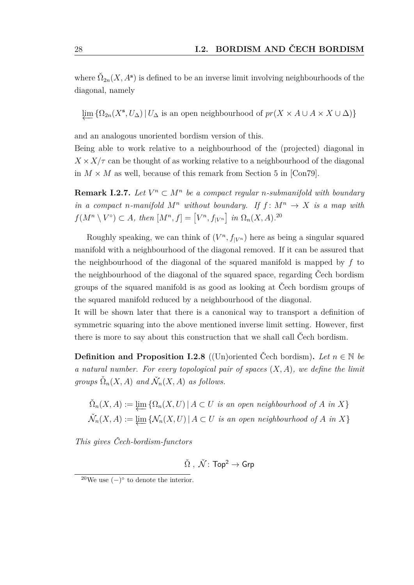where  $\check{\Omega}_{2n}(X, A^s)$  is defined to be an inverse limit involving neighbourhoods of the diagonal, namely

 $\varprojlim \{ \Omega_{2n}(X^{\mathbf{s}}, U_{\Delta}) | U_{\Delta} \text{ is an open neighbourhood of } pr(X \times A \cup A \times X \cup \Delta) \}$ 

and an analogous unoriented bordism version of this.

Being able to work relative to a neighbourhood of the (projected) diagonal in  $X \times X/\tau$  can be thought of as working relative to a neighbourhood of the diagonal in  $M \times M$  as well, because of this remark from Section 5 in [\[Con79\]](#page-80-1).

**Remark I.2.7.** *Let*  $V^n \subset M^n$  *be a compact regular n-submanifold with boundary in a compact n-manifold*  $M^n$  *without boundary.* If  $f: M^n \to X$  *is a map with*  $f(M^n \setminus V^{\circ}) \subset A$ , then  $[M^n, f] = [V^n, f_{|V^n}]$  in  $\Omega_n(X, A)$ .<sup>[20](#page-27-1)</sup>

Roughly speaking, we can think of  $(V^n, f_{|V^n})$  here as being a singular squared manifold with a neighbourhood of the diagonal removed. If it can be assured that the neighbourhood of the diagonal of the squared manifold is mapped by *f* to the neighbourhood of the diagonal of the squared space, regarding Čech bordism groups of the squared manifold is as good as looking at Čech bordism groups of the squared manifold reduced by a neighbourhood of the diagonal.

It will be shown later that there is a canonical way to transport a definition of symmetric squaring into the above mentioned inverse limit setting. However, first there is more to say about this construction that we shall call Čech bordism.

<span id="page-27-0"></span>**Definition and Proposition I.2.8** ((Un)oriented Čech bordism). Let  $n \in \mathbb{N}$  be *a natural number. For every topological pair of spaces* (*X, A*)*, we define the limit*  $groups \check{\Omega}_n(X, A)$  *and*  $\check{\mathcal{N}}_n(X, A)$  *as follows.* 

$$
\tilde{\Omega}_n(X, A) := \varprojlim \left\{ \Omega_n(X, U) \mid A \subset U \text{ is an open neighborhood of } A \text{ in } X \right\}
$$
  

$$
\tilde{\mathcal{N}}_n(X, A) := \varprojlim \left\{ \mathcal{N}_n(X, U) \mid A \subset U \text{ is an open neighborhood of } A \text{ in } X \right\}
$$

*This gives Čech-bordism-functors*

$$
\check{\Omega}\;,\;\check{\mathcal{N}}\colon\mathsf{Top}^2\to\mathsf{Grp}
$$

<span id="page-27-1"></span><sup>&</sup>lt;sup>20</sup>We use  $(-)^\circ$  to denote the interior.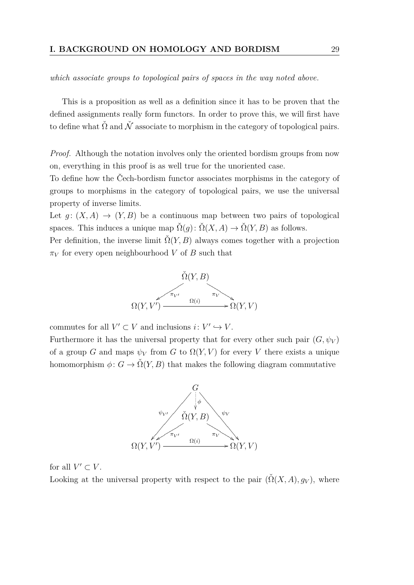*which associate groups to topological pairs of spaces in the way noted above.*

This is a proposition as well as a definition since it has to be proven that the defined assignments really form functors. In order to prove this, we will first have to define what  $\check{\Omega}$  and  $\check{\mathcal{N}}$  associate to morphism in the category of topological pairs.

*Proof.* Although the notation involves only the oriented bordism groups from now on, everything in this proof is as well true for the unoriented case.

To define how the Čech-bordism functor associates morphisms in the category of groups to morphisms in the category of topological pairs, we use the universal property of inverse limits.

Let  $q: (X, A) \to (Y, B)$  be a continuous map between two pairs of topological spaces. This induces a unique map  $\check{\Omega}(q)$ :  $\check{\Omega}(X, A) \to \check{\Omega}(Y, B)$  as follows.

Per definition, the inverse limit  $\check{\Omega}(Y, B)$  always comes together with a projection  $\pi_V$  for every open neighbourhood *V* of *B* such that



commutes for all  $V' \subset V$  and inclusions  $i: V' \hookrightarrow V$ .

Furthermore it has the universal property that for every other such pair  $(G, \psi_V)$ of a group *G* and maps  $\psi_V$  from *G* to  $\Omega(Y, V)$  for every *V* there exists a unique homomorphism  $\phi: G \to \check{\Omega}(Y, B)$  that makes the following diagram commutative



for all  $V' \subset V$ .

Looking at the universal property with respect to the pair  $(\check{\Omega}(X, A), g_V)$ , where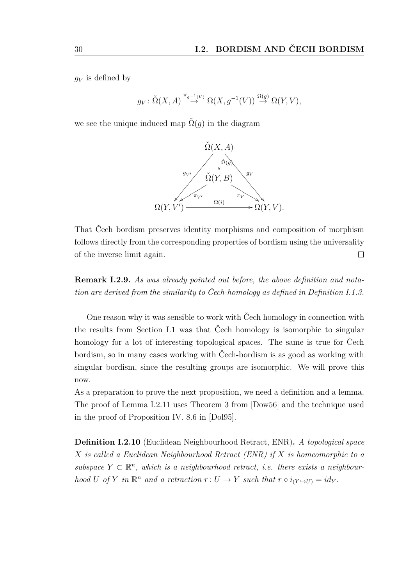$q_V$  is defined by

$$
g_V: \check{\Omega}(X, A) \stackrel{\pi_{g^{-1}(V)}}{\rightarrow} \Omega(X, g^{-1}(V)) \stackrel{\Omega(g)}{\rightarrow} \Omega(Y, V),
$$

we see the unique induced map  $\check{\Omega}(q)$  in the diagram



That Čech bordism preserves identity morphisms and composition of morphism follows directly from the corresponding properties of bordism using the universality of the inverse limit again.  $\Box$ 

**Remark I.2.9.** *As was already pointed out before, the above definition and notation are derived from the similarity to Čech-homology as defined in [Definition I.1.3.](#page-17-2)*

One reason why it was sensible to work with Čech homology in connection with the results from [Section I.1](#page-15-0) was that Čech homology is isomorphic to singular homology for a lot of interesting topological spaces. The same is true for Čech bordism, so in many cases working with Čech-bordism is as good as working with singular bordism, since the resulting groups are isomorphic. We will prove this now.

As a preparation to prove the next proposition, we need a definition and a lemma. The proof of [Lemma I.2.11](#page-30-0) uses Theorem 3 from [\[Dow56\]](#page-80-4) and the technique used in the proof of Proposition IV. 8.6 in [\[Dol95\]](#page-80-2).

<span id="page-29-0"></span>**Definition I.2.10** (Euclidean Neighbourhood Retract, ENR)**.** *A topological space X is called a Euclidean Neighbourhood Retract (ENR) if X is homeomorphic to a* subspace  $Y \subset \mathbb{R}^n$ , which is a neighbourhood retract, *i.e.* there exists a neighbour*hood U* of *Y in*  $\mathbb{R}^n$  *and a retraction*  $r: U \to Y$  *such that*  $r \circ i_{(Y \to U)} = id_Y$ .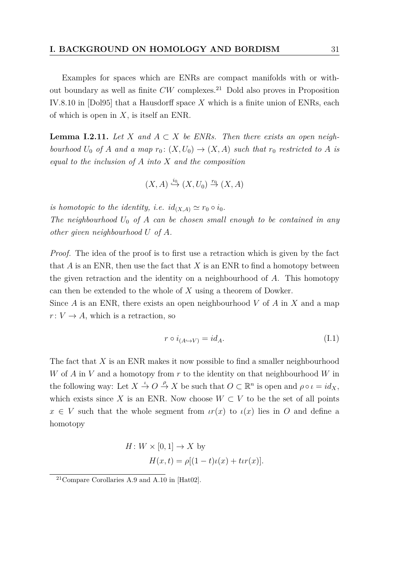Examples for spaces which are ENRs are compact manifolds with or without boundary as well as finite  $CW$  complexes.<sup>[21](#page-30-1)</sup> Dold also proves in Proposition IV.8.10 in [\[Dol95\]](#page-80-2) that a Hausdorff space *X* which is a finite union of ENRs, each of which is open in *X*, is itself an ENR.

<span id="page-30-0"></span>**Lemma I.2.11.** Let *X* and  $A \subset X$  be ENRs. Then there exists an open neigh*bourhood*  $U_0$  *of A and a map*  $r_0$ :  $(X, U_0) \rightarrow (X, A)$  *such that*  $r_0$  *restricted to A is equal to the inclusion of A into X and the composition*

$$
(X, A) \stackrel{i_0}{\hookrightarrow} (X, U_0) \stackrel{r_0}{\to} (X, A)
$$

*is homotopic to the identity, i.e.*  $id_{(X,A)} \simeq r_0 \circ i_0$ .

*The neighbourhood U*<sup>0</sup> *of A can be chosen small enough to be contained in any other given neighbourhood U of A.*

*Proof.* The idea of the proof is to first use a retraction which is given by the fact that  $A$  is an ENR, then use the fact that  $X$  is an ENR to find a homotopy between the given retraction and the identity on a neighbourhood of *A*. This homotopy can then be extended to the whole of *X* using a theorem of Dowker.

Since *A* is an ENR, there exists an open neighbourhood *V* of *A* in *X* and a map  $r: V \to A$ , which is a retraction, so

<span id="page-30-2"></span>
$$
r \circ i_{(A \hookrightarrow V)} = id_A. \tag{I.1}
$$

The fact that *X* is an ENR makes it now possible to find a smaller neighbourhood *W* of *A* in *V* and a homotopy from *r* to the identity on that neighbourhood *W* in the following way: Let  $X \stackrel{\iota}{\to} O \stackrel{\rho}{\to} X$  be such that  $O \subset \mathbb{R}^n$  is open and  $\rho \circ \iota = id_X$ , which exists since *X* is an ENR. Now choose  $W \subset V$  to be the set of all points  $x \in V$  such that the whole segment from  $\iota(r(x))$  to  $\iota(x)$  lies in O and define a homotopy

$$
H: W \times [0, 1] \to X
$$
 by  

$$
H(x, t) = \rho[(1 - t)\iota(x) + \iota t(x)].
$$

<span id="page-30-1"></span><sup>21</sup>Compare Corollaries A.9 and A.10 in [\[Hat02\]](#page-81-1).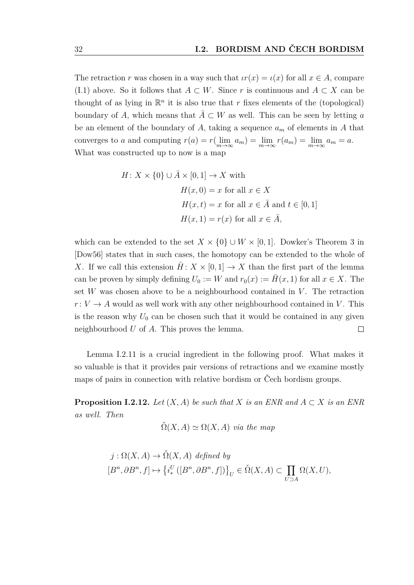The retraction *r* was chosen in a way such that  $\iota r(x) = \iota(x)$  for all  $x \in A$ , compare [\(I.1\)](#page-30-2) above. So it follows that *A* ⊂ *W*. Since *r* is continuous and *A* ⊂ *X* can be thought of as lying in  $\mathbb{R}^n$  it is also true that *r* fixes elements of the (topological) boundary of *A*, which means that  $A \subset W$  as well. This can be seen by letting *a* be an element of the boundary of *A*, taking a sequence *a<sup>m</sup>* of elements in *A* that converges to *a* and computing  $r(a) = r(\lim_{m \to \infty} a_m) = \lim_{m \to \infty} r(a_m) = \lim_{m \to \infty} a_m = a$ . What was constructed up to now is a map

$$
H: X \times \{0\} \cup \overline{A} \times [0, 1] \to X \text{ with}
$$

$$
H(x, 0) = x \text{ for all } x \in X
$$

$$
H(x, t) = x \text{ for all } x \in \overline{A} \text{ and } t \in [0, 1]
$$

$$
H(x, 1) = r(x) \text{ for all } x \in \overline{A},
$$

which can be extended to the set  $X \times \{0\} \cup W \times [0,1]$ . Dowker's Theorem 3 in [\[Dow56\]](#page-80-4) states that in such cases, the homotopy can be extended to the whole of *X*. If we call this extension  $\overline{H}$ :  $X \times [0,1] \rightarrow X$  than the first part of the lemma can be proven by simply defining  $U_0 := W$  and  $r_0(x) := H(x, 1)$  for all  $x \in X$ . The set  $W$  was chosen above to be a neighbourhood contained in  $V$ . The retraction  $r: V \to A$  would as well work with any other neighbourhood contained in *V*. This is the reason why  $U_0$  can be chosen such that it would be contained in any given neighbourhood *U* of *A*. This proves the lemma.  $\Box$ 

[Lemma I.2.11](#page-30-0) is a crucial ingredient in the following proof. What makes it so valuable is that it provides pair versions of retractions and we examine mostly maps of pairs in connection with relative bordism or Čech bordism groups.

<span id="page-31-0"></span>**Proposition I.2.12.** *Let*  $(X, A)$  *be such that*  $X$  *is an ENR and*  $A \subset X$  *is an ENR as well. Then*

$$
\check{\Omega}(X, A) \simeq \Omega(X, A) \text{ via the map}
$$

$$
j: \Omega(X, A) \to \check{\Omega}(X, A) \text{ defined by}
$$
  

$$
[B^n, \partial B^n, f] \mapsto \{i_*^U([B^n, \partial B^n, f])\}_U \in \check{\Omega}(X, A) \subset \prod_{U \supset A} \Omega(X, U),
$$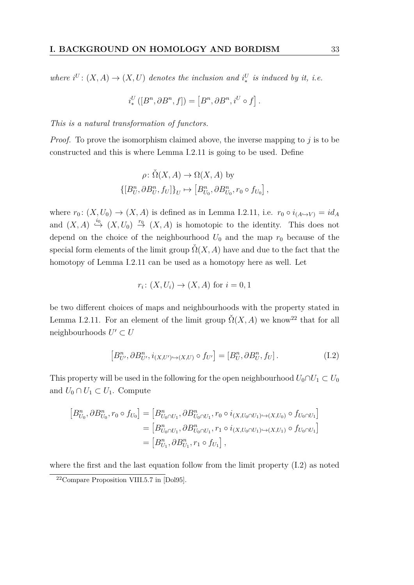*where*  $i^U$ :  $(X, A) \rightarrow (X, U)$  *denotes the inclusion and*  $i^U_*$  *is induced by it, i.e.* 

$$
i^U_*\left([B^n, \partial B^n, f ]\right) = \left[B^n, \partial B^n, i^U \circ f\right].
$$

*This is a natural transformation of functors.*

*Proof.* To prove the isomorphism claimed above, the inverse mapping to *j* is to be constructed and this is where [Lemma I.2.11](#page-30-0) is going to be used. Define

$$
\rho: \check{\Omega}(X, A) \to \Omega(X, A) \text{ by}
$$
  

$$
\{ [B_U^n, \partial B_U^n, f_U] \}_U \mapsto [B_{U_0}^n, \partial B_{U_0}^n, r_0 \circ f_{U_0} ],
$$

where  $r_0: (X, U_0) \to (X, A)$  is defined as in [Lemma I.2.11,](#page-30-0) i.e.  $r_0 \circ i_{(A \hookrightarrow V)} = id_A$ and  $(X, A) \stackrel{i_0}{\hookrightarrow} (X, U_0) \stackrel{r_0}{\to} (X, A)$  is homotopic to the identity. This does not depend on the choice of the neighbourhood  $U_0$  and the map  $r_0$  because of the special form elements of the limit group  $\Omega(X, A)$  have and due to the fact that the homotopy of [Lemma I.2.11](#page-30-0) can be used as a homotopy here as well. Let

<span id="page-32-1"></span>
$$
r_i \colon (X, U_i) \to (X, A) \text{ for } i = 0, 1
$$

be two different choices of maps and neighbourhoods with the property stated in [Lemma I.2.11.](#page-30-0) For an element of the limit group  $\check{Q}(X, A)$  we know<sup>[22](#page-32-0)</sup> that for all neighbourhoods  $U' \subset U$ 

$$
[B_{U'}^n, \partial B_{U'}^n, i_{(X,U')\hookrightarrow(X,U)} \circ f_{U'}] = [B_U^n, \partial B_U^n, f_U]. \tag{I.2}
$$

This property will be used in the following for the open neighbourhood  $U_0 \cap U_1 \subset U_0$ and  $U_0 \cap U_1 \subset U_1$ . Compute

$$
[B_{U_0}^n, \partial B_{U_0}^n, r_0 \circ f_{U_0}] = [B_{U_0 \cap U_1}^n, \partial B_{U_0 \cap U_1}^n, r_0 \circ i_{(X, U_0 \cap U_1) \hookrightarrow (X, U_0)} \circ f_{U_0 \cap U_1}]
$$
  
\n
$$
= [B_{U_0 \cap U_1}^n, \partial B_{U_0 \cap U_1}^n, r_1 \circ i_{(X, U_0 \cap U_1) \hookrightarrow (X, U_1)} \circ f_{U_0 \cap U_1}]
$$
  
\n
$$
= [B_{U_1}^n, \partial B_{U_1}^n, r_1 \circ f_{U_1}],
$$

where the first and the last equation follow from the limit property [\(I.2\)](#page-32-1) as noted

<span id="page-32-0"></span><sup>22</sup>Compare Proposition VIII.5.7 in [\[Dol95\]](#page-80-2).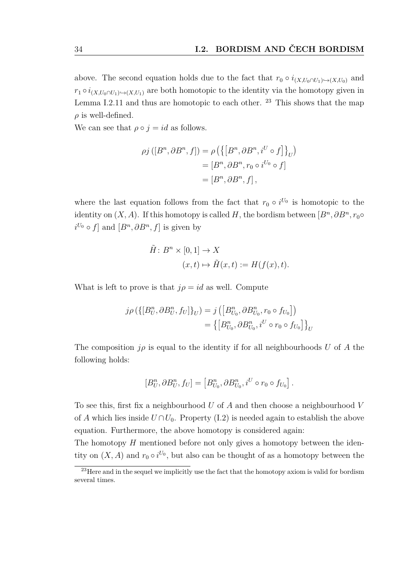above. The second equation holds due to the fact that  $r_0 \circ i_{(X,U_0 \cap U_1) \to (X,U_0)}$  and  $r_1 \circ i_{(X,U_0 \cap U_1) \to (X,U_1)}$  are both homotopic to the identity via the homotopy given in [Lemma I.2.11](#page-30-0) and thus are homotopic to each other.  $2<sup>3</sup>$  This shows that the map  $\rho$  is well-defined.

We can see that  $\rho \circ j = id$  as follows.

$$
\rho j([B^n, \partial B^n, f]) = \rho \left( \left\{ \left[ B^n, \partial B^n, i^U \circ f \right] \right\}_U \right)
$$

$$
= \left[ B^n, \partial B^n, r_0 \circ i^{U_0} \circ f \right]
$$

$$
= \left[ B^n, \partial B^n, f \right],
$$

where the last equation follows from the fact that  $r_0 \circ i^{U_0}$  is homotopic to the identity on  $(X, A)$ . If this homotopy is called *H*, the bordism between  $[B<sup>n</sup>, \partial B<sup>n</sup>, r_0 \circ$  $i^{U_0} \circ f$  and  $[B^n, \partial B^n, f]$  is given by

$$
\tilde{H}: B^n \times [0,1] \to X
$$
  

$$
(x,t) \mapsto \tilde{H}(x,t) := H(f(x),t).
$$

What is left to prove is that  $j\rho = id$  as well. Compute

$$
j \rho \left( \left\{ [B_{U}^{n}, \partial B_{U}^{n}, f_{U}] \right\}_{U} \right) = j \left( \left[ B_{U_{0}}^{n}, \partial B_{U_{0}}^{n}, r_{0} \circ f_{U_{0}} \right] \right)
$$
  

$$
= \left\{ \left[ B_{U_{0}}^{n}, \partial B_{U_{0}}^{n}, i^{U} \circ r_{0} \circ f_{U_{0}} \right] \right\}_{U}
$$

The composition  $j\rho$  is equal to the identity if for all neighbourhoods *U* of *A* the following holds:

$$
[B_U^n, \partial B_U^n, f_U] = [B_{U_0}^n, \partial B_{U_0}^n, i^U \circ r_0 \circ f_{U_0}].
$$

To see this, first fix a neighbourhood *U* of *A* and then choose a neighbourhood *V* of *A* which lies inside  $U \cap U_0$ . Property [\(I.2\)](#page-32-1) is needed again to establish the above equation. Furthermore, the above homotopy is considered again:

The homotopy *H* mentioned before not only gives a homotopy between the identity on  $(X, A)$  and  $r_0 \circ i^{U_0}$ , but also can be thought of as a homotopy between the

<span id="page-33-0"></span> $^{23}$  Here and in the sequel we implicitly use the fact that the homotopy axiom is valid for bordism several times.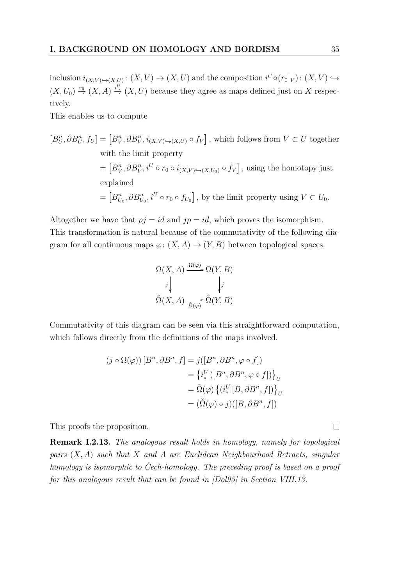inclusion  $i_{(X,V)\hookrightarrow(X,U)}: (X,V)\to (X,U)$  and the composition  $i^U \circ (r_0|_V): (X,V)\hookrightarrow$  $(X, U_0) \stackrel{r_0}{\rightarrow} (X, A) \stackrel{i^U}{\rightarrow} (X, U)$  because they agree as maps defined just on X respectively.

This enables us to compute

$$
[B_U^n, \partial B_U^n, f_U] = [B_V^n, \partial B_V^n, i_{(X,V)\hookrightarrow(X,U)} \circ f_V],
$$
 which follows from  $V \subset U$  together  
with the limit property  

$$
= [B_V^n, \partial B_V^n, i^U \circ r_0 \circ i_{(X,V)\hookrightarrow(X,U_0)} \circ f_V],
$$
 using the homotopy just  
explained  

$$
= [B_{U_0}^n, \partial B_{U_0}^n, i^U \circ r_0 \circ f_{U_0}],
$$
 by the limit property using  $V \subset U_0$ .

Altogether we have that  $\rho j = id$  and  $j\rho = id$ , which proves the isomorphism. This transformation is natural because of the commutativity of the following diagram for all continuous maps  $\varphi: (X, A) \to (Y, B)$  between topological spaces.

$$
\Omega(X, A) \xrightarrow{\Omega(\varphi)} \Omega(Y, B)
$$
  
\n
$$
\downarrow \qquad \qquad \downarrow j
$$
  
\n
$$
\check{\Omega}(X, A) \xrightarrow{\check{\Omega}(\varphi)} \check{\Omega}(Y, B)
$$

Commutativity of this diagram can be seen via this straightforward computation, which follows directly from the definitions of the maps involved.

$$
(j \circ \Omega(\varphi)) [B^n, \partial B^n, f] = j([B^n, \partial B^n, \varphi \circ f])
$$
  

$$
= \{i^U_* ([B^n, \partial B^n, \varphi \circ f])\}_U
$$
  

$$
= \check{\Omega}(\varphi) \{ (i^U_* [B, \partial B^n, f]) \}_U
$$
  

$$
= (\check{\Omega}(\varphi) \circ j) ([B, \partial B^n, f])
$$

This proofs the proposition.

**Remark I.2.13.** *The analogous result holds in homology, namely for topological pairs* (*X, A*) *such that X and A are Euclidean Neighbourhood Retracts, singular homology is isomorphic to Čech-homology. The preceding proof is based on a proof for this analogous result that can be found in [\[Dol95\]](#page-80-2) in Section VIII.13.*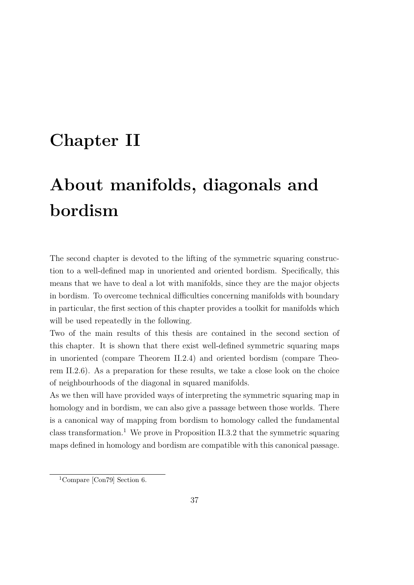# **Chapter II**

# **About manifolds, diagonals and bordism**

The second chapter is devoted to the lifting of the symmetric squaring construction to a well-defined map in unoriented and oriented bordism. Specifically, this means that we have to deal a lot with manifolds, since they are the major objects in bordism. To overcome technical difficulties concerning manifolds with boundary in particular, the first section of this chapter provides a toolkit for manifolds which will be used repeatedly in the following.

Two of the main results of this thesis are contained in the second section of this chapter. It is shown that there exist well-defined symmetric squaring maps in unoriented (compare [Theorem II.2.4\)](#page-51-0) and oriented bordism (compare [Theo](#page-61-0)[rem II.2.6\)](#page-61-0). As a preparation for these results, we take a close look on the choice of neighbourhoods of the diagonal in squared manifolds.

As we then will have provided ways of interpreting the symmetric squaring map in homology and in bordism, we can also give a passage between those worlds. There is a canonical way of mapping from bordism to homology called the fundamental class transformation.<sup>[1](#page-36-0)</sup> We prove in [Proposition II.3.2](#page-67-0) that the symmetric squaring maps defined in homology and bordism are compatible with this canonical passage.

<span id="page-36-0"></span><sup>1</sup>Compare [\[Con79\]](#page-80-0) Section 6.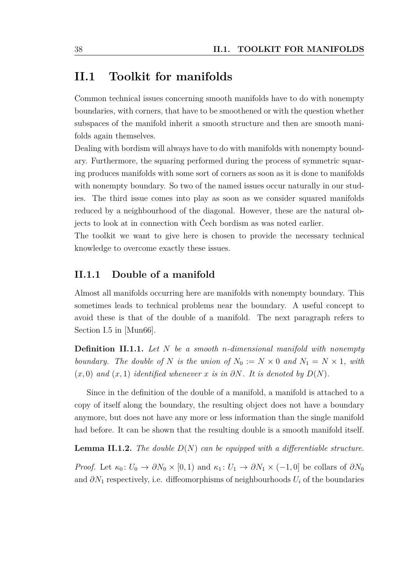### **II.1 Toolkit for manifolds**

Common technical issues concerning smooth manifolds have to do with nonempty boundaries, with corners, that have to be smoothened or with the question whether subspaces of the manifold inherit a smooth structure and then are smooth manifolds again themselves.

Dealing with bordism will always have to do with manifolds with nonempty boundary. Furthermore, the squaring performed during the process of symmetric squaring produces manifolds with some sort of corners as soon as it is done to manifolds with nonempty boundary. So two of the named issues occur naturally in our studies. The third issue comes into play as soon as we consider squared manifolds reduced by a neighbourhood of the diagonal. However, these are the natural objects to look at in connection with Čech bordism as was noted earlier.

The toolkit we want to give here is chosen to provide the necessary technical knowledge to overcome exactly these issues.

#### <span id="page-37-2"></span>**II.1.1 Double of a manifold**

Almost all manifolds occurring here are manifolds with nonempty boundary. This sometimes leads to technical problems near the boundary. A useful concept to avoid these is that of the double of a manifold. The next paragraph refers to Section I.5 in [\[Mun66\]](#page-81-0).

<span id="page-37-0"></span>**Definition II.1.1.** *Let N be a smooth n-dimensional manifold with nonempty boundary. The double of N is the union of*  $N_0 := N \times 0$  *and*  $N_1 = N \times 1$ *, with*  $(x, 0)$  and  $(x, 1)$  *identified whenever*  $x$  *is in*  $\partial N$ *. It is denoted by*  $D(N)$ *.* 

Since in the definition of the double of a manifold, a manifold is attached to a copy of itself along the boundary, the resulting object does not have a boundary anymore, but does not have any more or less information than the single manifold had before. It can be shown that the resulting double is a smooth manifold itself.

<span id="page-37-1"></span>**Lemma II.1.2.** *The double D*(*N*) *can be equipped with a differentiable structure.*

*Proof.* Let  $\kappa_0: U_0 \to \partial N_0 \times [0,1)$  and  $\kappa_1: U_1 \to \partial N_1 \times (-1,0]$  be collars of  $\partial N_0$ and  $\partial N_1$  respectively, i.e. diffeomorphisms of neighbourhoods  $U_i$  of the boundaries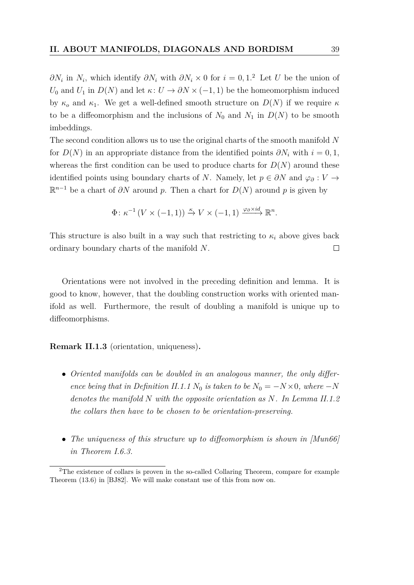*∂N*<sup>*i*</sup> in *N*<sup>*i*</sup>, which identify *∂N*<sup>*i*</sup> with *∂N*<sup>*i*</sup> × 0 for *i* = 0, 1.<sup>[2](#page-38-0)</sup> Let *U* be the union of *U*<sub>0</sub> and *U*<sub>1</sub> in  $D(N)$  and let  $\kappa: U \to \partial N \times (-1, 1)$  be the homeomorphism induced by  $\kappa_o$  and  $\kappa_1$ . We get a well-defined smooth structure on  $D(N)$  if we require  $\kappa$ to be a diffeomorphism and the inclusions of  $N_0$  and  $N_1$  in  $D(N)$  to be smooth imbeddings.

The second condition allows us to use the original charts of the smooth manifold *N* for  $D(N)$  in an appropriate distance from the identified points  $\partial N_i$  with  $i = 0, 1$ , whereas the first condition can be used to produce charts for  $D(N)$  around these identified points using boundary charts of *N*. Namely, let  $p \in \partial N$  and  $\varphi_{\partial}: V \to$  $\mathbb{R}^{n-1}$  be a chart of  $\partial N$  around p. Then a chart for  $D(N)$  around p is given by

$$
\Phi \colon \kappa^{-1} \left( V \times (-1, 1) \right) \xrightarrow{\kappa} V \times (-1, 1) \xrightarrow{\varphi_0 \times id} \mathbb{R}^n.
$$

This structure is also built in a way such that restricting to  $\kappa_i$  above gives back ordinary boundary charts of the manifold *N*.  $\Box$ 

Orientations were not involved in the preceding definition and lemma. It is good to know, however, that the doubling construction works with oriented manifold as well. Furthermore, the result of doubling a manifold is unique up to diffeomorphisms.

#### **Remark II.1.3** (orientation, uniqueness)**.**

- *Oriented manifolds can be doubled in an analogous manner, the only differ-ence being that in [Definition II.1.1](#page-37-0)*  $N_0$  *is taken to be*  $N_0 = -N \times 0$ *, where*  $-N$ *denotes the manifold N with the opposite orientation as N. In [Lemma II.1.2](#page-37-1) the collars then have to be chosen to be orientation-preserving.*
- The uniqueness of this structure up to diffeomorphism is shown in [\[Mun66\]](#page-81-0) *in Theorem I.6.3.*

<span id="page-38-0"></span><sup>2</sup>The existence of collars is proven in the so-called Collaring Theorem, compare for example Theorem (13.6) in [\[BJ82\]](#page-80-1). We will make constant use of this from now on.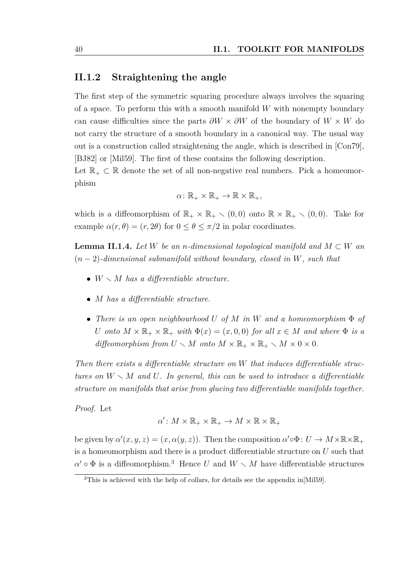#### **II.1.2 Straightening the angle**

The first step of the symmetric squaring procedure always involves the squaring of a space. To perform this with a smooth manifold *W* with nonempty boundary can cause difficulties since the parts *∂W* × *∂W* of the boundary of *W* × *W* do not carry the structure of a smooth boundary in a canonical way. The usual way out is a construction called straightening the angle, which is described in [\[Con79\]](#page-80-0), [\[BJ82\]](#page-80-1) or [\[Mil59\]](#page-81-1). The first of these contains the following description.

Let  $\mathbb{R}_+ \subset \mathbb{R}$  denote the set of all non-negative real numbers. Pick a homeomorphism

$$
\alpha\colon\mathbb{R}_+\times\mathbb{R}_+\to\mathbb{R}\times\mathbb{R}_+,
$$

which is a diffeomorphism of  $\mathbb{R}_+ \times \mathbb{R}_+ \setminus (0,0)$  onto  $\mathbb{R} \times \mathbb{R}_+ \setminus (0,0)$ . Take for example  $\alpha(r, \theta) = (r, 2\theta)$  for  $0 \le \theta \le \pi/2$  in polar coordinates.

<span id="page-39-1"></span>**Lemma II.1.4.** *Let*  $W$  *be an n-dimensional topological manifold and*  $M \subset W$  *an* (*n* − 2)*-dimensional submanifold without boundary, closed in W, such that*

- $W \setminus M$  has a differentiable structure.
- *M has a differentiable structure.*
- *There is an open neighbourhood U of M in W and a homeomorphism* Φ *of U onto*  $M \times \mathbb{R}_+ \times \mathbb{R}_+$  *with*  $\Phi(x) = (x, 0, 0)$  *for all*  $x \in M$  *and where*  $\Phi$  *is a diffeomorphism from*  $U \setminus M$  *onto*  $M \times \mathbb{R}_+ \times \mathbb{R}_+ \setminus M \times 0 \times 0$ *.*

*Then there exists a differentiable structure on W that induces differentiable structures on*  $W \setminus M$  *and*  $U$ *. In general, this can be used to introduce a differentiable structure on manifolds that arise from glueing two differentiable manifolds together.*

*Proof.* Let

$$
\alpha'\colon M\times \mathbb{R}_+\times \mathbb{R}_+\to M\times \mathbb{R}\times \mathbb{R}_+
$$

be given by  $\alpha'(x, y, z) = (x, \alpha(y, z))$ . Then the composition  $\alpha' \circ \Phi : U \to M \times \mathbb{R} \times \mathbb{R}_+$ is a homeomorphism and there is a product differentiable structure on *U* such that  $\alpha' \circ \Phi$  is a diffeomorphism.<sup>[3](#page-39-0)</sup> Hence *U* and  $W \setminus M$  have differentiable structures

<span id="page-39-0"></span><sup>&</sup>lt;sup>3</sup>This is achieved with the help of collars, for details see the appendix in[\[Mil59\]](#page-81-1).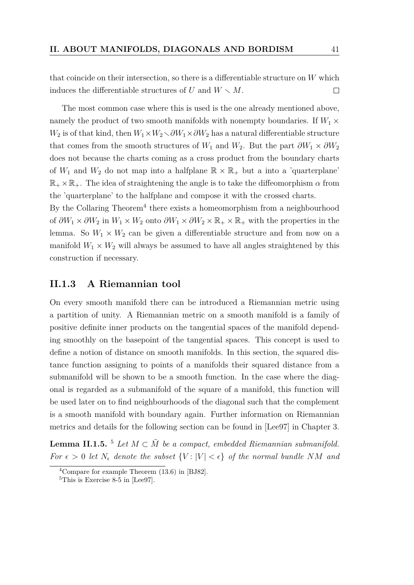that coincide on their intersection, so there is a differentiable structure on *W* which induces the differentiable structures of *U* and  $W \setminus M$ .  $\Box$ 

The most common case where this is used is the one already mentioned above, namely the product of two smooth manifolds with nonempty boundaries. If  $W_1 \times$ *W*<sub>2</sub> is of that kind, then  $W_1 \times W_2 \setminus \partial W_1 \times \partial W_2$  has a natural differentiable structure that comes from the smooth structures of  $W_1$  and  $W_2$ . But the part  $\partial W_1 \times \partial W_2$ does not because the charts coming as a cross product from the boundary charts of  $W_1$  and  $W_2$  do not map into a halfplane  $\mathbb{R} \times \mathbb{R}_+$  but a into a 'quarterplane'  $\mathbb{R}_+ \times \mathbb{R}_+$ . The idea of straightening the angle is to take the diffeomorphism  $\alpha$  from the 'quarterplane' to the halfplane and compose it with the crossed charts.

By the Collaring Theorem<sup>[4](#page-40-0)</sup> there exists a homeomorphism from a neighbourhood of  $\partial W_1 \times \partial W_2$  in  $W_1 \times W_2$  onto  $\partial W_1 \times \partial W_2 \times \mathbb{R}_+ \times \mathbb{R}_+$  with the properties in the lemma. So  $W_1 \times W_2$  can be given a differentiable structure and from now on a manifold  $W_1 \times W_2$  will always be assumed to have all angles straightened by this construction if necessary.

#### **II.1.3 A Riemannian tool**

On every smooth manifold there can be introduced a Riemannian metric using a partition of unity. A Riemannian metric on a smooth manifold is a family of positive definite inner products on the tangential spaces of the manifold depending smoothly on the basepoint of the tangential spaces. This concept is used to define a notion of distance on smooth manifolds. In this section, the squared distance function assigning to points of a manifolds their squared distance from a submanifold will be shown to be a smooth function. In the case where the diagonal is regarded as a submanifold of the square of a manifold, this function will be used later on to find neighbourhoods of the diagonal such that the complement is a smooth manifold with boundary again. Further information on Riemannian metrics and details for the following section can be found in [\[Lee97\]](#page-81-2) in Chapter 3.

<span id="page-40-2"></span>**Lemma II.1.[5](#page-40-1).** <sup>5</sup> *Let*  $M \subset \tilde{M}$  *be a compact, embedded Riemannian submanifold. For*  $\epsilon > 0$  *let*  $N_{\epsilon}$  *denote the subset*  $\{V : |V| < \epsilon\}$  *of the normal bundle NM and* 

<span id="page-40-0"></span><sup>4</sup>Compare for example Theorem (13.6) in [\[BJ82\]](#page-80-1).

<span id="page-40-1"></span><sup>&</sup>lt;sup>5</sup>This is Exercise 8-5 in [\[Lee97\]](#page-81-2).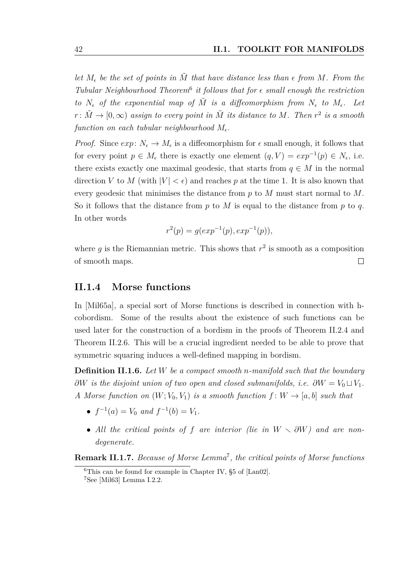*let*  $M_{\epsilon}$  *be the set of points in*  $\tilde{M}$  *that have distance less than*  $\epsilon$  *from*  $M$ *. From the* Tubular Neighbourhood Theorem<sup>[6](#page-41-0)</sup> it follows that for  $\epsilon$  small enough the restriction *to*  $N_{\epsilon}$  *of the exponential map of*  $\tilde{M}$  *is a diffeomorphism from*  $N_{\epsilon}$  *to*  $M_{\epsilon}$ *. Let*  $r\colon \tilde{M}\to [0,\infty)$  *assign to every point in*  $\tilde{M}$  *its distance to*  $M$ *. Then*  $r^2$  *is a smooth*  $\emph{function on each tubular neighborhood}\ M_{\epsilon}.$ 

*Proof.* Since  $exp: N_{\epsilon} \to M_{\epsilon}$  is a diffeomorphism for  $\epsilon$  small enough, it follows that for every point  $p \in M_{\epsilon}$  there is exactly one element  $(q, V) = exp^{-1}(p) \in N_{\epsilon}$ , i.e. there exists exactly one maximal geodesic, that starts from  $q \in M$  in the normal direction *V* to *M* (with  $|V| < \epsilon$ ) and reaches *p* at the time 1. It is also known that every geodesic that minimises the distance from *p* to *M* must start normal to *M*. So it follows that the distance from *p* to *M* is equal to the distance from *p* to *q*. In other words

$$
r^{2}(p) = g(exp^{-1}(p), exp^{-1}(p)),
$$

where  $g$  is the Riemannian metric. This shows that  $r^2$  is smooth as a composition of smooth maps.  $\Box$ 

#### **II.1.4 Morse functions**

In [\[Mil65a\]](#page-81-3), a special sort of Morse functions is described in connection with hcobordism. Some of the results about the existence of such functions can be used later for the construction of a bordism in the proofs of [Theorem II.2.4](#page-51-0) and [Theorem II.2.6.](#page-61-0) This will be a crucial ingredient needed to be able to prove that symmetric squaring induces a well-defined mapping in bordism.

**Definition II.1.6.** *Let W be a compact smooth n-manifold such that the boundary ∂W is the disjoint union of two open and closed submanifolds, i.e.*  $\partial W = V_0 \sqcup V_1$ . *A* Morse function on  $(W; V_0, V_1)$  is a smooth function  $f: W \to [a, b]$  such that

- $f^{-1}(a) = V_0$  and  $f^{-1}(b) = V_1$ .
- All the critical points of f are interior (lie in  $W \setminus \partial W$ ) and are non*degenerate.*

**Remark II.1.7.** *Because of Morse Lemma*[7](#page-41-1) *, the critical points of Morse functions*

<span id="page-41-1"></span><span id="page-41-0"></span><sup>&</sup>lt;sup>6</sup>This can be found for example in Chapter IV,  $\S5$  of [\[Lan02\]](#page-81-4). <sup>7</sup>See [\[Mil63\]](#page-81-5) Lemma I.2.2.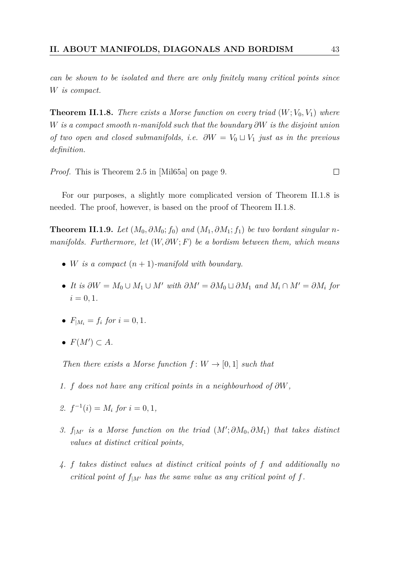*can be shown to be isolated and there are only finitely many critical points since W is compact.*

<span id="page-42-0"></span>**Theorem II.1.8.** *There exists a Morse function on every triad*  $(W; V_0, V_1)$  *where W is a compact smooth n-manifold such that the boundary ∂W is the disjoint union of two open and closed submanifolds, i.e.*  $\partial W = V_0 \cup V_1$  *just as in the previous definition.*

*Proof.* This is Theorem 2.5 in [\[Mil65a\]](#page-81-3) on page 9.

For our purposes, a slightly more complicated version of [Theorem II.1.8](#page-42-0) is needed. The proof, however, is based on the proof of [Theorem II.1.8.](#page-42-0)

<span id="page-42-1"></span>**Theorem II.1.9.** *Let*  $(M_0, \partial M_0; f_0)$  *and*  $(M_1, \partial M_1; f_1)$  *be two bordant singular nmanifolds. Furthermore, let* (*W, ∂W*; *F*) *be a bordism between them, which means*

- *W is a compact*  $(n+1)$ *-manifold with boundary.*
- *It is*  $\partial W = M_0 \cup M_1 \cup M'$  *with*  $\partial M' = \partial M_0 \cup \partial M_1$  *and*  $M_i \cap M' = \partial M_i$  *for*  $i = 0, 1$ .
- $F_{|M_i} = f_i$  for  $i = 0, 1$ .
- $F(M') \subset A$ .

*Then there exists a Morse function*  $f: W \to [0, 1]$  *such that* 

- *1. f does not have any critical points in a neighbourhood of ∂W,*
- *2.*  $f^{-1}(i) = M_i$  *for*  $i = 0, 1$ *,*
- *3.*  $f_{|M'}$  *is a Morse function on the triad*  $(M'; \partial M_0, \partial M_1)$  *that takes distinct values at distinct critical points,*
- *4. f takes distinct values at distinct critical points of f and additionally no critical point of*  $f_{|M'}$  *has the same value as any critical point of*  $f$ *.*

 $\Box$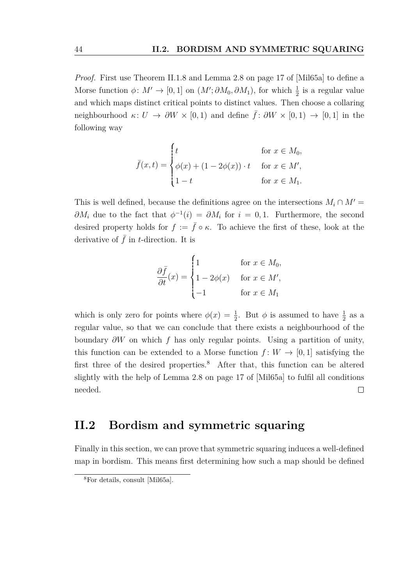*Proof.* First use [Theorem II.1.8](#page-42-0) and Lemma 2.8 on page 17 of [\[Mil65a\]](#page-81-3) to define a Morse function  $\phi \colon M' \to [0,1]$  on  $(M'; \partial M_0, \partial M_1)$ , for which  $\frac{1}{2}$  is a regular value and which maps distinct critical points to distinct values. Then choose a collaring neighbourhood  $\kappa: U \to \partial W \times [0,1)$  and define  $\bar{f}: \partial W \times [0,1] \to [0,1]$  in the following way

$$
\bar{f}(x,t) = \begin{cases} t & \text{for } x \in M_0, \\ \phi(x) + (1 - 2\phi(x)) \cdot t & \text{for } x \in M', \\ 1 - t & \text{for } x \in M_1. \end{cases}
$$

This is well defined, because the definitions agree on the intersections  $M_i \cap M' =$  $\partial M_i$  due to the fact that  $\phi^{-1}(i) = \partial M_i$  for  $i = 0, 1$ . Furthermore, the second desired property holds for  $f := \bar{f} \circ \kappa$ . To achieve the first of these, look at the derivative of  $\bar{f}$  in *t*-direction. It is

$$
\frac{\partial \bar{f}}{\partial t}(x) = \begin{cases} 1 & \text{for } x \in M_0, \\ 1 - 2\phi(x) & \text{for } x \in M', \\ -1 & \text{for } x \in M_1 \end{cases}
$$

which is only zero for points where  $\phi(x) = \frac{1}{2}$ . But  $\phi$  is assumed to have  $\frac{1}{2}$  as a regular value, so that we can conclude that there exists a neighbourhood of the boundary *∂W* on which *f* has only regular points. Using a partition of unity, this function can be extended to a Morse function  $f: W \to [0, 1]$  satisfying the first three of the desired properties.[8](#page-43-0) After that, this function can be altered slightly with the help of Lemma 2.8 on page 17 of [\[Mil65a\]](#page-81-3) to fulfil all conditions needed.  $\Box$ 

## **II.2 Bordism and symmetric squaring**

Finally in this section, we can prove that symmetric squaring induces a well-defined map in bordism. This means first determining how such a map should be defined

<span id="page-43-0"></span><sup>8</sup>For details, consult [\[Mil65a\]](#page-81-3).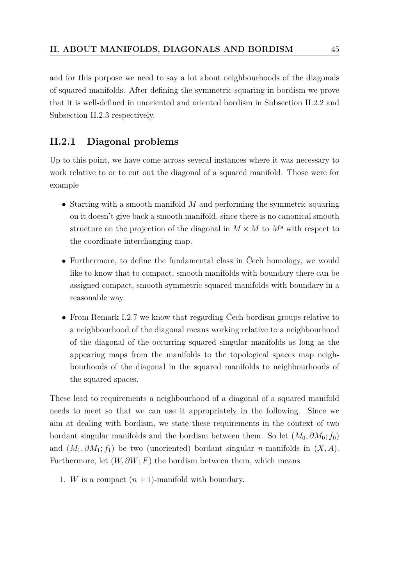and for this purpose we need to say a lot about neighbourhoods of the diagonals of squared manifolds. After defining the symmetric squaring in bordism we prove that it is well-defined in unoriented and oriented bordism in [Subsection II.2.2](#page-51-1) and [Subsection II.2.3](#page-61-1) respectively.

#### <span id="page-44-0"></span>**II.2.1 Diagonal problems**

Up to this point, we have come across several instances where it was necessary to work relative to or to cut out the diagonal of a squared manifold. Those were for example

- Starting with a smooth manifold *M* and performing the symmetric squaring on it doesn't give back a smooth manifold, since there is no canonical smooth structure on the projection of the diagonal in  $M \times M$  to  $M^s$  with respect to the coordinate interchanging map.
- Furthermore, to define the fundamental class in Čech homology, we would like to know that to compact, smooth manifolds with boundary there can be assigned compact, smooth symmetric squared manifolds with boundary in a reasonable way.
- From [Remark I.2.7](#page-27-0) we know that regarding Čech bordism groups relative to a neighbourhood of the diagonal means working relative to a neighbourhood of the diagonal of the occurring squared singular manifolds as long as the appearing maps from the manifolds to the topological spaces map neighbourhoods of the diagonal in the squared manifolds to neighbourhoods of the squared spaces.

These lead to requirements a neighbourhood of a diagonal of a squared manifold needs to meet so that we can use it appropriately in the following. Since we aim at dealing with bordism, we state these requirements in the context of two bordant singular manifolds and the bordism between them. So let  $(M_0, \partial M_0; f_0)$ and  $(M_1, \partial M_1; f_1)$  be two (unoriented) bordant singular *n*-manifolds in  $(X, A)$ . Furthermore, let  $(W, \partial W; F)$  the bordism between them, which means

1. *W* is a compact  $(n + 1)$ -manifold with boundary.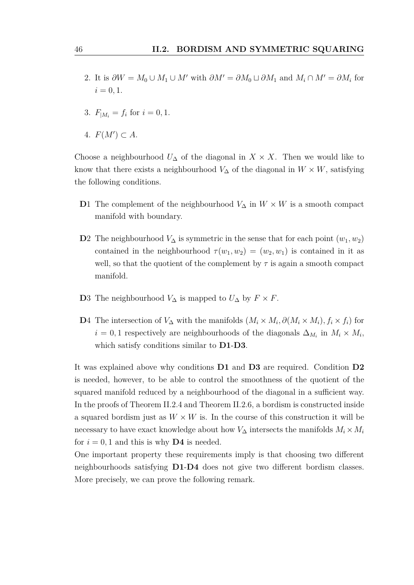- 2. It is  $\partial W = M_0 \cup M_1 \cup M'$  with  $\partial M' = \partial M_0 \cup \partial M_1$  and  $M_i \cap M' = \partial M_i$  for  $i = 0, 1.$
- 3.  $F_{|M_i} = f_i$  for  $i = 0, 1$ .
- 4.  $F(M') \subset A$ .

Choose a neighbourhood  $U_{\Delta}$  of the diagonal in  $X \times X$ . Then we would like to know that there exists a neighbourhood  $V_{\Delta}$  of the diagonal in  $W \times W$ , satisfying the following conditions.

- **D**1 The complement of the neighbourhood  $V_{\Delta}$  in  $W \times W$  is a smooth compact manifold with boundary.
- **D**2 The neighbourhood  $V_{\Delta}$  is symmetric in the sense that for each point  $(w_1, w_2)$ contained in the neighbourhood  $\tau(w_1, w_2) = (w_2, w_1)$  is contained in it as well, so that the quotient of the complement by  $\tau$  is again a smooth compact manifold.
- **D**3 The neighbourhood  $V_{\Delta}$  is mapped to  $U_{\Delta}$  by  $F \times F$ .
- **D**4 The intersection of *V*∆ with the manifolds  $(M_i \times M_i, \partial(M_i \times M_i), f_i \times f_i)$  for  $i = 0, 1$  respectively are neighbourhoods of the diagonals  $\Delta_{M_i}$  in  $M_i \times M_i$ , which satisfy conditions similar to **D1**-**D3**.

It was explained above why conditions **D1** and **D3** are required. Condition **D2** is needed, however, to be able to control the smoothness of the quotient of the squared manifold reduced by a neighbourhood of the diagonal in a sufficient way. In the proofs of [Theorem II.2.4](#page-51-0) and [Theorem II.2.6,](#page-61-0) a bordism is constructed inside a squared bordism just as  $W \times W$  is. In the course of this construction it will be necessary to have exact knowledge about how  $V_{\Delta}$  intersects the manifolds  $M_i \times M_i$ for  $i = 0, 1$  and this is why **D4** is needed.

One important property these requirements imply is that choosing two different neighbourhoods satisfying **D1**-**D4** does not give two different bordism classes. More precisely, we can prove the following remark.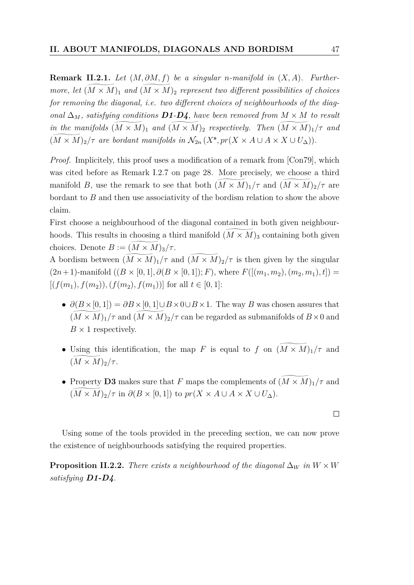<span id="page-46-1"></span>**Remark II.2.1.** *Let* (*M, ∂M, f*) *be a singular n-manifold in* (*X, A*)*. Furthermore, let*  $(M \times M)_1$  *and*  $(M \times M)_2$  *represent two different possibilities of choices for removing the diagonal, i.e. two different choices of neighbourhoods of the diagonal*  $\Delta_M$ *, satisfying conditions D1-D4, have been removed from*  $M \times M$  *to result in the manifolds*  $(M \times M)$ <sub>1</sub> *and*  $(M \times M)$ <sub>2</sub> *respectively. Then*  $(M \times M)$ <sub>1</sub>/ $\tau$  *and*  $(M \times M)_2/\tau$  are bordant manifolds in  $\mathcal{N}_{2n}$   $(X^s, pr(X \times A \cup A \times X \cup U_\Delta))$ .

*Proof.* Implicitely, this proof uses a modification of a remark from [\[Con79\]](#page-80-0), which was cited before as [Remark I.2.7](#page-27-0) on page [28.](#page-27-0) More precisely, we choose a third manifold *B*, use the remark to see that both  $(M \times M)_1/\tau$  and  $(M \times M)_2/\tau$  are bordant to *B* and then use associativity of the bordism relation to show the above claim.

First choose a neighbourhood of the diagonal contained in both given neighbourhoods. This results in choosing a third manifold  $(M \times M)_3$  containing both given choices. Denote  $B := (M \times M)_3 / \tau$ .

A bordism between  $(M \times M)_1/\tau$  and  $(M \times M)_2/\tau$  is then given by the singular  $(2n+1)$ -manifold  $((B \times [0,1], \partial (B \times [0,1]); F)$ , where  $F([(m_1, m_2), (m_2, m_1), t])$  $[(f(m_1), f(m_2)), (f(m_2), f(m_1))]$  for all  $t \in [0, 1]$ :

- $\partial(B \times [0,1]) = \partial B \times [0,1] \cup B \times 0 \cup B \times 1$ . The way *B* was chosen assures that  $(M \times M)_1/\tau$  and  $(M \times M)_2/\tau$  can be regarded as submanifolds of  $B \times 0$  and  $B \times 1$  respectively.
- Using this identification, the map *F* is equal to *f* on  $(M \times M)_1/\tau$  and  $(M \times M)_2/\tau$ .
- Property **D3** makes sure that *F* maps the complements of  $(\widetilde{M} \times \widetilde{M})_1/\tau$  and  $(\widetilde{M \times M})_2/\tau$  in  $\partial(B \times [0,1])$  to  $pr(X \times A \cup A \times X \cup U_\Delta)$ .

Using some of the tools provided in the preceding section, we can now prove the existence of neighbourhoods satisfying the required properties.

<span id="page-46-0"></span>**Proposition II.2.2.** *There exists a neighbourhood of the diagonal*  $\Delta_W$  *in*  $W \times W$ *satisfying D1-D4.*

$$
\Box
$$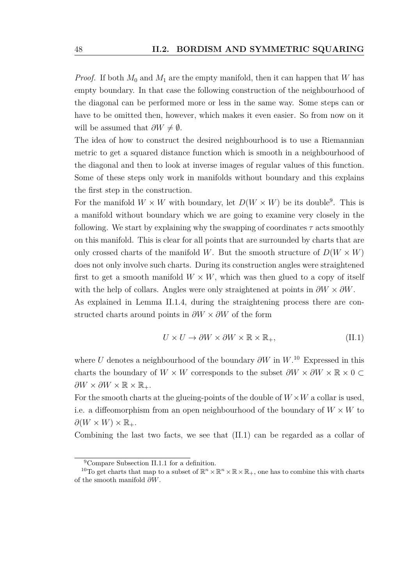*Proof.* If both  $M_0$  and  $M_1$  are the empty manifold, then it can happen that *W* has empty boundary. In that case the following construction of the neighbourhood of the diagonal can be performed more or less in the same way. Some steps can or have to be omitted then, however, which makes it even easier. So from now on it will be assumed that  $\partial W \neq \emptyset$ .

The idea of how to construct the desired neighbourhood is to use a Riemannian metric to get a squared distance function which is smooth in a neighbourhood of the diagonal and then to look at inverse images of regular values of this function. Some of these steps only work in manifolds without boundary and this explains the first step in the construction.

For the manifold  $W \times W$  with boundary, let  $D(W \times W)$  be its double<sup>[9](#page-47-0)</sup>. This is a manifold without boundary which we are going to examine very closely in the following. We start by explaining why the swapping of coordinates *τ* acts smoothly on this manifold. This is clear for all points that are surrounded by charts that are only crossed charts of the manifold *W*. But the smooth structure of  $D(W \times W)$ does not only involve such charts. During its construction angles were straightened first to get a smooth manifold  $W \times W$ , which was then glued to a copy of itself with the help of collars. Angles were only straightened at points in  $\partial W \times \partial W$ .

As explained in [Lemma II.1.4,](#page-39-1) during the straightening process there are constructed charts around points in *∂W* × *∂W* of the form

<span id="page-47-2"></span>
$$
U \times U \to \partial W \times \partial W \times \mathbb{R} \times \mathbb{R}_+, \tag{II.1}
$$

where *U* denotes a neighbourhood of the boundary *∂W* in *W*. [10](#page-47-1) Expressed in this charts the boundary of  $W \times W$  corresponds to the subset  $\partial W \times \partial W \times \mathbb{R} \times 0$  $\partial W \times \partial W \times \mathbb{R} \times \mathbb{R}_+$ .

For the smooth charts at the glueing-points of the double of  $W \times W$  a collar is used, i.e. a diffeomorphism from an open neighbourhood of the boundary of  $W \times W$  to  $\partial(W \times W) \times \mathbb{R}_+$ .

Combining the last two facts, we see that [\(II.1\)](#page-47-2) can be regarded as a collar of

<span id="page-47-1"></span><span id="page-47-0"></span><sup>9</sup>Compare [Subsection II.1.1](#page-37-2) for a definition.

<sup>&</sup>lt;sup>10</sup>To get charts that map to a subset of  $\mathbb{R}^n \times \mathbb{R}^n \times \mathbb{R} \times \mathbb{R}_+$ , one has to combine this with charts of the smooth manifold *∂W*.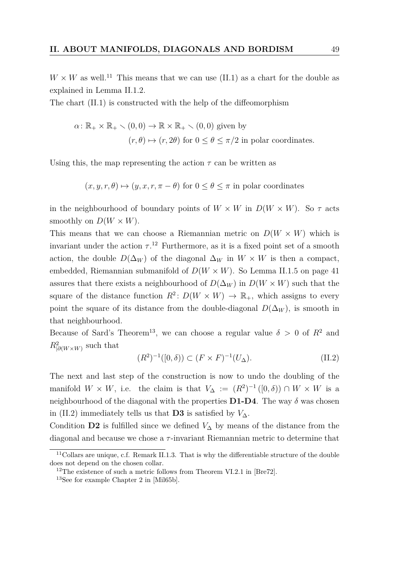$W \times W$  as well.<sup>[11](#page-48-0)</sup> This means that we can use [\(II.1\)](#page-47-2) as a chart for the double as explained in [Lemma II.1.2.](#page-37-1)

The chart [\(II.1\)](#page-47-2) is constructed with the help of the diffeomorphism

$$
\alpha \colon \mathbb{R}_+ \times \mathbb{R}_+ \setminus (0,0) \to \mathbb{R} \times \mathbb{R}_+ \setminus (0,0) \text{ given by}
$$
  

$$
(r,\theta) \mapsto (r,2\theta) \text{ for } 0 \le \theta \le \pi/2 \text{ in polar coordinates.}
$$

Using this, the map representing the action  $\tau$  can be written as

$$
(x, y, r, \theta) \mapsto (y, x, r, \pi - \theta)
$$
 for  $0 \le \theta \le \pi$  in polar coordinates

in the neighbourhood of boundary points of  $W \times W$  in  $D(W \times W)$ . So  $\tau$  acts smoothly on  $D(W \times W)$ .

This means that we can choose a Riemannian metric on  $D(W \times W)$  which is invariant under the action  $\tau$ .<sup>[12](#page-48-1)</sup> Furthermore, as it is a fixed point set of a smooth action, the double  $D(\Delta_W)$  of the diagonal  $\Delta_W$  in  $W \times W$  is then a compact, embedded, Riemannian submanifold of  $D(W \times W)$ . So [Lemma II.1.5](#page-40-2) on page [41](#page-40-2) assures that there exists a neighbourhood of  $D(\Delta_W)$  in  $D(W \times W)$  such that the square of the distance function  $R^2$ :  $D(W \times W) \to \mathbb{R}_+$ , which assigns to every point the square of its distance from the double-diagonal  $D(\Delta_W)$ , is smooth in that neighbourhood.

Because of Sard's Theorem<sup>[13](#page-48-2)</sup>, we can choose a regular value  $\delta > 0$  of  $R^2$  and  $R^2_{\vert \partial(W \times W)}$  such that

<span id="page-48-3"></span>
$$
(R^2)^{-1}([0,\delta)) \subset (F \times F)^{-1}(U_\Delta). \tag{II.2}
$$

The next and last step of the construction is now to undo the doubling of the manifold  $W \times W$ , i.e. the claim is that  $V_{\Delta} := (R^2)^{-1}([0,\delta)) \cap W \times W$  is a neighbourhood of the diagonal with the properties  $D1-D4$ . The way  $\delta$  was chosen in [\(II.2\)](#page-48-3) immediately tells us that **D3** is satisfied by  $V_{\Delta}$ .

Condition **D2** is fulfilled since we defined  $V_{\Delta}$  by means of the distance from the diagonal and because we chose a *τ* -invariant Riemannian metric to determine that

<span id="page-48-0"></span> $11$ Collars are unique, c.f. [Remark II.1.3.](#page-0-0) That is why the differentiable structure of the double does not depend on the chosen collar.

<span id="page-48-1"></span><sup>&</sup>lt;sup>12</sup>The existence of such a metric follows from Theorem VI.2.1 in [\[Bre72\]](#page-80-2).

<span id="page-48-2"></span><sup>13</sup>See for example Chapter 2 in [\[Mil65b\]](#page-81-6).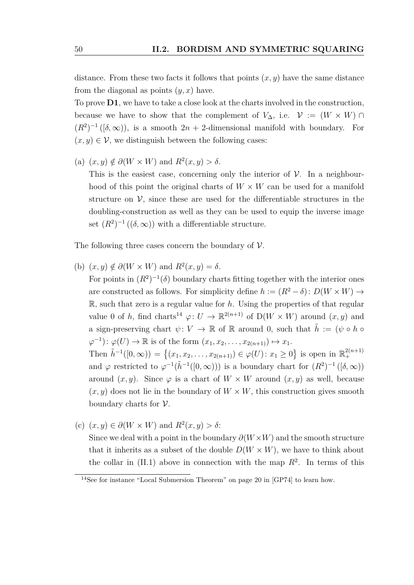distance. From these two facts it follows that points  $(x, y)$  have the same distance from the diagonal as points (*y, x*) have.

To prove **D1**, we have to take a close look at the charts involved in the construction, because we have to show that the complement of  $V_{\Delta}$ , i.e.  $\mathcal{V} := (W \times W) \cap$  $(R^2)^{-1}([\delta,\infty))$ , is a smooth  $2n+2$ -dimensional manifold with boundary. For  $(x, y) \in \mathcal{V}$ , we distinguish between the following cases:

 $(a)$   $(x, y) \notin \partial(W \times W)$  and  $R^2(x, y) > \delta$ . This is the easiest case, concerning only the interior of  $\mathcal V$ . In a neighbourhood of this point the original charts of  $W \times W$  can be used for a manifold structure on  $\mathcal{V}$ , since these are used for the differentiable structures in the doubling-construction as well as they can be used to equip the inverse image set  $(R^2)^{-1}((\delta,\infty))$  with a differentiable structure.

The following three cases concern the boundary of  $V$ .

- <span id="page-49-1"></span>(b)  $(x, y) \notin \partial(W \times W)$  and  $R^2(x, y) = \delta$ . For points in  $(R^2)^{-1}(\delta)$  boundary charts fitting together with the interior ones are constructed as follows. For simplicity define  $h := (R^2 - \delta) : D(W \times W) \rightarrow$ R, such that zero is a regular value for *h*. Using the properties of that regular value 0 of *h*, find charts<sup>[14](#page-49-0)</sup>  $\varphi: U \to \mathbb{R}^{2(n+1)}$  of  $D(W \times W)$  around  $(x, y)$  and a sign-preserving chart  $\psi: V \to \mathbb{R}$  of  $\mathbb{R}$  around 0, such that  $\tilde{h} := (\psi \circ h \circ$  $\varphi^{-1}$ :  $\varphi(U) \to \mathbb{R}$  is of the form  $(x_1, x_2, \ldots, x_{2(n+1)}) \mapsto x_1$ . Then  $\tilde{h}^{-1}([0,\infty)) = \{(x_1, x_2, \ldots, x_{2(n+1)}) \in \varphi(U) : x_1 \geq 0\}$  is open in  $\mathbb{R}^{2(n+1)}_+$ and  $\varphi$  restricted to  $\varphi^{-1}(\tilde{h}^{-1}([0,\infty)))$  is a boundary chart for  $(R^2)^{-1}([\delta,\infty))$ around  $(x, y)$ . Since  $\varphi$  is a chart of  $W \times W$  around  $(x, y)$  as well, because  $(x, y)$  does not lie in the boundary of  $W \times W$ , this construction gives smooth
- (c) (*x, y*) ∈ *∂*(*W* × *W*) and *R*<sup>2</sup> (*x, y*) *> δ*:

boundary charts for  $\mathcal V$ .

Since we deal with a point in the boundary  $\partial(W \times W)$  and the smooth structure that it inherits as a subset of the double  $D(W \times W)$ , we have to think about the collar in  $(II.1)$  above in connection with the map  $R^2$ . In terms of this

+

<span id="page-49-0"></span><sup>14</sup>See for instance "Local Submersion Theorem" on page 20 in [\[GP74\]](#page-80-3) to learn how.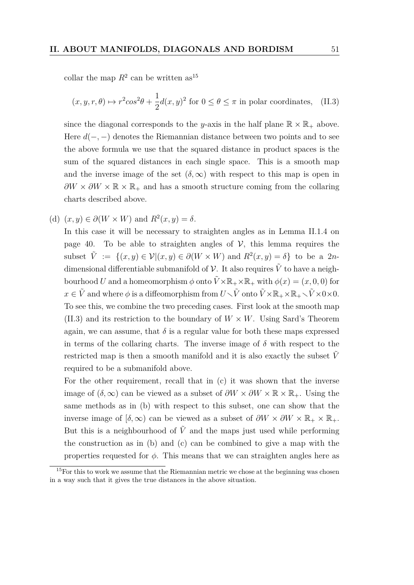collar the map  $R^2$  can be written as<sup>[15](#page-50-0)</sup>

<span id="page-50-1"></span>
$$
(x, y, r, \theta) \mapsto r^2 \cos^2 \theta + \frac{1}{2} d(x, y)^2
$$
 for  $0 \le \theta \le \pi$  in polar coordinates, (II.3)

since the diagonal corresponds to the *y*-axis in the half plane  $\mathbb{R} \times \mathbb{R}_+$  above. Here *d*(−*,* −) denotes the Riemannian distance between two points and to see the above formula we use that the squared distance in product spaces is the sum of the squared distances in each single space. This is a smooth map and the inverse image of the set  $(\delta, \infty)$  with respect to this map is open in  $\partial W \times \partial W \times \mathbb{R} \times \mathbb{R}_+$  and has a smooth structure coming from the collaring charts described above.

(d)  $(x, y) \in \partial(W \times W)$  and  $R^2(x, y) = \delta$ .

In this case it will be necessary to straighten angles as in [Lemma II.1.4](#page-39-1) on page [40.](#page-39-1) To be able to straighten angles of  $V$ , this lemma requires the subset  $\tilde{V} := \{(x, y) \in \mathcal{V} | (x, y) \in \partial(W \times W) \text{ and } R^2(x, y) = \delta \}$  to be a 2*n*dimensional differentiable submanifold of  $\mathcal V$ . It also requires  $\tilde V$  to have a neighbourhood *U* and a homeomorphism  $\phi$  onto  $\tilde{V} \times \mathbb{R}_+ \times \mathbb{R}_+$  with  $\phi(x) = (x, 0, 0)$  for  $x \in \tilde{V}$  and where  $\phi$  is a diffeomorphism from  $U \setminus \tilde{V}$  onto  $\tilde{V} \times \mathbb{R}_+ \times \mathbb{R}_+ \setminus \tilde{V} \times 0 \times 0$ . To see this, we combine the two preceding cases. First look at the smooth map [\(II.3\)](#page-50-1) and its restriction to the boundary of  $W \times W$ . Using Sard's Theorem again, we can assume, that  $\delta$  is a regular value for both these maps expressed in terms of the collaring charts. The inverse image of  $\delta$  with respect to the restricted map is then a smooth manifold and it is also exactly the subset  $V$ required to be a submanifold above.

For the other requirement, recall that in [\(c\)](#page-50-1) it was shown that the inverse image of  $(\delta, \infty)$  can be viewed as a subset of  $\partial W \times \partial W \times \mathbb{R} \times \mathbb{R}_+$ . Using the same methods as in [\(b\)](#page-49-1) with respect to this subset, one can show that the inverse image of  $[\delta, \infty)$  can be viewed as a subset of  $\partial W \times \partial W \times \mathbb{R}_+ \times \mathbb{R}_+$ . But this is a neighbourhood of  $\tilde{V}$  and the maps just used while performing the construction as in [\(b\)](#page-49-1) and [\(c\)](#page-50-1) can be combined to give a map with the properties requested for  $\phi$ . This means that we can straighten angles here as

<span id="page-50-0"></span><sup>&</sup>lt;sup>15</sup>For this to work we assume that the Riemannian metric we chose at the beginning was chosen in a way such that it gives the true distances in the above situation.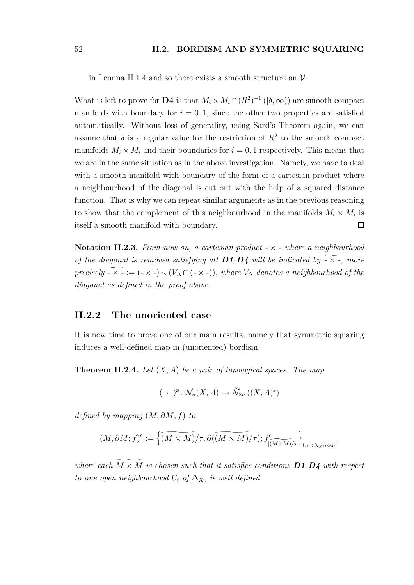in [Lemma II.1.4](#page-39-1) and so there exists a smooth structure on  $\mathcal V$ .

What is left to prove for **D4** is that  $M_i \times M_i \cap (R^2)^{-1}$  ([ $\delta, \infty$ )) are smooth compact manifolds with boundary for  $i = 0, 1$ , since the other two properties are satisfied automatically. Without loss of generality, using Sard's Theorem again, we can assume that  $\delta$  is a regular value for the restriction of  $R^2$  to the smooth compact manifolds  $M_i \times M_i$  and their boundaries for  $i = 0, 1$  respectively. This means that we are in the same situation as in the above investigation. Namely, we have to deal with a smooth manifold with boundary of the form of a cartesian product where a neighbourhood of the diagonal is cut out with the help of a squared distance function. That is why we can repeat similar arguments as in the previous reasoning to show that the complement of this neighbourhood in the manifolds  $M_i \times M_i$  is itself a smooth manifold with boundary.  $\Box$ 

<span id="page-51-2"></span>**Notation II.2.3.** *From now on, a cartesian product -* × *- where a neighbourhood of the diagonal is removed satisfying all D1*-*D4 will be indicated by*  $\overrightarrow{•} \times \overrightarrow{•}$ *, more precisely*  $\widetilde{\bullet}$   $\times$   $\widetilde{\bullet}$  := ( $\widetilde{\bullet}$   $\times$   $\widetilde{\bullet}$ )  $\times$  ( $V_{\Delta} \cap (\widetilde{\bullet} \times \widetilde{\bullet})$ ), where  $V_{\Delta}$  denotes a neighbourhood of the *diagonal as defined in the proof above.*

#### <span id="page-51-1"></span>**II.2.2 The unoriented case**

It is now time to prove one of our main results, namely that symmetric squaring induces a well-defined map in (unoriented) bordism.

<span id="page-51-0"></span>**Theorem II.2.4.** *Let* (*X, A*) *be a pair of topological spaces. The map*

$$
(\ \cdot\ )^{\mathbf{s}}\colon \mathcal{N}_n(X,A)\to \check{\mathcal{N}}_{2n}\left((X,A)^{\mathbf{s}}\right)
$$

*defined by mapping* (*M, ∂M*; *f*) *to*

$$
(M, \partial M; f)^{\bf s}:=\left\{ \widetilde{(M\times M)}/\tau, \partial (\widetilde{(M\times M)}/\tau) ; f^{\bf s}_{\widetilde{[(M\times M)}/\tau}\right\}_{U_i\supset \Delta_X open},
$$

*where each*  $M \times M$  *is chosen such that it satisfies conditions*  $D1-D4$  *with respect to one open neighbourhood*  $U_i$  *of*  $\Delta_X$ *, is well defined.*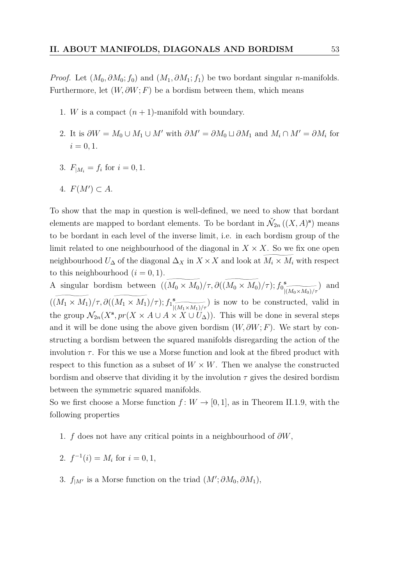*Proof.* Let  $(M_0, \partial M_0; f_0)$  and  $(M_1, \partial M_1; f_1)$  be two bordant singular *n*-manifolds. Furthermore, let  $(W, \partial W; F)$  be a bordism between them, which means

- 1. *W* is a compact  $(n + 1)$ -manifold with boundary.
- 2. It is  $\partial W = M_0 \cup M_1 \cup M'$  with  $\partial M' = \partial M_0 \cup \partial M_1$  and  $M_i \cap M' = \partial M_i$  for  $i = 0, 1.$
- 3.  $F_{|M_i} = f_i$  for  $i = 0, 1$ .
- 4.  $F(M') \subset A$ .

To show that the map in question is well-defined, we need to show that bordant elements are mapped to bordant elements. To be bordant in  $\check{\mathcal{N}}_{2n}((X, A)^s)$  means to be bordant in each level of the inverse limit, i.e. in each bordism group of the limit related to one neighbourhood of the diagonal in  $X \times X$ . So we fix one open neighbourhood  $U_{\Delta}$  of the diagonal  $\Delta_X$  in  $X \times X$  and look at  $\widetilde{M_i \times M_i}$  with respect to this neighbourhood  $(i = 0, 1)$ .

A singular bordism between  $((M_0 \times M_0)/\tau, \partial((M_0 \times M_0)/\tau); f_0^s)$  $|(M_0\times M_0)/\tau$ ) and  $((M_1 \times M_1)/\tau, \partial((M_1 \times M_1)/\tau); f_1^{\text{s}})$  $\frac{|(M_1 \times M_1)}{I} / \tau$ ) is now to be constructed, valid in the group  $\mathcal{N}_{2n}(X^s, pr(X \times A \cup A \times X \cup U_{\Delta}))$ . This will be done in several steps and it will be done using the above given bordism  $(W, \partial W; F)$ . We start by constructing a bordism between the squared manifolds disregarding the action of the involution  $\tau$ . For this we use a Morse function and look at the fibred product with respect to this function as a subset of  $W \times W$ . Then we analyse the constructed bordism and observe that dividing it by the involution  $\tau$  gives the desired bordism between the symmetric squared manifolds.

So we first choose a Morse function  $f: W \to [0,1]$ , as in [Theorem II.1.9,](#page-42-1) with the following properties

- 1. *f* does not have any critical points in a neighbourhood of *∂W*,
- 2.  $f^{-1}(i) = M_i$  for  $i = 0, 1$ ,
- 3.  $f_{|M'}$  is a Morse function on the triad  $(M'; \partial M_0, \partial M_1)$ ,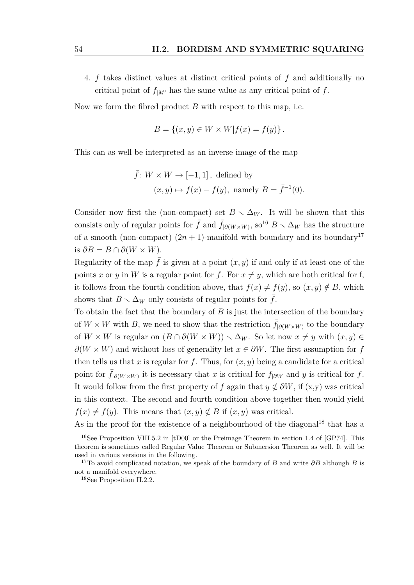4. *f* takes distinct values at distinct critical points of *f* and additionally no critical point of  $f_{|M|}$  has the same value as any critical point of f.

Now we form the fibred product *B* with respect to this map, i.e.

$$
B = \{(x, y) \in W \times W | f(x) = f(y) \}.
$$

This can as well be interpreted as an inverse image of the map

$$
\bar{f}: W \times W \to [-1, 1]
$$
, defined by  
\n $(x, y) \mapsto f(x) - f(y)$ , namely  $B = \bar{f}^{-1}(0)$ .

Consider now first the (non-compact) set  $B \setminus \Delta_W$ . It will be shown that this consists only of regular points for  $\bar{f}$  and  $\bar{f}_{|\partial(W\times W)}$ , so<sup>[16](#page-53-0)</sup>  $B \setminus \Delta_W$  has the structure of a smooth (non-compact)  $(2n + 1)$ -manifold with boundary and its boundary<sup>[17](#page-53-1)</sup> is  $\partial B = B \cap \partial (W \times W)$ .

Regularity of the map  $\bar{f}$  is given at a point  $(x, y)$  if and only if at least one of the points *x* or *y* in *W* is a regular point for *f*. For  $x \neq y$ , which are both critical for f, it follows from the fourth condition above, that  $f(x) \neq f(y)$ , so  $(x, y) \notin B$ , which shows that  $B \setminus \Delta_W$  only consists of regular points for  $\bar{f}$ .

To obtain the fact that the boundary of *B* is just the intersection of the boundary of  $W \times W$  with *B*, we need to show that the restriction  $\bar{f}_{\theta(W \times W)}$  to the boundary of  $W \times W$  is regular on  $(B \cap \partial(W \times W)) \setminus \Delta_W$ . So let now  $x \neq y$  with  $(x, y) \in$  $\partial(W \times W)$  and without loss of generality let  $x \in \partial W$ . The first assumption for *f* then tells us that *x* is regular for *f*. Thus, for  $(x, y)$  being a candidate for a critical point for  $\bar{f}_{|\partial(W\times W)}$  it is necessary that *x* is critical for  $f_{|\partial W}$  and *y* is critical for *f*. It would follow from the first property of *f* again that  $y \notin \partial W$ , if  $(x, y)$  was critical in this context. The second and fourth condition above together then would yield  $f(x) \neq f(y)$ . This means that  $(x, y) \notin B$  if  $(x, y)$  was critical.

As in the proof for the existence of a neighbourhood of the diagonal<sup>[18](#page-53-2)</sup> that has a

<span id="page-53-0"></span><sup>16</sup>See Proposition VIII.5.2 in [\[tD00\]](#page-82-0) or the Preimage Theorem in section 1.4 of [\[GP74\]](#page-80-3). This theorem is sometimes called Regular Value Theorem or Submersion Theorem as well. It will be used in various versions in the following.

<span id="page-53-1"></span><sup>17</sup>To avoid complicated notation, we speak of the boundary of *B* and write *∂B* although *B* is not a manifold everywhere.

<span id="page-53-2"></span><sup>18</sup>See [Proposition II.2.2.](#page-46-0)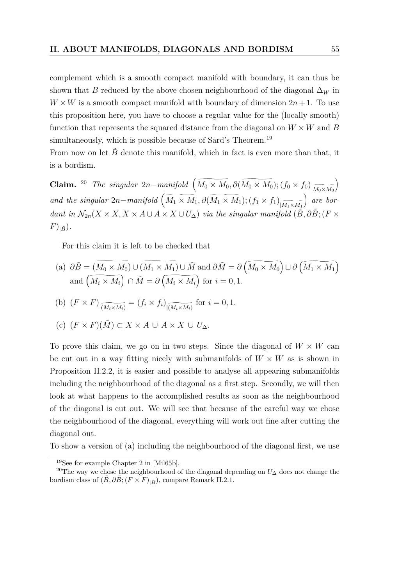complement which is a smooth compact manifold with boundary, it can thus be shown that *B* reduced by the above chosen neighbourhood of the diagonal  $\Delta_W$  in  $W \times W$  is a smooth compact manifold with boundary of dimension  $2n + 1$ . To use this proposition here, you have to choose a regular value for the (locally smooth) function that represents the squared distance from the diagonal on  $W \times W$  and *B* simultaneously, which is possible because of Sard's Theorem.<sup>[19](#page-54-0)</sup>

From now on let  $\ddot{B}$  denote this manifold, which in fact is even more than that, it is a bordism.

**Claim.** <sup>[20](#page-54-1)</sup> *The singular*  $2n$ *-manifold*  $(\widetilde{M_0 \times M_0}, \partial(\widetilde{M_0 \times M_0}); (f_0 \times f_0))$  $|M_0 \times M_0$  $\setminus$ and the singular  $2n$ *-manifold*  $\left(\widetilde{M_1 \times M_1}, \partial \left(\widetilde{M_1 \times M_1}\right); (f_1 \times f_1)\right)$  $|M_1 \times M_1|$  *are bordant in*  $\mathcal{N}_{2n}(X \times X, X \times A \cup A \times X \cup U_{\Delta})$  *via the singular manifold*  $(\tilde{B}, \partial \tilde{B}; (F \times$  $(F)_{|\tilde{B}}$ .

For this claim it is left to be checked that

(a) 
$$
\partial \tilde{B} = (\widetilde{M_0 \times M_0}) \cup (\widetilde{M_1 \times M_1}) \cup \tilde{M}
$$
 and  $\partial \tilde{M} = \partial (\widetilde{M_0 \times M_0}) \cup \partial (\widetilde{M_1 \times M_1})$   
and  $(\widetilde{M_i \times M_i}) \cap \tilde{M} = \partial (\widetilde{M_i \times M_i})$  for  $i = 0, 1$ .

(b) 
$$
(F \times F)_{\widetilde{[(M_i \times M_i)}} = (f_i \times f_i)_{\widetilde{[(M_i \times M_i)]}}
$$
 for  $i = 0, 1$ .

(c) 
$$
(F \times F)(\tilde{M}) \subset X \times A \cup A \times X \cup U_{\Delta}
$$
.

To prove this claim, we go on in two steps. Since the diagonal of  $W \times W$  can be cut out in a way fitting nicely with submanifolds of  $W \times W$  as is shown in [Proposition II.2.2,](#page-46-0) it is easier and possible to analyse all appearing submanifolds including the neighbourhood of the diagonal as a first step. Secondly, we will then look at what happens to the accomplished results as soon as the neighbourhood of the diagonal is cut out. We will see that because of the careful way we chose the neighbourhood of the diagonal, everything will work out fine after cutting the diagonal out.

To show a version of (a) including the neighbourhood of the diagonal first, we use

<span id="page-54-1"></span><span id="page-54-0"></span><sup>19</sup>See for example Chapter 2 in [\[Mil65b\]](#page-81-6).

<sup>20</sup>The way we chose the neighbourhood of the diagonal depending on *U*<sup>∆</sup> does not change the bordism class of  $(\tilde{B}, \partial \tilde{B}; (F \times F)_{|\tilde{B}})$ , compare [Remark II.2.1.](#page-46-1)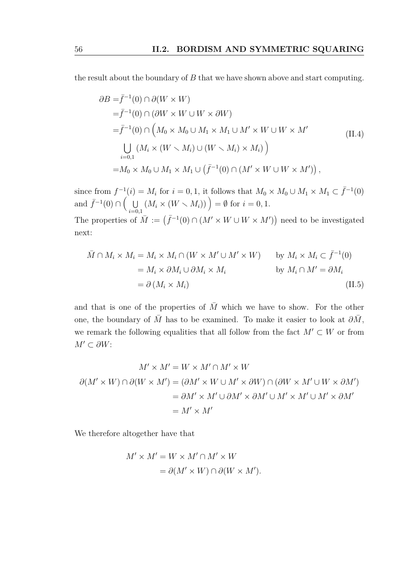the result about the boundary of *B* that we have shown above and start computing.

<span id="page-55-1"></span>
$$
\partial B = \bar{f}^{-1}(0) \cap \partial(W \times W)
$$
  
\n
$$
= \bar{f}^{-1}(0) \cap (\partial W \times W \cup W \times \partial W)
$$
  
\n
$$
= \bar{f}^{-1}(0) \cap (M_0 \times M_0 \cup M_1 \times M_1 \cup M' \times W \cup W \times M')
$$
  
\n
$$
\bigcup_{i=0,1} (M_i \times (W \times M_i) \cup (W \times M_i) \times M_i))
$$
  
\n
$$
= M_0 \times M_0 \cup M_1 \times M_1 \cup (\bar{f}^{-1}(0) \cap (M' \times W \cup W \times M'))
$$
, (II.4)

since from  $f^{-1}(i) = M_i$  for  $i = 0, 1$ , it follows that  $M_0 \times M_0 \cup M_1 \times M_1 \subset \overline{f}^{-1}(0)$ and  $\bar{f}^{-1}(0) \cap \left( \begin{array}{c} 0 \\ 0 \end{array} \right)$  $\bigcup_{i=0,1} (M_i \times (W \setminus M_i))$  = Ø for  $i = 0, 1$ .

The properties of  $\overline{M} := (\overline{f}^{-1}(0) \cap (M' \times W \cup W \times M'))$  need to be investigated next:

<span id="page-55-0"></span>
$$
\overline{M} \cap M_i \times M_i = M_i \times M_i \cap (W \times M' \cup M' \times W) \qquad \text{by } M_i \times M_i \subset \overline{f}^{-1}(0)
$$
\n
$$
= M_i \times \partial M_i \cup \partial M_i \times M_i \qquad \qquad \text{by } M_i \cap M' = \partial M_i
$$
\n
$$
= \partial (M_i \times M_i) \tag{II.5}
$$

and that is one of the properties of  $\overline{M}$  which we have to show. For the other one, the boundary of  $\overline{M}$  has to be examined. To make it easier to look at  $\partial \overline{M}$ , we remark the following equalities that all follow from the fact  $M' \subset W$  or from  $M' ⊂ ∂W$ :

$$
M' \times M' = W \times M' \cap M' \times W
$$
  

$$
\partial(M' \times W) \cap \partial(W \times M') = (\partial M' \times W \cup M' \times \partial W) \cap (\partial W \times M' \cup W \times \partial M')
$$
  

$$
= \partial M' \times M' \cup \partial M' \times \partial M' \cup M' \times M' \cup M' \times \partial M'
$$
  

$$
= M' \times M'
$$

We therefore altogether have that

$$
M' \times M' = W \times M' \cap M' \times W
$$
  
=  $\partial(M' \times W) \cap \partial(W \times M').$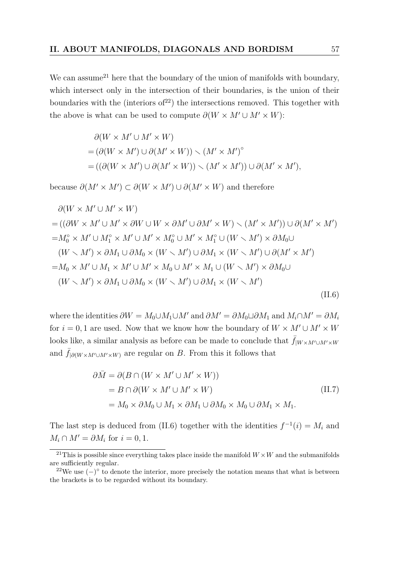We can assume<sup>[21](#page-56-0)</sup> here that the boundary of the union of manifolds with boundary, which intersect only in the intersection of their boundaries, is the union of their boundaries with the (interiors of  $2^2$ ) the intersections removed. This together with the above is what can be used to compute  $\partial(W \times M' \cup M' \times W)$ :

$$
\partial(W \times M' \cup M' \times W)
$$
  
=  $(\partial(W \times M') \cup \partial(M' \times W)) \setminus (M' \times M')^{\circ}$   
=  $((\partial(W \times M') \cup \partial(M' \times W)) \setminus (M' \times M')) \cup \partial(M' \times M'),$ 

because  $\partial(M' \times M') \subset \partial(W \times M') \cup \partial(M' \times W)$  and therefore

$$
\partial(W \times M' \cup M' \times W)
$$
  
= ((\partial W \times M' \cup M' \times \partial W \cup W \times \partial M' \cup \partial M' \times W) \setminus (M' \times M')) \cup \partial(M' \times M')  
= $M_0^{\circ} \times M' \cup M_1^{\circ} \times M' \cup M' \times M_0^{\circ} \cup M' \times M_1^{\circ} \cup (W \setminus M') \times \partial M_0 \cup$   
 $(W \setminus M') \times \partial M_1 \cup \partial M_0 \times (W \setminus M') \cup \partial M_1 \times (W \setminus M') \cup \partial (M' \times M')$   
= $M_0 \times M' \cup M_1 \times M' \cup M' \times M_0 \cup M' \times M_1 \cup (W \setminus M') \times \partial M_0 \cup$   
 $(W \setminus M') \times \partial M_1 \cup \partial M_0 \times (W \setminus M') \cup \partial M_1 \times (W \setminus M')$  (II.6)

where the identities  $\partial W = M_0 \cup M_1 \cup M'$  and  $\partial M' = \partial M_0 \cup \partial M_1$  and  $M_i \cap M' = \partial M_i$ for  $i = 0, 1$  are used. Now that we know how the boundary of  $W \times M' \cup M' \times W$ looks like, a similar analysis as before can be made to conclude that  $\bar{f}_{W \times M' \cup M' \times W}$ and  $\bar{f}_{\partial(W \times M' \cup M' \times W)}$  are regular on *B*. From this it follows that

<span id="page-56-3"></span><span id="page-56-2"></span>
$$
\partial \bar{M} = \partial (B \cap (W \times M' \cup M' \times W))
$$
  
=  $B \cap \partial (W \times M' \cup M' \times W)$   
=  $M_0 \times \partial M_0 \cup M_1 \times \partial M_1 \cup \partial M_0 \times M_0 \cup \partial M_1 \times M_1.$  (II.7)

The last step is deduced from [\(II.6\)](#page-56-2) together with the identities  $f^{-1}(i) = M_i$  and  $M_i \cap M' = \partial M_i$  for  $i = 0, 1$ .

<span id="page-56-0"></span><sup>&</sup>lt;sup>21</sup>This is possible since everything takes place inside the manifold  $W \times W$  and the submanifolds are sufficiently regular.

<span id="page-56-1"></span><sup>&</sup>lt;sup>22</sup>We use  $(-)^\circ$  to denote the interior, more precisely the notation means that what is between the brackets is to be regarded without its boundary.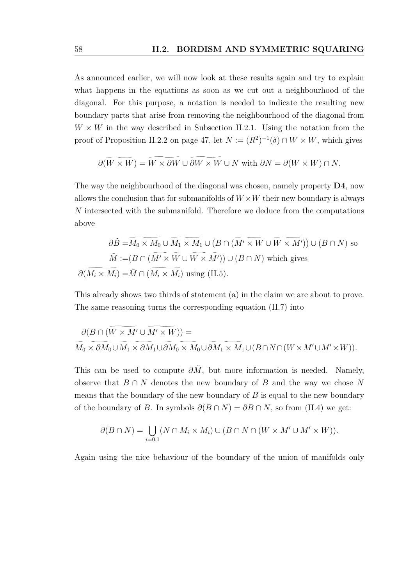As announced earlier, we will now look at these results again and try to explain what happens in the equations as soon as we cut out a neighbourhood of the diagonal. For this purpose, a notation is needed to indicate the resulting new boundary parts that arise from removing the neighbourhood of the diagonal from  $W \times W$  in the way described in [Subsection II.2.1.](#page-44-0) Using the notation from the proof of [Proposition II.2.2](#page-46-0) on page [47,](#page-46-0) let  $N := (R^2)^{-1}(\delta) \cap W \times W$ , which gives

$$
\partial(W \times W) = W \times \partial W \cup \partial W \times W \cup N \text{ with } \partial N = \partial(W \times W) \cap N.
$$

The way the neighbourhood of the diagonal was chosen, namely property **D4**, now allows the conclusion that for submanifolds of  $W \times W$  their new boundary is always *N* intersected with the submanifold. Therefore we deduce from the computations above

$$
\partial \tilde{B} = \overline{M_0 \times M_0} \cup \overline{M_1 \times M_1} \cup (B \cap (\overline{M' \times W} \cup \overline{W \times M'})) \cup (B \cap N)
$$
 so  

$$
\tilde{M} := (B \cap (\overline{M' \times W} \cup \overline{W \times M'})) \cup (B \cap N)
$$
 which gives  

$$
\partial (\overline{M_i \times M_i}) = \tilde{M} \cap (\overline{M_i \times M_i})
$$
 using (II.5).

This already shows two thirds of statement (a) in the claim we are about to prove. The same reasoning turns the corresponding equation [\(II.7\)](#page-56-3) into

$$
\overbrace{M_0\times \partial M_0\cup M_1\times \partial M_1\cup \partial M_0\times M_0\cup \partial M_1\times M_1\cup (B\cap N\cap (W\times M'\cup M'\times W))}^{\partial (B\cap (W\times \overline{M'}\cup \overline{M'}\times \overline{M'}))}.
$$

This can be used to compute  $\partial \tilde{M}$ , but more information is needed. Namely, observe that *B* ∩ *N* denotes the new boundary of *B* and the way we chose *N* means that the boundary of the new boundary of *B* is equal to the new boundary of the boundary of *B*. In symbols  $\partial(B \cap N) = \partial B \cap N$ , so from [\(II.4\)](#page-55-1) we get:

$$
\partial(B \cap N) = \bigcup_{i=0,1} (N \cap M_i \times M_i) \cup (B \cap N \cap (W \times M' \cup M' \times W)).
$$

Again using the nice behaviour of the boundary of the union of manifolds only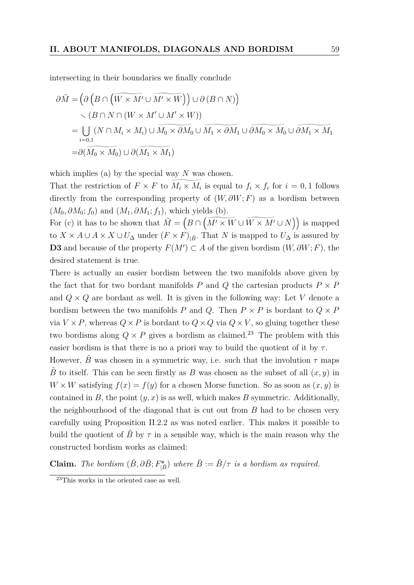intersecting in their boundaries we finally conclude

$$
\partial \tilde{M} = \left( \partial \left( B \cap \left( \widetilde{W \times M'} \cup \widetilde{M' \times W} \right) \right) \cup \partial \left( B \cap N \right) \right) \n\searrow \left( B \cap N \cap \left( W \times M' \cup M' \times W \right) \right) \n= \bigcup_{i=0,1} (N \cap M_i \times M_i) \cup \widetilde{M_0 \times \partial M_0} \cup \widetilde{M_1 \times \partial M_1} \cup \widetilde{\partial M_0 \times M_0} \cup \widetilde{\partial M_1 \times M_1} \n= \partial (\widetilde{M_0 \times M_0}) \cup \partial (\widetilde{M_1 \times M_1})
$$

which implies (a) by the special way *N* was chosen.

That the restriction of  $F \times F$  to  $M_i \times M_i$  is equal to  $f_i \times f_i$  for  $i = 0, 1$  follows directly from the corresponding property of (*W, ∂W*; *F*) as a bordism between  $(M_0, \partial M_0; f_0)$  and  $(M_1, \partial M_1; f_1)$ , which yields (b).

For (c) it has to be shown that  $\tilde{M} = \left( B \cap \left( \widetilde{M' \times W} \cup \widetilde{W \times M'} \cup N \right) \right)$  is mapped to  $X \times A \cup A \times X \cup U_{\Delta}$  under  $(F \times F)_{|\tilde{B}}$ . That *N* is mapped to  $U_{\Delta}$  is assured by **D3** and because of the property  $F(M')$  ⊂ *A* of the given bordism  $(W, \partial W; F)$ , the desired statement is true.

There is actually an easier bordism between the two manifolds above given by the fact that for two bordant manifolds  $P$  and  $Q$  the cartesian products  $P \times P$ and  $Q \times Q$  are bordant as well. It is given in the following way: Let  $V$  denote a bordism between the two manifolds *P* and *Q*. Then  $P \times P$  is bordant to  $Q \times P$ via  $V \times P$ , whereas  $Q \times P$  is bordant to  $Q \times Q$  via  $Q \times V$ , so gluing together these two bordisms along  $Q \times P$  gives a bordism as claimed.<sup>[23](#page-58-0)</sup> The problem with this easier bordism is that there is no a priori way to build the quotient of it by  $\tau$ .

However, *B* was chosen in a symmetric way, i.e. such that the involution  $\tau$  maps  $\tilde{B}$  to itself. This can be seen firstly as *B* was chosen as the subset of all  $(x, y)$  in  $W \times W$  satisfying  $f(x) = f(y)$  for a chosen Morse function. So as soon as  $(x, y)$  is contained in  $B$ , the point  $(y, x)$  is as well, which makes  $B$  symmetric. Additionally, the neighbourhood of the diagonal that is cut out from *B* had to be chosen very carefully using [Proposition II.2.2](#page-46-0) as was noted earlier. This makes it possible to build the quotient of *B* by  $\tau$  in a sensible way, which is the main reason why the constructed bordism works as claimed:

**Claim.** *The bordism*  $(\bar{B}, \partial \bar{B}; F_{|\bar{B}}^{\mathbf{s}})$  *where*  $\bar{B} := \tilde{B}/\tau$  *is a bordism as required.* 

<span id="page-58-0"></span><sup>23</sup>This works in the oriented case as well.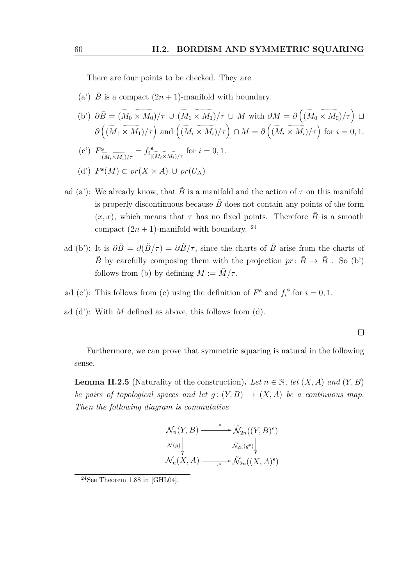There are four points to be checked. They are

- (a')  $\overline{B}$  is a compact  $(2n + 1)$ -manifold with boundary.
- $\widetilde{\partial B} = \widetilde{(M_0 \times M_0)}/\tau \cup \widetilde{(M_1 \times M_1)}/\tau \cup M$  with  $\partial M = \partial \left(\widetilde{(M_0 \times M_0)}/\tau\right) \cup \widetilde{\partial B}$  $\partial \left( \widetilde{(M_1 \times M_1)}/\tau \right)$  and  $\left( \widetilde{(M_i \times M_i)}/\tau \right)$   $\cap M = \partial \left( \widetilde{(M_i \times M_i)}/\tau \right)$  for  $i = 0, 1$ .
- $(c')$   $F^s$  $|(M_i \times M_i)/\tau$  $= f_i^{\mathbf{s}}$  $|(M_i \times M_i)/\tau$ for  $i = 0, 1$ .
- (d') *F* **s** (*M*) ⊂ *pr*(*X* × *A*) ∪ *pr*(*U*∆)
- ad (a'): We already know, that  $\tilde{B}$  is a manifold and the action of  $\tau$  on this manifold is properly discontinuous because  $\tilde{B}$  does not contain any points of the form  $(x, x)$ , which means that  $\tau$  has no fixed points. Therefore  $\overline{B}$  is a smooth compact  $(2n + 1)$ -manifold with boundary. <sup>[24](#page-59-0)</sup>
- ad (b'): It is  $\partial \bar{B} = \partial (\tilde{B}/\tau) = \partial \tilde{B}/\tau$ , since the charts of  $\bar{B}$  arise from the charts of  $\tilde{B}$  by carefully composing them with the projection  $pr: \tilde{B} \to \bar{B}$ . So (b') follows from (b) by defining  $M := \tilde{M}/\tau$ .
- ad (c'): This follows from (c) using the definition of  $F^s$  and  $f_i^s$  for  $i = 0, 1$ .
- ad (d'): With *M* defined as above, this follows from (d).

 $\Box$ 

Furthermore, we can prove that symmetric squaring is natural in the following sense.

<span id="page-59-1"></span>**Lemma II.2.5** (Naturality of the construction). Let  $n \in \mathbb{N}$ , let  $(X, A)$  and  $(Y, B)$ *be pairs of topological spaces and let*  $g: (Y, B) \rightarrow (X, A)$  *be a continuous map. Then the following diagram is commutative*

$$
\mathcal{N}_n(Y, B) \xrightarrow{\phantom{a}\mathcal{N}_2} \mathcal{N}_{2n}((Y, B)^s)
$$
\n
$$
\mathcal{N}(g) \downarrow \qquad \qquad \mathcal{N}_{2n}(g^s) \downarrow
$$
\n
$$
\mathcal{N}_n(X, A) \xrightarrow{\phantom{a}\mathcal{N}_2}(X, A)^s
$$

<span id="page-59-0"></span> $24$ See Theorem 1.88 in [\[GHL04\]](#page-80-4).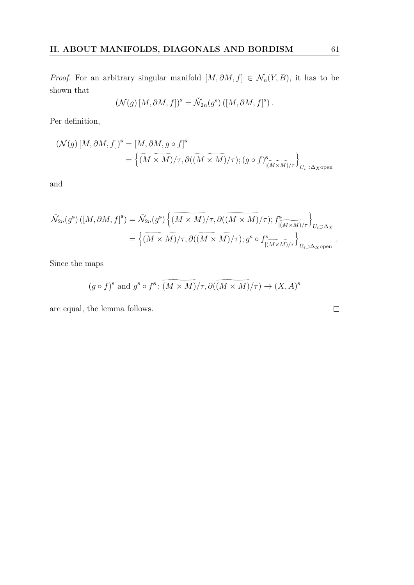*Proof.* For an arbitrary singular manifold  $[M, \partial M, f] \in \mathcal{N}_n(Y, B)$ , it has to be shown that

$$
(\mathcal{N}(g) [M, \partial M, f])^{\mathbf{s}} = \check{\mathcal{N}}_{2n}(g^{\mathbf{s}}) ([M, \partial M, f]^{\mathbf{s}}).
$$

Per definition,

$$
\begin{aligned} \left(\mathcal{N}(g) \left[M, \partial M, f\right]\right)^{\mathbf{s}} &= \left[M, \partial M, g \circ f\right]^{\mathbf{s}} \\ &= \left\{ \overbrace{(M \times M) / \tau}^{\tau, \, \partial} \left(\overbrace{(M \times M) / \tau}^{\mathbf{s}}\right); (g \circ f)_{\overbrace{[(M \times M) / \tau}^{\mathbf{s}}}\right)_{U_i \supset \Delta_{X \text{open}}}}^{\tau, \, \, \text{open}}
$$

and

$$
\tilde{\mathcal{N}}_{2n}(g^{\mathbf{s}}) ([M, \partial M, f]^{\mathbf{s}}) = \tilde{\mathcal{N}}_{2n}(g^{\mathbf{s}}) \left\{ \widetilde{(M \times M)/\tau}, \partial ((M \times M)/\tau); f^{\mathbf{s}}_{\widetilde{[(M \times M)/\tau]}} \right\}_{U_i \supset \Delta_X}
$$
\n
$$
= \left\{ \widetilde{(M \times M)/\tau}, \partial ((M \times M)/\tau); g^{\mathbf{s}} \circ f^{\mathbf{s}}_{\widetilde{[(M \times M)/\tau]}} \right\}_{U_i \supset \Delta_X \text{open}}
$$

Since the maps

$$
(g \circ f)^s
$$
 and  $g^s \circ f^s$ :  $(M \times M)/\tau$ ,  $\partial((M \times M)/\tau) \to (X, A)^s$ 

are equal, the lemma follows.

 $\Box$ 

*.*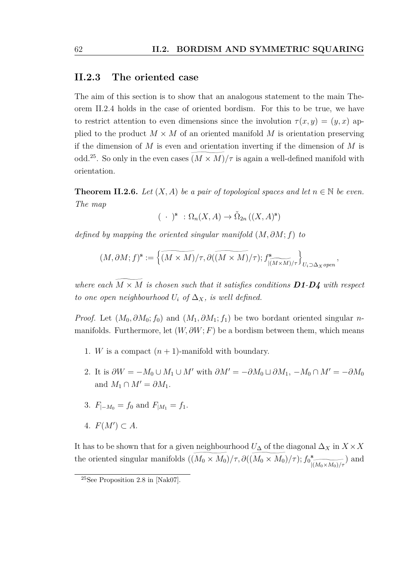#### <span id="page-61-1"></span>**II.2.3 The oriented case**

The aim of this section is to show that an analogous statement to the main [The](#page-51-0)[orem II.2.4](#page-51-0) holds in the case of oriented bordism. For this to be true, we have to restrict attention to even dimensions since the involution  $\tau(x, y) = (y, x)$  applied to the product  $M \times M$  of an oriented manifold M is orientation preserving if the dimension of *M* is even and orientation inverting if the dimension of *M* is odd.<sup>[25](#page-61-2)</sup>. So only in the even cases  $(M \times M)/\tau$  is again a well-defined manifold with orientation.

<span id="page-61-0"></span>**Theorem II.2.6.** *Let*  $(X, A)$  *be a pair of topological spaces and let*  $n \in \mathbb{N}$  *be even. The map*

$$
(\ \cdot\ )^{\mathbf{s}}\ : \Omega_n(X, A) \to \check{\Omega}_{2n}\left((X, A)^{\mathbf{s}}\right)
$$

*defined by mapping the oriented singular manifold* (*M, ∂M*; *f*) *to*

$$
(M, \partial M; f)^s := \left\{ \widetilde{(M \times M)}/\tau, \partial (\widetilde{(M \times M)}/\tau); f^s_{|\widetilde{(M \times M)}/\tau} \right\}_{U_i \supset \Delta_X \text{ open}},
$$

*where each*  $M \times M$  *is chosen such that it satisfies conditions D1-D4 with respect to one open neighbourhood*  $U_i$  *of*  $\Delta_X$ *, is well defined.* 

*Proof.* Let  $(M_0, \partial M_0; f_0)$  and  $(M_1, \partial M_1; f_1)$  be two bordant oriented singular *n*manifolds. Furthermore, let  $(W, \partial W; F)$  be a bordism between them, which means

- 1. *W* is a compact  $(n + 1)$ -manifold with boundary.
- 2. It is  $\partial W = -M_0 \cup M_1 \cup M'$  with  $\partial M' = -\partial M_0 \cup \partial M_1$ ,  $-M_0 \cap M' = -\partial M_0$ and  $M_1 \cap M' = \partial M_1$ .
- 3.  $F_{|-M_0} = f_0$  and  $F_{|M_1} = f_1$ .
- 4.  $F(M') \subset A$ .

It has to be shown that for a given neighbourhood  $U_{\Delta}$  of the diagonal  $\Delta_X$  in  $X \times X$ the oriented singular manifolds  $((M_0 \times M_0)/\tau, \partial((M_0 \times M_0)/\tau); f_0^{\text{s}})$  $|(M_0\times M_0)/\tau$ ) and

<span id="page-61-2"></span><sup>&</sup>lt;sup>25</sup>See Proposition 2.8 in [\[Nak07\]](#page-81-7).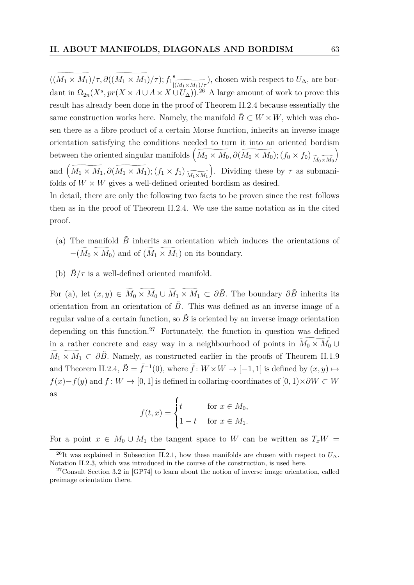$((M_1 \times M_1)/\tau, \partial((M_1 \times M_1)/\tau); f_1^{\text{s}})$  $\frac{|(M_1 \times M_1)/\tau}{26}$ ), chosen with respect to  $U_{\Delta}$ , are bordant in  $\Omega_{2n}(X^s, pr(X \times A \cup A \times X \cup U_{\Delta}))$ .<sup>[26](#page-62-0)</sup> A large amount of work to prove this result has already been done in the proof of [Theorem II.2.4](#page-51-0) because essentially the same construction works here. Namely, the manifold  $\tilde{B} \subset W \times W$ , which was chosen there as a fibre product of a certain Morse function, inherits an inverse image orientation satisfying the conditions needed to turn it into an oriented bordism between the oriented singular manifolds  $\left(\widetilde{M_0 \times M_0}, \partial(\widetilde{M_0 \times M_0}); (f_0 \times f_0)_{\widetilde{M_0 \times M_0}}\right)$ and  $(\widetilde{M_1 \times M_1}, \partial(\widetilde{M_1 \times M_1}); (f_1 \times f_1)_{\widetilde{M_1 \times M_2}})$ . Dividing these by  $\tau$  as subman  $|M_1 \times M_1$ ). Dividing these by  $\tau$  as submanifolds of  $W \times W$  gives a well-defined oriented bordism as desired.

In detail, there are only the following two facts to be proven since the rest follows then as in the proof of [Theorem II.2.4.](#page-51-0) We use the same notation as in the cited proof.

- (a) The manifold  $\tilde{B}$  inherits an orientation which induces the orientations of  $-(\widetilde{M_0 \times M_0})$  and of  $(\widetilde{M_1 \times M_1})$  on its boundary.
- (b)  $\tilde{B}/\tau$  is a well-defined oriented manifold.

For (a), let  $(x, y) \in \widetilde{M_0 \times M_0} \cup \widetilde{M_1 \times M_1} \subset \partial \tilde{B}$ . The boundary  $\partial \tilde{B}$  inherits its orientation from an orientation of  $\ddot{B}$ . This was defined as an inverse image of a regular value of a certain function, so  $\tilde{B}$  is oriented by an inverse image orientation depending on this function.<sup>[27](#page-62-1)</sup> Fortunately, the function in question was defined in a rather concrete and easy way in a neighbourhood of points in  $\widetilde{M}_0 \times \widetilde{M}_0$ in a rather concrete and easy way in a neighbourhood of points in  $M_0 \times M_0 \cup \overline{M_1 \times M_1} \subset \partial \tilde{B}$ . Namely, as constructed earlier in the proofs of [Theorem II.1.9](#page-42-1) and [Theorem II.2.4,](#page-51-0)  $\tilde{B} = \bar{f}^{-1}(0)$ , where  $\bar{f}: W \times W \to [-1, 1]$  is defined by  $(x, y) \mapsto$  $f(x) - f(y)$  and  $f: W \to [0, 1]$  is defined in collaring-coordinates of  $[0, 1) \times \partial W \subset W$ as

$$
f(t,x) = \begin{cases} t & \text{for } x \in M_0, \\ 1 - t & \text{for } x \in M_1. \end{cases}
$$

For a point  $x \in M_0 \cup M_1$  the tangent space to W can be written as  $T_xW =$ 

<span id="page-62-0"></span><sup>&</sup>lt;sup>26</sup>It was explained in [Subsection II.2.1,](#page-44-0) how these manifolds are chosen with respect to  $U_{\Delta}$ . [Notation II.2.3,](#page-51-2) which was introduced in the course of the construction, is used here.

<span id="page-62-1"></span><sup>&</sup>lt;sup>27</sup>Consult Section 3.2 in  $[GP74]$  to learn about the notion of inverse image orientation, called preimage orientation there.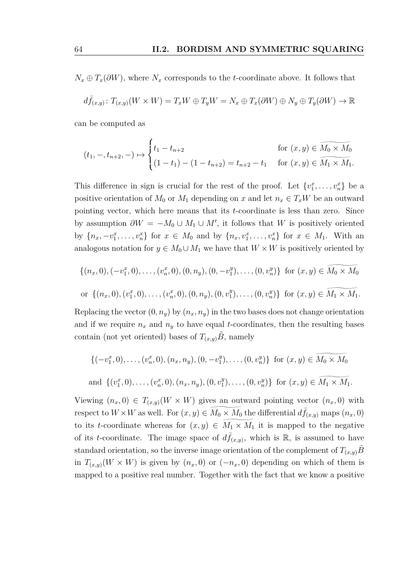$N_x \oplus T_x(\partial W)$ , where  $N_x$  corresponds to the *t*-coordinate above. It follows that

$$
d\bar{f}_{(x,y)}\colon T_{(x,y)}(W\times W)=T_xW\oplus T_yW=N_x\oplus T_x(\partial W)\oplus N_y\oplus T_y(\partial W)\to \mathbb{R}
$$

can be computed as

$$
(t_1, -, t_{n+2}, -) \mapsto \begin{cases} t_1 - t_{n+2} & \text{for } (x, y) \in \widetilde{M_0 \times M_0} \\ (1 - t_1) - (1 - t_{n+2}) = t_{n+2} - t_1 & \text{for } (x, y) \in \widetilde{M_1 \times M_1}. \end{cases}
$$

This difference in sign is crucial for the rest of the proof. Let  $\{v_1^x, \ldots, v_n^x\}$  be a positive orientation of  $M_0$  or  $M_1$  depending on *x* and let  $n_x \in T_xW$  be an outward pointing vector, which here means that its *t*-coordinate is less than zero. Since by assumption  $\partial W = -M_0 \cup M_1 \cup M'$ , it follows that *W* is positively oriented by  $\{n_x, -v_1^x, \ldots, v_n^x\}$  for  $x \in M_0$  and by  $\{n_x, v_1^x, \ldots, v_n^x\}$  for  $x \in M_1$ . With an analogous notation for  $y \in M_0 \cup M_1$  we have that  $W \times W$  is positively oriented by

$$
\{(n_x, 0), (-v_1^x, 0), \dots, (v_n^x, 0), (0, n_y), (0, -v_1^y), \dots, (0, v_n^y)\} \text{ for } (x, y) \in \widetilde{M_0 \times M_0}
$$
  
or  $\{(n_x, 0), (v_1^x, 0), \dots, (v_n^x, 0), (0, n_y), (0, v_1^y), \dots, (0, v_n^y)\} \text{ for } (x, y) \in \widetilde{M_1 \times M_1}.$ 

Replacing the vector  $(0, n_y)$  by  $(n_x, n_y)$  in the two bases does not change orientation and if we require  $n_x$  and  $n_y$  to have equal *t*-coordinates, then the resulting bases contain (not yet oriented) bases of  $T_{(x,y)}\ddot{B}$ , namely

$$
\{(-v_1^x, 0), \dots, (v_n^x, 0), (n_x, n_y), (0, -v_1^y), \dots, (0, v_n^y)\} \text{ for } (x, y) \in \widetilde{M_0 \times M_0}
$$
  
and 
$$
\{(v_1^x, 0), \dots, (v_n^x, 0), (n_x, n_y), (0, v_1^y), \dots, (0, v_n^y)\} \text{ for } (x, y) \in \widetilde{M_1 \times M_1}.
$$

Viewing  $(n_x, 0) \in T_{(x,y)}(W \times W)$  gives an outward pointing vector  $(n_x, 0)$  with respect to  $W \times W$  as well. For  $(x, y) \in \widetilde{M_0 \times M_0}$  the differential  $d\bar{f}_{(x,y)}$  maps  $(n_x, 0)$ to its *t*-coordinate whereas for  $(x, y) \in M_1 \times M_1$  it is mapped to the negative of its *t*-coordinate. The image space of  $d\bar{f}_{(x,y)}$ , which is R, is assumed to have standard orientation, so the inverse image orientation of the complement of  $T_{(x,y)}B$ in  $T_{(x,y)}(W \times W)$  is given by  $(n_x, 0)$  or  $(-n_x, 0)$  depending on which of them is mapped to a positive real number. Together with the fact that we know a positive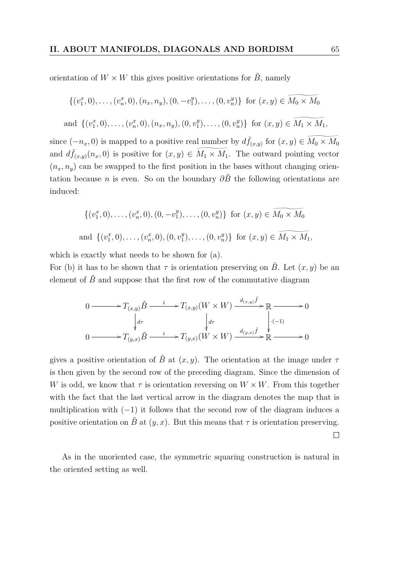orientation of  $W \times W$  this gives positive orientations for  $\tilde{B}$ , namely

$$
\{(v_1^x, 0), \ldots, (v_n^x, 0), (n_x, n_y), (0, -v_1^y), \ldots, (0, v_n^y)\} \text{ for } (x, y) \in \widetilde{M}_0 \times \widetilde{M}_0
$$

and  $\{(v_1^x, 0), \ldots, (v_n^x, 0), (n_x, n_y), (0, v_1^y)\}$  $\{0, v_n^y\}$  for  $(x, y) \in M_1 \times M_1$ ,

since  $(-n_x, 0)$  is mapped to a positive real number by  $d\bar{f}_{(x,y)}$  for  $(x, y) \in \widetilde{M_0 \times M_0}$ and  $d\bar{f}(x,y)(n_x,0)$  is positive for  $(x,y) \in \widetilde{M_1 \times M_1}$ . The outward pointing vector  $(n_x, n_y)$  can be swapped to the first position in the bases without changing orientation because *n* is even. So on the boundary  $\partial \tilde{B}$  the following orientations are induced:

$$
\{(v_1^x, 0), \dots, (v_n^x, 0), (0, -v_1^y), \dots, (0, v_n^y)\} \text{ for } (x, y) \in M_0 \times M_0
$$
  
and 
$$
\{(v_1^x, 0), \dots, (v_n^x, 0), (0, v_1^y), \dots, (0, v_n^y)\} \text{ for } (x, y) \in \widetilde{M_1 \times M_1},
$$

which is exactly what needs to be shown for (a).

For (b) it has to be shown that  $\tau$  is orientation preserving on *B*. Let  $(x, y)$  be an element of  $\tilde{B}$  and suppose that the first row of the commutative diagram

$$
0 \longrightarrow T_{(x,y)} \tilde{B} \longrightarrow T_{(x,y)} (W \times W) \xrightarrow{d_{(x,y)} \bar{f}} \mathbb{R} \longrightarrow 0
$$
  
\n
$$
\downarrow d\tau \qquad \qquad \downarrow d\tau \qquad \qquad \downarrow d\tau \qquad \qquad \downarrow \cdot (-1)
$$
  
\n
$$
0 \longrightarrow T_{(y,x)} \tilde{B} \longrightarrow T_{(y,x)} (W \times W) \xrightarrow{d_{(y,x)} \bar{f}} \mathbb{R} \longrightarrow 0
$$

gives a positive orientation of  $\tilde{B}$  at  $(x, y)$ . The orientation at the image under  $\tau$ is then given by the second row of the preceding diagram. Since the dimension of *W* is odd, we know that  $\tau$  is orientation reversing on  $W \times W$ . From this together with the fact that the last vertical arrow in the diagram denotes the map that is multiplication with  $(-1)$  it follows that the second row of the diagram induces a positive orientation on  $\tilde{B}$  at  $(y, x)$ . But this means that  $\tau$  is orientation preserving.

As in the unoriented case, the symmetric squaring construction is natural in the oriented setting as well.

 $\Box$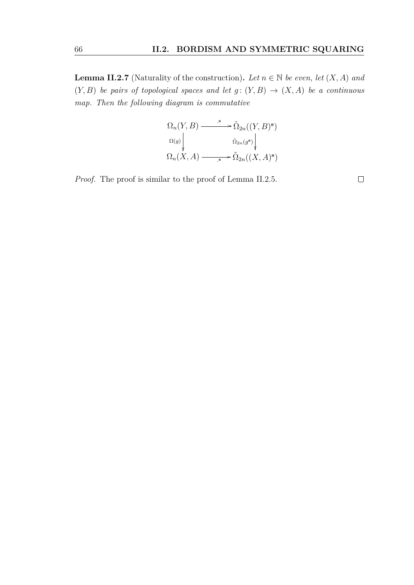**Lemma II.2.7** (Naturality of the construction). Let  $n \in \mathbb{N}$  be even, let  $(X, A)$  and  $(Y, B)$  *be pairs of topological spaces and let g:*  $(Y, B) \rightarrow (X, A)$  *be a continuous map. Then the following diagram is commutative*

$$
\Omega_n(Y, B) \xrightarrow{\qquad \quad \ s} \tilde{\Omega}_{2n}((Y, B)^s)
$$
  
\n
$$
\Omega(g) \downarrow \qquad \qquad \tilde{\Omega}_{2n}(g^s) \downarrow
$$
  
\n
$$
\Omega_n(X, A) \xrightarrow{\qquad \quad s} \tilde{\Omega}_{2n}((X, A)^s)
$$

*Proof.* The proof is similar to the proof of [Lemma II.2.5.](#page-59-1)

 $\Box$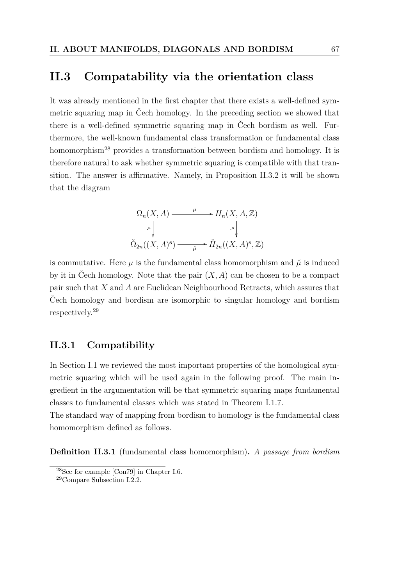### **II.3 Compatability via the orientation class**

It was already mentioned in the first chapter that there exists a well-defined symmetric squaring map in Čech homology. In the preceding section we showed that there is a well-defined symmetric squaring map in Čech bordism as well. Furthermore, the well-known fundamental class transformation or fundamental class homomorphism<sup>[28](#page-66-0)</sup> provides a transformation between bordism and homology. It is therefore natural to ask whether symmetric squaring is compatible with that transition. The answer is affirmative. Namely, in [Proposition II.3.2](#page-67-0) it will be shown that the diagram

$$
\Omega_n(X, A) \xrightarrow{\mu} H_n(X, A, \mathbb{Z})
$$
  
\n
$$
\stackrel{\cdot}{\sim} \bigvee_{\lambda \geq n}^{\infty} \bigvee_{(X, A)^s} \stackrel{\cdot}{\longrightarrow} \check{H}_{2n}((X, A)^s, \mathbb{Z})
$$

is commutative. Here  $\mu$  is the fundamental class homomorphism and  $\tilde{\mu}$  is induced by it in Čech homology. Note that the pair  $(X, A)$  can be chosen to be a compact pair such that *X* and *A* are Euclidean Neighbourhood Retracts, which assures that Čech homology and bordism are isomorphic to singular homology and bordism respectively.[29](#page-66-1)

#### **II.3.1 Compatibility**

In [Section I.1](#page-15-0) we reviewed the most important properties of the homological symmetric squaring which will be used again in the following proof. The main ingredient in the argumentation will be that symmetric squaring maps fundamental classes to fundamental classes which was stated in [Theorem I.1.7.](#page-20-0)

The standard way of mapping from bordism to homology is the fundamental class homomorphism defined as follows.

**Definition II.3.1** (fundamental class homomorphism)**.** *A passage from bordism*

<span id="page-66-0"></span><sup>28</sup>See for example [\[Con79\]](#page-80-0) in Chapter I.6.

<span id="page-66-1"></span><sup>29</sup>Compare [Subsection I.2.2.](#page-25-0)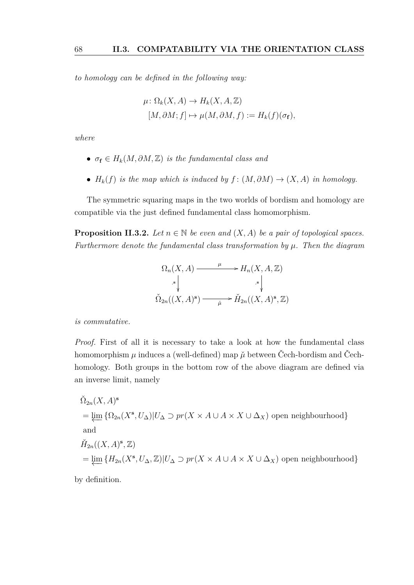*to homology can be defined in the following way:*

$$
\mu: \Omega_k(X, A) \to H_k(X, A, \mathbb{Z})
$$
  

$$
[M, \partial M; f] \mapsto \mu(M, \partial M, f) := H_k(f)(\sigma_f),
$$

*where*

- $\sigma_f \in H_k(M, \partial M, \mathbb{Z})$  *is the fundamental class and*
- $H_k(f)$  *is the map which is induced by*  $f: (M, \partial M) \to (X, A)$  *in homology.*

The symmetric squaring maps in the two worlds of bordism and homology are compatible via the just defined fundamental class homomorphism.

<span id="page-67-0"></span>**Proposition II.3.2.** *Let*  $n \in \mathbb{N}$  *be even and*  $(X, A)$  *be a pair of topological spaces. Furthermore denote the fundamental class transformation by µ. Then the diagram*

$$
\Omega_n(X, A) \xrightarrow{\mu} H_n(X, A, \mathbb{Z})
$$
  
\n
$$
\stackrel{\cdot}{\sim} \Big\downarrow_{\Delta_{2n}((X, A)^s)} \xrightarrow{\mu} \check{H}_{2n}((X, A)^s, \mathbb{Z})
$$

*is commutative.*

*Proof.* First of all it is necessary to take a look at how the fundamental class homomorphism  $\mu$  induces a (well-defined) map  $\tilde{\mu}$  between Čech-bordism and Čechhomology. Both groups in the bottom row of the above diagram are defined via an inverse limit, namely

$$
\tilde{\Omega}_{2n}(X, A)^s
$$
\n
$$
= \underleftarrow{\lim}_{\Delta} \{ \Omega_{2n}(X^s, U_\Delta) | U_\Delta \supset pr(X \times A \cup A \times X \cup \Delta_X) \text{ open neighbourhood} \}
$$
\nand\n
$$
\tilde{H}_{2n}((X, A)^s, \mathbb{Z})
$$
\n
$$
= \underleftarrow{\lim}_{\Delta} \{ H_{2n}(X^s, U_\Delta, \mathbb{Z}) | U_\Delta \supset pr(X \times A \cup A \times X \cup \Delta_X) \text{ open neighbourhood} \}
$$

by definition.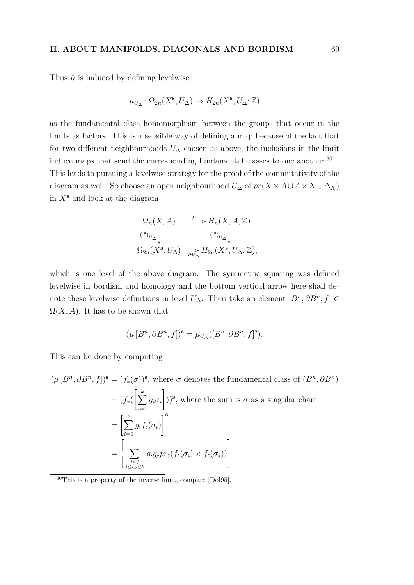Thus  $\check{\mu}$  is induced by defining levelwise

$$
\mu_{U_{\Delta}} \colon \Omega_{2n}(X^{\mathbf{s}}, U_{\Delta}) \to H_{2n}(X^{\mathbf{s}}, U_{\Delta}; \mathbb{Z})
$$

as the fundamental class homomorphism between the groups that occur in the limits as factors. This is a sensible way of defining a map because of the fact that for two different neighbourhoods  $U_{\Delta}$  chosen as above, the inclusions in the limit induce maps that send the corresponding fundamental classes to one another.<sup>[30](#page-68-0)</sup> This leads to pursuing a levelwise strategy for the proof of the commutativity of the diagram as well. So choose an open neighbourhood  $U_{\Delta}$  of  $pr(X \times A \cup A \times X \cup \Delta_X)$ in *X***<sup>s</sup>** and look at the diagram

$$
\Omega_n(X, A) \xrightarrow{\mu} H_n(X, A, \mathbb{Z})
$$
  

$$
\begin{array}{c} (\mathbf{s})_{U_\Delta} \\ \downarrow \\ \Omega_{2n}(X^{\mathbf{s}}, U_\Delta) \xrightarrow{\mu} H_{2n}(X^{\mathbf{s}}, U_\Delta, \mathbb{Z}), \end{array}
$$

which is one level of the above diagram. The symmetric squaring was defined levelwise in bordism and homology and the bottom vertical arrow here shall denote these levelwise definitions in level  $U_{\Delta}$ . Then take an element  $[B^n, \partial B^n, f] \in$  $\Omega(X, A)$ . It has to be shown that

$$
(\mu\left[B^{n},\partial B^{n},f\right])^{\mathbf{s}}=\mu_{U_{\Delta}}([B^{n},\partial B^{n},f]^{\mathbf{s}}).
$$

This can be done by computing

 $(\mu [B^n, \partial B^n, f])^s = (f_*(\sigma))^s$ , where  $\sigma$  denotes the fundamental class of  $(B^n, \partial B^n)$  $= (f_*(\left[\sum^k \right])$ *i*=1  $g_i \sigma_i$  $\overline{1}$  $))$ <sup>s</sup>, where the sum is  $\sigma$  as a singular chain  $=\left[\sum_{k=1}^{k}\right]$ *i*=1  $g_if_\sharp(\sigma_i)$  $1^{\mathbf{s}}$ =  $\overline{1}$  $\overline{\phantom{a}}$  $\sum$ *i<j* 1≤*i,j*≤*k*  $g_i g_j pr_\sharp(f_\sharp(\sigma_i) \times f_\sharp(\sigma_j))$ 3  $\mathbf{1}$ 

<span id="page-68-0"></span><sup>30</sup>This is a property of the inverse limit, compare [\[Dol95\]](#page-80-5).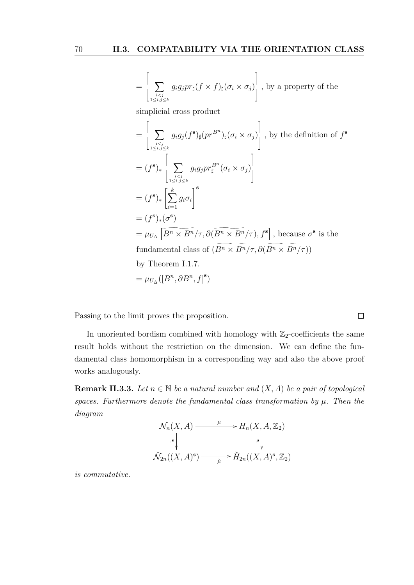$$
= \left[ \sum_{\substack{i by a property of the
$$

simplicial cross product

$$
= \left[\sum_{\substack{i  
\n
$$
= (f^s)_* \left[\sum_{\substack{i  
\n
$$
= (f^s)_* \left[\sum_{i=1}^k g_i \sigma_i \right]^s
$$
  
\n
$$
= (f^s)_* (\sigma^s)
$$
  
\n
$$
= \mu_{U_{\Delta}} \left[\overline{B^n \times B^n}/\tau, \partial(\overline{B^n \times B^n}/\tau), f^s \right], \text{ because } \sigma^s \text{ is the fundamental class of } (\overline{B^n \times B^n}/\tau, \partial(\overline{B^n \times B^n}/\tau))
$$
  
\nby Theorem I.1.7.  
\n
$$
= \mu_{U_{\Delta}} ([B^n, \partial B^n, f]^s)
$$
$$
$$

Passing to the limit proves the proposition.

In unoriented bordism combined with homology with  $\mathbb{Z}_2$ -coefficients the same result holds without the restriction on the dimension. We can define the fundamental class homomorphism in a corresponding way and also the above proof works analogously.

**Remark II.3.3.** *Let*  $n \in \mathbb{N}$  *be a natural number and*  $(X, A)$  *be a pair of topological spaces. Furthermore denote the fundamental class transformation by*  $\mu$ *. Then the diagram*

$$
\mathcal{N}_n(X, A) \xrightarrow{\mu} H_n(X, A, \mathbb{Z}_2)
$$
\n
$$
\begin{array}{c}\n\downarrow \downarrow \\
\downarrow \downarrow \downarrow \\
\check{\mathcal{N}}_{2n}((X, A)^s) \xrightarrow{\mu} \check{H}_{2n}((X, A)^s, \mathbb{Z}_2)\n\end{array}
$$

*is commutative.*

 $\Box$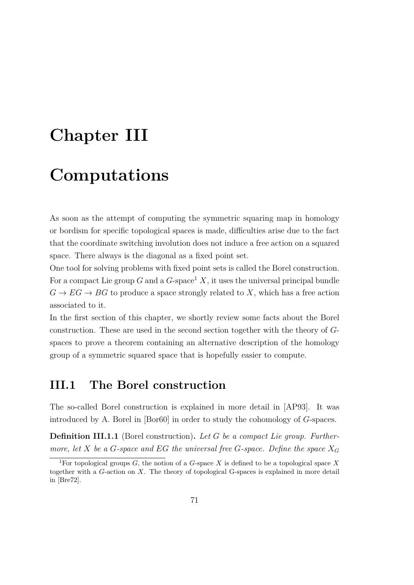# **Chapter III**

# **Computations**

As soon as the attempt of computing the symmetric squaring map in homology or bordism for specific topological spaces is made, difficulties arise due to the fact that the coordinate switching involution does not induce a free action on a squared space. There always is the diagonal as a fixed point set.

One tool for solving problems with fixed point sets is called the Borel construction. For a compact Lie group *G* and a  $G$ -space<sup>[1](#page-70-0)</sup>  $X$ , it uses the universal principal bundle  $G \to EG \to BG$  to produce a space strongly related to X, which has a free action associated to it.

In the first section of this chapter, we shortly review some facts about the Borel construction. These are used in the second section together with the theory of *G*spaces to prove a theorem containing an alternative description of the homology group of a symmetric squared space that is hopefully easier to compute.

### **III.1 The Borel construction**

The so-called Borel construction is explained in more detail in [\[AP93\]](#page-79-0). It was introduced by A. Borel in [\[Bor60\]](#page-80-6) in order to study the cohomology of *G*-spaces.

<span id="page-70-1"></span>**Definition III.1.1** (Borel construction)**.** *Let G be a compact Lie group. Furthermore, let*  $X$  *be a*  $G$ *-space and*  $EG$  *the universal free*  $G$ *-space. Define the space*  $X_G$ 

<span id="page-70-0"></span><sup>&</sup>lt;sup>1</sup>For topological groups *G*, the notion of a *G*-space *X* is defined to be a topological space *X* together with a *G*-action on *X*. The theory of topological G-spaces is explained in more detail in [\[Bre72\]](#page-80-2).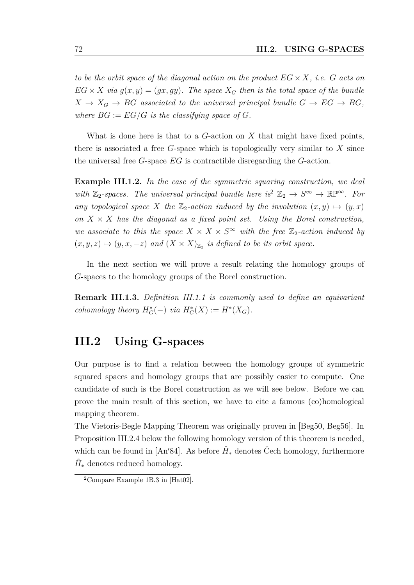*to be the orbit space of the diagonal action on the product*  $EG \times X$ *, i.e. G acts on*  $EG \times X$  *via*  $g(x, y) = (gx, gy)$ *. The space*  $X_G$  *then is the total space of the bundle*  $X \rightarrow X_G \rightarrow BG$  *associated to the universal principal bundle*  $G \rightarrow EG \rightarrow BG$ , where  $BG := EG/G$  is the classifying space of  $G$ .

What is done here is that to a *G*-action on *X* that might have fixed points, there is associated a free *G*-space which is topologically very similar to *X* since the universal free *G*-space *EG* is contractible disregarding the *G*-action.

**Example III.1.2.** *In the case of the symmetric squaring construction, we deal with*  $\mathbb{Z}_2$  $\mathbb{Z}_2$ -spaces. The universal principal bundle here is<sup>2</sup>  $\mathbb{Z}_2 \to S^{\infty} \to \mathbb{RP}^{\infty}$ . For *any topological space X the*  $\mathbb{Z}_2$ -action induced by the involution  $(x, y) \mapsto (y, x)$ on  $X \times X$  has the diagonal as a fixed point set. Using the Borel construction, *we associate to this the space*  $X \times X \times S^{\infty}$  *with the free*  $\mathbb{Z}_2$ -action induced by  $(x, y, z) \mapsto (y, x, -z)$  and  $(X \times X)_{\mathbb{Z}_2}$  is defined to be its orbit space.

In the next section we will prove a result relating the homology groups of *G*-spaces to the homology groups of the Borel construction.

**Remark III.1.3.** *[Definition III.1.1](#page-70-1) is commonly used to define an equivariant cohomology theory*  $H_G^*(-)$  *via*  $H_G^*(X) := H^*(X_G)$ *.* 

# **III.2 Using G-spaces**

Our purpose is to find a relation between the homology groups of symmetric squared spaces and homology groups that are possibly easier to compute. One candidate of such is the Borel construction as we will see below. Before we can prove the main result of this section, we have to cite a famous (co)homological mapping theorem.

The Vietoris-Begle Mapping Theorem was originally proven in [\[Beg50,](#page-79-1) [Beg56\]](#page-79-2). In [Proposition III.2.4](#page-73-0) below the following homology version of this theorem is needed, which can be found in [\[An](#page-79-3)<sup>'84]</sup>. As before  $\check{H}_*$  denotes Čech homology, furthermore  $\tilde{H}_*$  denotes reduced homology.

<span id="page-71-0"></span><sup>&</sup>lt;sup>2</sup>Compare Example 1B.3 in [\[Hat02\]](#page-81-8).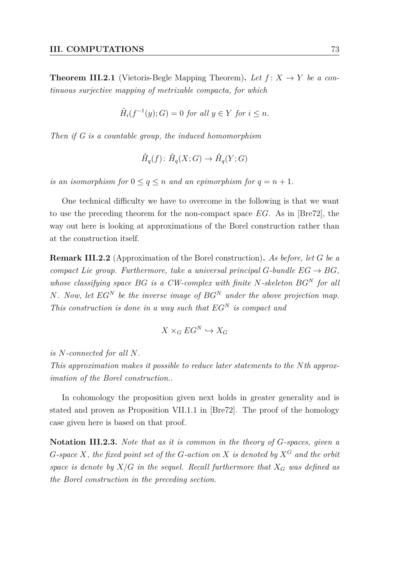<span id="page-72-1"></span>**Theorem III.2.1** (Vietoris-Begle Mapping Theorem). Let  $f: X \rightarrow Y$  be a con*tinuous surjective mapping of metrizable compacta, for which*

$$
\tilde{H}_i(f^{-1}(y);G) = 0 \text{ for all } y \in Y \text{ for } i \le n.
$$

*Then if G is a countable group, the induced homomorphism*

$$
\check{H}_q(f) \colon \check{H}_q(X;G) \to \check{H}_q(Y;G)
$$

*is an isomorphism for*  $0 \le q \le n$  *and an epimorphism for*  $q = n + 1$ *.* 

One technical difficulty we have to overcome in the following is that we want to use the preceding theorem for the non-compact space *EG*. As in [\[Bre72\]](#page-80-0), the way out here is looking at approximations of the Borel construction rather than at the construction itself.

<span id="page-72-0"></span>**Remark III.2.2** (Approximation of the Borel construction)**.** *As before, let G be a compact Lie group. Furthermore, take a universal principal*  $G$ *-bundle*  $EG \rightarrow BG$ . *whose classifying space BG is a CW-complex with finite N-skeleton BG<sup>N</sup> for all N. Now, let EG<sup>N</sup> be the inverse image of BG<sup>N</sup> under the above projection map. This construction is done in a way such that EG<sup>N</sup> is compact and*

$$
X \times_G EG^N \hookrightarrow X_G
$$

*is N-connected for all N.*

*This approximation makes it possible to reduce later statements to the Nth approximation of the Borel construction..*

In cohomology the proposition given next holds in greater generality and is stated and proven as Proposition VII.1.1 in [\[Bre72\]](#page-80-0). The proof of the homology case given here is based on that proof.

**Notation III.2.3.** *Note that as it is common in the theory of G-spaces, given a G*-space *X, the fixed point set of the G*-action on *X is denoted by*  $X^G$  *and the orbit space is denote by*  $X/G$  *in the sequel. Recall furthermore that*  $X_G$  *was defined as the Borel construction in the preceding section.*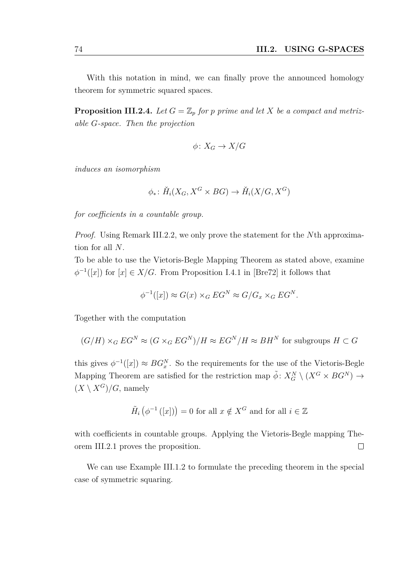With this notation in mind, we can finally prove the announced homology theorem for symmetric squared spaces.

**Proposition III.2.4.** Let  $G = \mathbb{Z}_p$  for p prime and let X be a compact and metriz*able G-space. Then the projection*

$$
\phi \colon X_G \to X/G
$$

*induces an isomorphism*

$$
\phi_* \colon \check{H}_i(X_G, X^G \times BG) \to \check{H}_i(X/G, X^G)
$$

*for coefficients in a countable group.*

*Proof.* Using [Remark III.2.2,](#page-72-0) we only prove the statement for the *N*th approximation for all *N*.

To be able to use the Vietoris-Begle Mapping Theorem as stated above, examine  $\phi^{-1}([x])$  for  $[x] \in X/G$ . From Proposition I.4.1 in [\[Bre72\]](#page-80-0) it follows that

$$
\phi^{-1}([x]) \approx G(x) \times_G EG^N \approx G/G_x \times_G EG^N.
$$

Together with the computation

$$
(G/H) \times_G EG^N \approx (G \times_G EG^N)/H \approx EG^N/H \approx BH^N
$$
 for subgroups  $H \subset G$ 

this gives  $\phi^{-1}([x]) \approx BG_x^N$ . So the requirements for the use of the Vietoris-Begle Mapping Theorem are satisfied for the restriction map  $\tilde{\phi}$ :  $X_G^N \setminus (X^G \times BG^N) \rightarrow$  $(X \setminus X^G)/G$ , namely

$$
\tilde{H}_i\left(\phi^{-1}\left([x]\right)\right) = 0
$$
 for all  $x \notin X^G$  and for all  $i \in \mathbb{Z}$ 

with coefficients in countable groups. Applying the Vietoris-Begle mapping [The](#page-72-1)[orem III.2.1](#page-72-1) proves the proposition.  $\Box$ 

We can use [Example III.1.2](#page-71-0) to formulate the preceding theorem in the special case of symmetric squaring.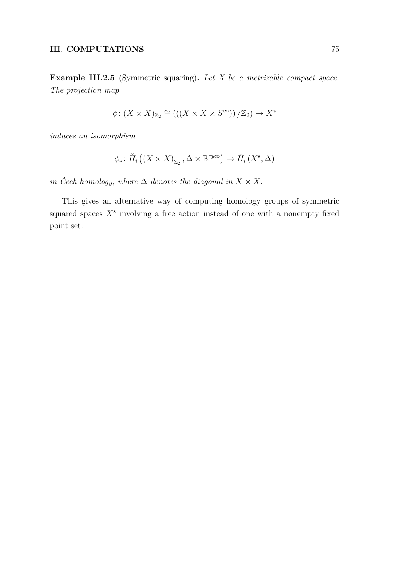**Example III.2.5** (Symmetric squaring)**.** *Let X be a metrizable compact space. The projection map*

$$
\phi\colon (X\times X)_{\mathbb{Z}_2}\cong (((X\times X\times S^{\infty}))/\mathbb{Z}_2)\to X^s
$$

*induces an isomorphism*

$$
\phi_*\colon \check{H}_i\left(\left(X\times X\right)_{\mathbb{Z}_2},\Delta\times\mathbb{RP}^\infty\right)\to \check{H}_i\left(X^{\mathbf{s}},\Delta\right)
$$

*in* Čech homology, where  $\Delta$  *denotes the diagonal in*  $X \times X$ *.* 

This gives an alternative way of computing homology groups of symmetric squared spaces  $X^s$  involving a free action instead of one with a nonempty fixed point set.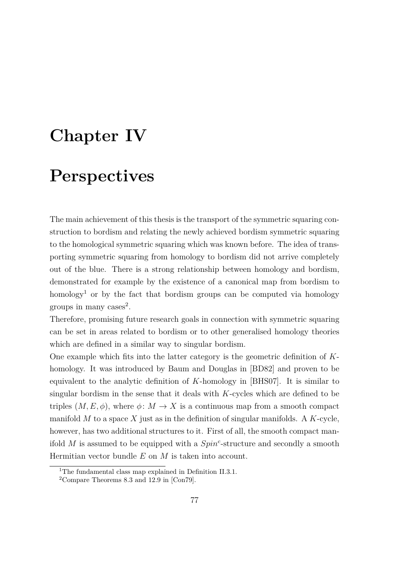# **Chapter IV**

## **Perspectives**

The main achievement of this thesis is the transport of the symmetric squaring construction to bordism and relating the newly achieved bordism symmetric squaring to the homological symmetric squaring which was known before. The idea of transporting symmetric squaring from homology to bordism did not arrive completely out of the blue. There is a strong relationship between homology and bordism, demonstrated for example by the existence of a canonical map from bordism to homology<sup>[1](#page-76-0)</sup> or by the fact that bordism groups can be computed via homology groups in many cases<sup>[2](#page-76-1)</sup>.

Therefore, promising future research goals in connection with symmetric squaring can be set in areas related to bordism or to other generalised homology theories which are defined in a similar way to singular bordism.

One example which fits into the latter category is the geometric definition of *K*homology. It was introduced by Baum and Douglas in [\[BD82\]](#page-79-0) and proven to be equivalent to the analytic definition of *K*-homology in [\[BHS07\]](#page-79-1). It is similar to singular bordism in the sense that it deals with *K*-cycles which are defined to be triples  $(M, E, \phi)$ , where  $\phi \colon M \to X$  is a continuous map from a smooth compact manifold *M* to a space *X* just as in the definition of singular manifolds. A *K*-cycle, however, has two additional structures to it. First of all, the smooth compact manifold *M* is assumed to be equipped with a *Spin<sup>c</sup>* -structure and secondly a smooth Hermitian vector bundle *E* on *M* is taken into account.

<span id="page-76-0"></span><sup>&</sup>lt;sup>1</sup>The fundamental class map explained in [Definition II.3.1.](#page-66-0)

<span id="page-76-1"></span><sup>2</sup>Compare Theorems 8.3 and 12.9 in [\[Con79\]](#page-80-1).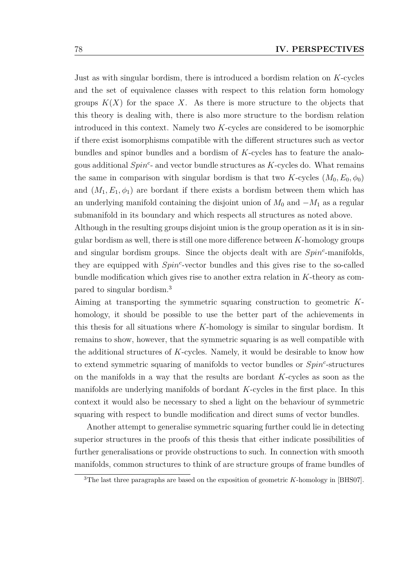Just as with singular bordism, there is introduced a bordism relation on *K*-cycles and the set of equivalence classes with respect to this relation form homology groups  $K(X)$  for the space X. As there is more structure to the objects that this theory is dealing with, there is also more structure to the bordism relation introduced in this context. Namely two *K*-cycles are considered to be isomorphic if there exist isomorphisms compatible with the different structures such as vector bundles and spinor bundles and a bordism of *K*-cycles has to feature the analogous additional *Spin<sup>c</sup>* - and vector bundle structures as *K*-cycles do. What remains the same in comparison with singular bordism is that two *K*-cycles  $(M_0, E_0, \phi_0)$ and  $(M_1, E_1, \phi_1)$  are bordant if there exists a bordism between them which has an underlying manifold containing the disjoint union of  $M_0$  and  $-M_1$  as a regular submanifold in its boundary and which respects all structures as noted above.

Although in the resulting groups disjoint union is the group operation as it is in singular bordism as well, there is still one more difference between *K*-homology groups and singular bordism groups. Since the objects dealt with are *Spin<sup>c</sup>* -manifolds, they are equipped with *Spin<sup>c</sup>* -vector bundles and this gives rise to the so-called bundle modification which gives rise to another extra relation in *K*-theory as compared to singular bordism.[3](#page-77-0)

Aiming at transporting the symmetric squaring construction to geometric *K*homology, it should be possible to use the better part of the achievements in this thesis for all situations where *K*-homology is similar to singular bordism. It remains to show, however, that the symmetric squaring is as well compatible with the additional structures of *K*-cycles. Namely, it would be desirable to know how to extend symmetric squaring of manifolds to vector bundles or *Spin<sup>c</sup>* -structures on the manifolds in a way that the results are bordant *K*-cycles as soon as the manifolds are underlying manifolds of bordant *K*-cycles in the first place. In this context it would also be necessary to shed a light on the behaviour of symmetric squaring with respect to bundle modification and direct sums of vector bundles.

Another attempt to generalise symmetric squaring further could lie in detecting superior structures in the proofs of this thesis that either indicate possibilities of further generalisations or provide obstructions to such. In connection with smooth manifolds, common structures to think of are structure groups of frame bundles of

<span id="page-77-0"></span><sup>3</sup>The last three paragraphs are based on the exposition of geometric *K*-homology in [\[BHS07\]](#page-79-1).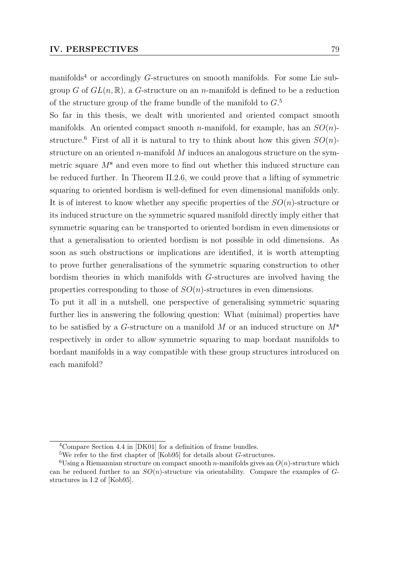manifolds[4](#page-78-0) or accordingly *G*-structures on smooth manifolds. For some Lie subgroup *G* of  $GL(n,\mathbb{R})$ , a *G*-structure on an *n*-manifold is defined to be a reduction of the structure group of the frame bundle of the manifold to *G*. [5](#page-78-1)

So far in this thesis, we dealt with unoriented and oriented compact smooth manifolds. An oriented compact smooth *n*-manifold, for example, has an *SO*(*n*)- structure.<sup>[6](#page-78-2)</sup> First of all it is natural to try to think about how this given  $SO(n)$ structure on an oriented *n*-manifold *M* induces an analogous structure on the symmetric square *M***<sup>s</sup>** and even more to find out whether this induced structure can be reduced further. In [Theorem II.2.6,](#page-61-0) we could prove that a lifting of symmetric squaring to oriented bordism is well-defined for even dimensional manifolds only. It is of interest to know whether any specific properties of the *SO*(*n*)-structure or its induced structure on the symmetric squared manifold directly imply either that symmetric squaring can be transported to oriented bordism in even dimensions or that a generalisation to oriented bordism is not possible in odd dimensions. As soon as such obstructions or implications are identified, it is worth attempting to prove further generalisations of the symmetric squaring construction to other bordism theories in which manifolds with *G*-structures are involved having the properties corresponding to those of *SO*(*n*)-structures in even dimensions.

To put it all in a nutshell, one perspective of generalising symmetric squaring further lies in answering the following question: What (minimal) properties have to be satisfied by a *G*-structure on a manifold *M* or an induced structure on *M***<sup>s</sup>** respectively in order to allow symmetric squaring to map bordant manifolds to bordant manifolds in a way compatible with these group structures introduced on each manifold?

<span id="page-78-0"></span><sup>4</sup>Compare Section 4.4 in [\[DK01\]](#page-80-2) for a definition of frame bundles.

<span id="page-78-2"></span><span id="page-78-1"></span><sup>5</sup>We refer to the first chapter of [\[Kob95\]](#page-81-0) for details about *G*-structures.

<sup>&</sup>lt;sup>6</sup>Using a Riemannian structure on compact smooth *n*-manifolds gives an  $O(n)$ -structure which can be reduced further to an *SO*(*n*)-structure via orientability. Compare the examples of *G*structures in I.2 of [\[Kob95\]](#page-81-0).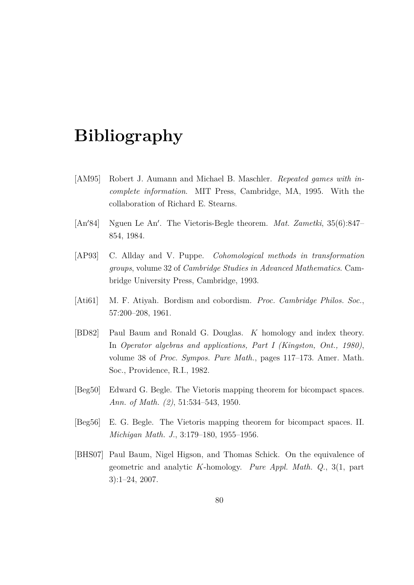## **Bibliography**

- [AM95] Robert J. Aumann and Michael B. Maschler. *Repeated games with incomplete information*. MIT Press, Cambridge, MA, 1995. With the collaboration of Richard E. Stearns.
- [An'84] Nguen Le An'. The Vietoris-Begle theorem. *Mat. Zametki*, 35(6):847– 854, 1984.
- [AP93] C. Allday and V. Puppe. *Cohomological methods in transformation groups*, volume 32 of *Cambridge Studies in Advanced Mathematics*. Cambridge University Press, Cambridge, 1993.
- [Ati61] M. F. Atiyah. Bordism and cobordism. *Proc. Cambridge Philos. Soc.*, 57:200–208, 1961.
- <span id="page-79-0"></span>[BD82] Paul Baum and Ronald G. Douglas. *K* homology and index theory. In *Operator algebras and applications, Part I (Kingston, Ont., 1980)*, volume 38 of *Proc. Sympos. Pure Math.*, pages 117–173. Amer. Math. Soc., Providence, R.I., 1982.
- [Beg50] Edward G. Begle. The Vietoris mapping theorem for bicompact spaces. *Ann. of Math. (2)*, 51:534–543, 1950.
- [Beg56] E. G. Begle. The Vietoris mapping theorem for bicompact spaces. II. *Michigan Math. J.*, 3:179–180, 1955–1956.
- <span id="page-79-1"></span>[BHS07] Paul Baum, Nigel Higson, and Thomas Schick. On the equivalence of geometric and analytic *K*-homology. *Pure Appl. Math. Q.*, 3(1, part 3):1–24, 2007.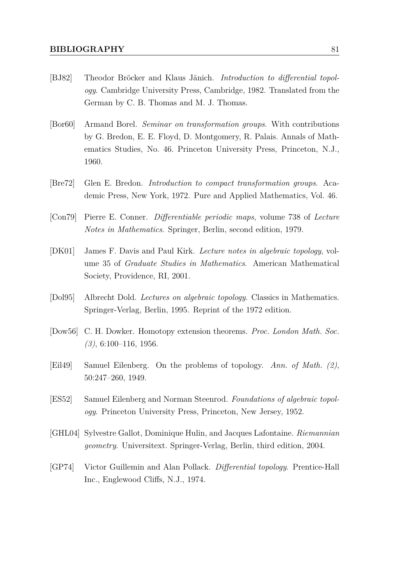- [BJ82] Theodor Bröcker and Klaus Jänich. *Introduction to differential topology*. Cambridge University Press, Cambridge, 1982. Translated from the German by C. B. Thomas and M. J. Thomas.
- [Bor60] Armand Borel. *Seminar on transformation groups*. With contributions by G. Bredon, E. E. Floyd, D. Montgomery, R. Palais. Annals of Mathematics Studies, No. 46. Princeton University Press, Princeton, N.J., 1960.
- <span id="page-80-0"></span>[Bre72] Glen E. Bredon. *Introduction to compact transformation groups*. Academic Press, New York, 1972. Pure and Applied Mathematics, Vol. 46.
- <span id="page-80-1"></span>[Con79] Pierre E. Conner. *Differentiable periodic maps*, volume 738 of *Lecture Notes in Mathematics*. Springer, Berlin, second edition, 1979.
- <span id="page-80-2"></span>[DK01] James F. Davis and Paul Kirk. *Lecture notes in algebraic topology*, volume 35 of *Graduate Studies in Mathematics*. American Mathematical Society, Providence, RI, 2001.
- [Dol95] Albrecht Dold. *Lectures on algebraic topology*. Classics in Mathematics. Springer-Verlag, Berlin, 1995. Reprint of the 1972 edition.
- [Dow56] C. H. Dowker. Homotopy extension theorems. *Proc. London Math. Soc. (3)*, 6:100–116, 1956.
- [Eil49] Samuel Eilenberg. On the problems of topology. *Ann. of Math. (2)*, 50:247–260, 1949.
- [ES52] Samuel Eilenberg and Norman Steenrod. *Foundations of algebraic topology*. Princeton University Press, Princeton, New Jersey, 1952.
- [GHL04] Sylvestre Gallot, Dominique Hulin, and Jacques Lafontaine. *Riemannian geometry*. Universitext. Springer-Verlag, Berlin, third edition, 2004.
- [GP74] Victor Guillemin and Alan Pollack. *Differential topology*. Prentice-Hall Inc., Englewood Cliffs, N.J., 1974.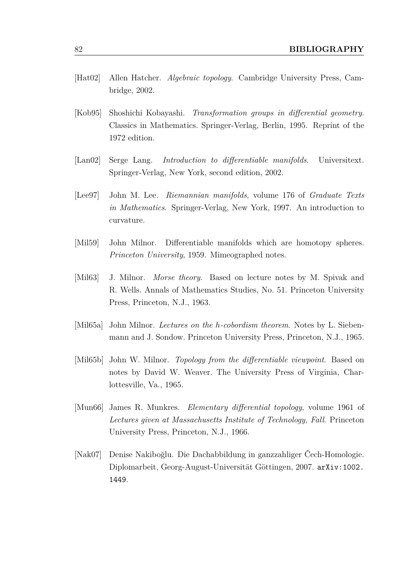- [Hat02] Allen Hatcher. *Algebraic topology*. Cambridge University Press, Cambridge, 2002.
- <span id="page-81-0"></span>[Kob95] Shoshichi Kobayashi. *Transformation groups in differential geometry*. Classics in Mathematics. Springer-Verlag, Berlin, 1995. Reprint of the 1972 edition.
- [Lan02] Serge Lang. *Introduction to differentiable manifolds*. Universitext. Springer-Verlag, New York, second edition, 2002.
- [Lee97] John M. Lee. *Riemannian manifolds*, volume 176 of *Graduate Texts in Mathematics*. Springer-Verlag, New York, 1997. An introduction to curvature.
- [Mil59] John Milnor. Differentiable manifolds which are homotopy spheres. *Princeton University*, 1959. Mimeographed notes.
- [Mil63] J. Milnor. *Morse theory*. Based on lecture notes by M. Spivak and R. Wells. Annals of Mathematics Studies, No. 51. Princeton University Press, Princeton, N.J., 1963.
- [Mil65a] John Milnor. *Lectures on the h-cobordism theorem*. Notes by L. Siebenmann and J. Sondow. Princeton University Press, Princeton, N.J., 1965.
- [Mil65b] John W. Milnor. *Topology from the differentiable viewpoint*. Based on notes by David W. Weaver. The University Press of Virginia, Charlottesville, Va., 1965.
- [Mun66] James R. Munkres. *Elementary differential topology*, volume 1961 of *Lectures given at Massachusetts Institute of Technology, Fall*. Princeton University Press, Princeton, N.J., 1966.
- [Nak07] Denise Nakiboğlu. Die Dachabbildung in ganzzahliger Čech-Homologie. Diplomarbeit, Georg-August-Universität Göttingen, 2007. [arXiv:1002.](http://arxiv.org/abs/1002.1449) [1449](http://arxiv.org/abs/1002.1449).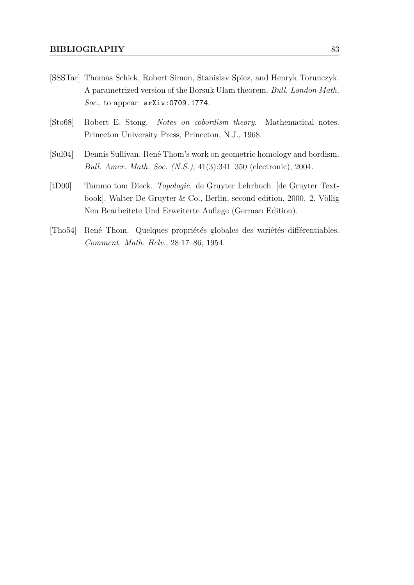- [SSSTar] Thomas Schick, Robert Simon, Stanislav Spiez, and Henryk Torunczyk. A parametrized version of the Borsuk Ulam theorem. *Bull. London Math. Soc.*, to appear. [arXiv:0709.1774](http://arxiv.org/abs/0709.1774).
- [Sto68] Robert E. Stong. *Notes on cobordism theory*. Mathematical notes. Princeton University Press, Princeton, N.J., 1968.
- [Sul04] Dennis Sullivan. René Thom's work on geometric homology and bordism. *Bull. Amer. Math. Soc. (N.S.)*, 41(3):341–350 (electronic), 2004.
- [tD00] Tammo tom Dieck. *Topologie*. de Gruyter Lehrbuch. [de Gruyter Textbook]. Walter De Gruyter & Co., Berlin, second edition, 2000. 2. Völlig Neu Bearbeitete Und Erweiterte Auflage (German Edition).
- [Tho54] René Thom. Quelques propriétés globales des variétés différentiables. *Comment. Math. Helv.*, 28:17–86, 1954.